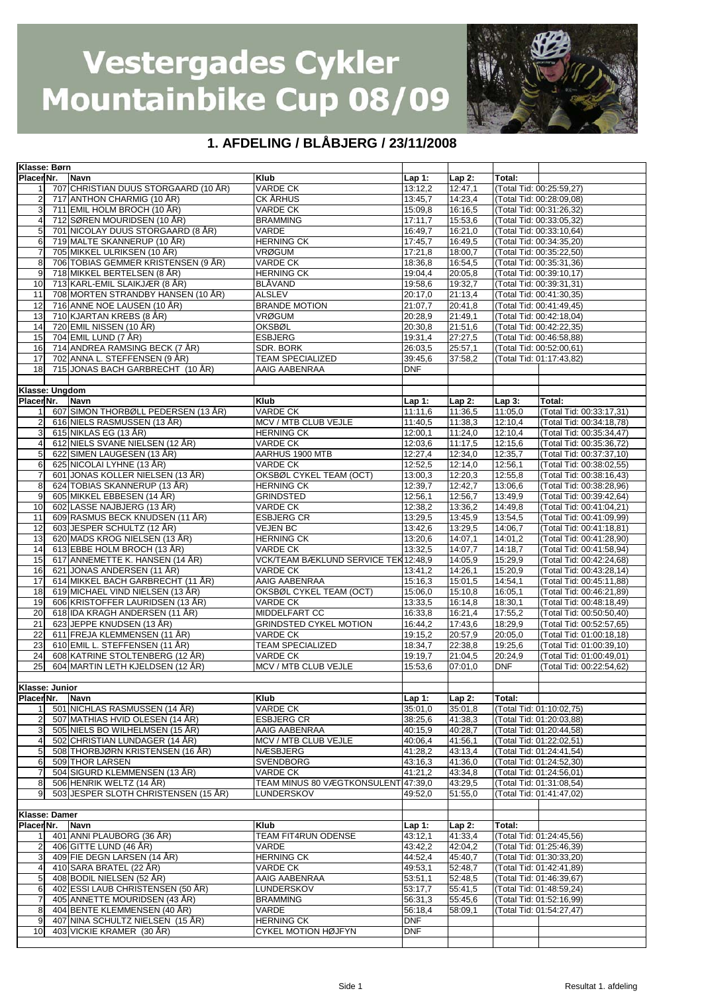

| Klasse: Børn            |                                      |                                      |            |          |            |                          |
|-------------------------|--------------------------------------|--------------------------------------|------------|----------|------------|--------------------------|
| Placer Nr.              | <b>Navn</b>                          | <b>Klub</b>                          | $Lap1$ :   | $Lap2$ : | Total:     |                          |
| $\mathbf{1}$            | 707 CHRISTIAN DUUS STORGAARD (10 ÅR) | <b>VARDE CK</b>                      | 13:12,2    | 12:47,1  |            | (Total Tid: 00:25:59,27) |
| $\overline{2}$          | 717 ANTHON CHARMIG (10 ÅR)           | <b>CK ÅRHUS</b>                      | 13:45,7    | 14:23,4  |            | (Total Tid: 00:28:09,08) |
| $\mathbf{3}$            | 711 EMIL HOLM BROCH (10 ÅR)          | <b>VARDE CK</b>                      | 15:09,8    | 16:16,5  |            | (Total Tid: 00:31:26,32) |
| $\overline{4}$          | 712 SØREN MOURIDSEN (10 ÅR)          | <b>BRAMMING</b>                      | 17:11,7    | 15:53,6  |            | (Total Tid: 00:33:05,32) |
| $\sqrt{5}$              | 701 NICOLAY DUUS STORGAARD (8 ÅR)    | VARDE                                | 16:49.7    | 16:21,0  |            | (Total Tid: 00:33:10,64) |
| 6                       | 719 MALTE SKANNERUP (10 ÅR)          | <b>HERNING CK</b>                    | 17:45,7    | 16:49,5  |            | (Total Tid: 00:34:35,20) |
| $\overline{7}$          | 705 MIKKEL ULRIKSEN (10 ÅR)          | <b>VRØGUM</b>                        | 17:21,8    | 18:00,7  |            | (Total Tid: 00:35:22,50) |
|                         |                                      |                                      |            |          |            |                          |
| 8                       | 706 TOBIAS GEMMER KRISTENSEN (9 ÅR)  | <b>VARDE CK</b>                      | 18:36,8    | 16:54,5  |            | (Total Tid: 00:35:31,36) |
| 9                       | 718 MIKKEL BERTELSEN (8 ÅR)          | <b>HERNING CK</b>                    | 19:04,4    | 20:05,8  |            | (Total Tid: 00:39:10,17) |
| 10                      | 713 KARL-EMIL SLAIKJÆR (8 ÅR)        | <b>BLÅVAND</b>                       | 19:58,6    | 19:32,7  |            | (Total Tid: 00:39:31,31) |
| 11                      | 708 MORTEN STRANDBY HANSEN (10 ÅR)   | <b>ALSLEV</b>                        | 20:17,0    | 21:13,4  |            | (Total Tid: 00:41:30,35) |
| 12                      | 716 ANNE NOE LAUSEN (10 ÅR)          | <b>BRANDE MOTION</b>                 | 21:07.7    | 20:41,8  |            | (Total Tid: 00:41:49,45) |
| 13                      | 710 KJARTAN KREBS (8 ÅR)             | <b>VRØGUM</b>                        | 20:28,9    | 21:49,1  |            | (Total Tid: 00:42:18,04) |
| 14                      | 720 EMIL NISSEN (10 ÅR)              | <b>OKSBØL</b>                        | 20:30.8    | 21:51.6  |            | (Total Tid: 00:42:22,35) |
| 15                      | 704 EMIL LUND (7 ÅR)                 | <b>ESBJERG</b>                       | 19:31,4    | 27:27,5  |            | (Total Tid: 00:46:58,88) |
| 16                      | 714 ANDREA RAMSING BECK (7 ÅR)       | <b>SDR. BORK</b>                     | 26:03,5    | 25:57,1  |            | (Total Tid: 00:52:00,61) |
| 17                      | 702 ANNA L. STEFFENSEN (9 ÅR)        | <b>TEAM SPECIALIZED</b>              | 39:45,6    | 37:58,2  |            | (Total Tid: 01:17:43,82) |
| 18                      | 715 JONAS BACH GARBRECHT (10 ÅR)     | AAIG AABENRAA                        | <b>DNF</b> |          |            |                          |
|                         |                                      |                                      |            |          |            |                          |
| Klasse: Ungdom          |                                      |                                      |            |          |            |                          |
| Placer Nr.              | <b>Navn</b>                          | <b>Klub</b>                          | Lap 1:     | $Lap2$ : | $Lap3$ :   | Total:                   |
| 1                       | 607 SIMON THORBØLL PEDERSEN (13 ÅR)  | <b>VARDE CK</b>                      | 11:11,6    | 11:36,5  | 11:05.0    | (Total Tid: 00:33:17,31) |
| $\sqrt{2}$              | 616 NIELS RASMUSSEN (13 ÅR)          | MCV / MTB CLUB VEJLE                 | 11:40,5    | 11:38,3  | 12:10.4    | (Total Tid: 00:34:18,78) |
| 3                       | 615 NIKLAS EG (13 ÅR)                | <b>HERNING CK</b>                    | 12:00,1    | 11:24,0  | 12:10,4    | (Total Tid: 00:35:34,47) |
| $\overline{4}$          | 612 NIELS SVANE NIELSEN (12 ÅR)      | VARDE CK                             | 12:03,6    | 11:17,5  | 12:15,6    | (Total Tid: 00:35:36,72) |
| 5                       | 622 SIMEN LAUGESEN (13 ÅR)           | AARHUS 1900 MTB                      | 12:27.4    |          | 12:35,7    | (Total Tid: 00:37:37,10) |
|                         |                                      |                                      |            | 12:34,0  |            |                          |
| 6                       | 625 NICOLAI LYHNE (13 ÅR)            | <b>VARDE CK</b>                      | 12:52,5    | 12:14,0  | 12:56,1    | (Total Tid: 00:38:02,55) |
| $\overline{7}$          | 601 JONAS KOLLER NIELSEN (13 ÅR)     | OKSBØL CYKEL TEAM (OCT)              | 13:00,3    | 12:20,3  | 12:55,8    | (Total Tid: 00:38:16,43) |
| 8                       | 624 TOBIAS SKANNERUP (13 ÅR)         | <b>HERNING CK</b>                    | 12:39,7    | 12:42,7  | 13:06,6    | (Total Tid: 00:38:28,96) |
| 9                       | 605 MIKKEL EBBESEN (14 ÅR)           | <b>GRINDSTED</b>                     | 12:56,1    | 12:56,7  | 13:49,9    | (Total Tid: 00:39:42,64) |
| 10                      | 602 LASSE NAJBJERG (13 ÅR)           | <b>VARDE CK</b>                      | 12:38,2    | 13:36,2  | 14:49,8    | (Total Tid: 00:41:04,21) |
| 11                      | 609 RASMUS BECK KNUDSEN (11 ÅR)      | <b>ESBJERG CR</b>                    | 13:29,5    | 13:45,9  | 13:54,5    | (Total Tid: 00:41:09,99) |
| 12                      | 603 JESPER SCHULTZ (12 ÅR)           | <b>VEJEN BC</b>                      | 13:42,6    | 13:29,5  | 14:06,7    | (Total Tid: 00:41:18,81) |
| 13                      | 620 MADS KROG NIELSEN (13 ÅR)        | <b>HERNING CK</b>                    | 13:20,6    | 14:07.1  | 14:01,2    | (Total Tid: 00:41:28,90) |
| 14                      | 613 EBBE HOLM BROCH (13 ÅR)          | VARDE CK                             | 13:32,5    | 14:07,7  | 14:18,7    | (Total Tid: 00:41:58,94) |
| 15                      | 617 ANNEMETTE K. HANSEN (14 ÅR)      | VCK/TEAM BÆKLUND SERVICE TEK 12:48,9 |            | 14:05.9  | 15:29,9    | (Total Tid: 00:42:24,68) |
| 16                      | 621 JONAS ANDERSEN (11 ÅR)           | <b>VARDE CK</b>                      | 13:41,2    | 14:26,1  | 15:20,9    | (Total Tid: 00:43:28,14) |
| 17                      | 614 MIKKEL BACH GARBRECHT (11 ÅR)    | AAIG AABENRAA                        | 15:16,3    | 15:01.5  | 14:54.1    | (Total Tid: 00:45:11,88) |
| 18                      | 619 MICHAEL VIND NIELSEN (13 ÅR)     | OKSBØL CYKEL TEAM (OCT)              | 15:06,0    | 15:10,8  | 16:05,1    | (Total Tid: 00:46:21,89) |
| 19                      | 606 KRISTOFFER LAURIDSEN (13 ÅR)     | <b>VARDE CK</b>                      | 13:33,5    | 16:14,8  | 18:30,1    | (Total Tid: 00:48:18,49) |
| 20                      | 618 IDA KRAGH ANDERSEN (11 ÅR)       | MIDDELFART CC                        | 16:33,8    | 16:21,4  | 17:55,2    | (Total Tid: 00:50:50,40) |
| 21                      | 623 JEPPE KNUDSEN (13 ÅR)            | <b>GRINDSTED CYKEL MOTION</b>        | 16:44,2    | 17:43,6  | 18:29.9    |                          |
|                         | 611 FREJA KLEMMENSEN (11 ÅR)         |                                      |            |          |            | (Total Tid: 00:52:57,65) |
| 22                      |                                      | <b>VARDE CK</b>                      | 19:15,2    | 20:57,9  | 20:05,0    | (Total Tid: 01:00:18,18) |
| 23                      | 610 EMIL L. STEFFENSEN (11 ÅR)       | <b>TEAM SPECIALIZED</b>              | 18:34,7    | 22:38.8  | 19:25,6    | (Total Tid: 01:00:39,10) |
| 24                      | 608 KATRINE STOLTENBERG (12 ÅR)      | VARDE CK                             | 19:19,7    | 21:04,5  | 20:24,9    | (Total Tid: 01:00:49,01) |
| 25                      | 604 MARTIN LETH KJELDSEN (12 ÅR)     | MCV / MTB CLUB VEJLE                 | 15:53.6    | 07:01.0  | <b>DNF</b> | (Total Tid: 00:22:54.62) |
|                         |                                      |                                      |            |          |            |                          |
| Klasse: Junior          |                                      |                                      |            |          |            |                          |
| Placer Nr.              | Navn                                 | Klub                                 | $Lap1$ :   | $Lap2$ : | Total:     |                          |
| 1                       | 501 NICHLAS RASMUSSEN (14 ÅR)        | <b>VARDE CK</b>                      | 35:01.0    | 35:01.8  |            | (Total Tid: 01:10:02.75) |
| $\overline{2}$          | 507 MATHIAS HVID OLESEN (14 ÅR)      | <b>ESBJERG CR</b>                    | 38:25,6    | 41:38,3  |            | (Total Tid: 01:20:03,88) |
| 3                       | 505 NIELS BO WILHELMSEN (15 ÅR)      | AAIG AABENRAA                        | 40:15.9    | 40:28,7  |            | (Total Tid: 01:20:44,58) |
| $\overline{a}$          | 502 CHRISTIAN LUNDAGER (14 ÅR)       | MCV / MTB CLUB VEJLE                 | 40:06,4    | 41:56,1  |            | (Total Tid: 01:22:02,51) |
| 5                       | 508 THORBJØRN KRISTENSEN (16 ÅR)     | <b>NÆSBJERG</b>                      | 41:28,2    | 43:13,4  |            | (Total Tid: 01:24:41,54) |
| 6                       | 509 THOR LARSEN                      | <b>SVENDBORG</b>                     | 43:16,3    | 41:36,0  |            | (Total Tid: 01:24:52,30) |
| $\overline{7}$          | 504 SIGURD KLEMMENSEN (13 ÅR)        | VARDE CK                             | 41:21,2    | 43:34,8  |            | (Total Tid: 01:24:56,01) |
| 8                       | 506 HENRIK WELTZ (14 ÅR)             | TEAM MINUS 80 VÆGTKONSULENT 47:39,0  |            | 43:29,5  |            | (Total Tid: 01:31:08,54) |
| 9                       | 503 JESPER SLOTH CHRISTENSEN (15 ÅR) | LUNDERSKOV                           | 49:52,0    | 51:55,0  |            | (Total Tid: 01:41:47,02) |
|                         |                                      |                                      |            |          |            |                          |
| Klasse: Damer           |                                      |                                      |            |          |            |                          |
|                         |                                      |                                      |            |          |            |                          |
| Placer <sub>Nr.</sub>   | <b>Navn</b>                          | <b>Klub</b>                          | Lap $1:$   | $Lap2$ : | Total:     |                          |
| 1                       | 401 ANNI PLAUBORG (36 ÅR)            | TEAM FIT4RUN ODENSE                  | 43:12,1    | 41:33,4  |            | (Total Tid: 01:24:45.56) |
| $\mathbf 2$             | 406 GITTE LUND (46 ÅR)               | VARDE                                | 43:42,2    | 42:04,2  |            | (Total Tid: 01:25:46,39) |
| 3                       | 409 FIE DEGN LARSEN (14 ÅR)          | <b>HERNING CK</b>                    | 44:52,4    | 45:40,7  |            | (Total Tid: 01:30:33,20) |
| $\overline{\mathbf{4}}$ | 410 SARA BRATEL (22 ÅR)              | VARDE CK                             | 49:53,1    | 52:48,7  |            | (Total Tid: 01:42:41,89) |
| 5                       | 408 BODIL NIELSEN (52 ÅR)            | AAIG AABENRAA                        | 53:51,1    | 52:48,5  |            | (Total Tid: 01:46:39,67) |
| 6                       | 402 ESSI LAUB CHRISTENSEN (50 ÅR)    | LUNDERSKOV                           | 53:17,7    | 55:41,5  |            | (Total Tid: 01:48:59,24) |
| $\overline{7}$          | 405 ANNETTE MOURIDSEN (43 ÅR)        | <b>BRAMMING</b>                      | 56:31,3    | 55:45,6  |            | (Total Tid: 01:52:16,99) |
| 8                       | 404 BENTE KLEMMENSEN (40 ÅR)         | VARDE                                | 56:18,4    | 58:09,1  |            | (Total Tid: 01:54:27,47) |
| 9                       | 407 NINA SCHULTZ NIELSEN (15 ÅR)     | <b>HERNING CK</b>                    | <b>DNF</b> |          |            |                          |
| 10                      | 403 VICKIE KRAMER (30 ÅR)            | <b>CYKEL MOTION HØJFYN</b>           | <b>DNF</b> |          |            |                          |
|                         |                                      |                                      |            |          |            |                          |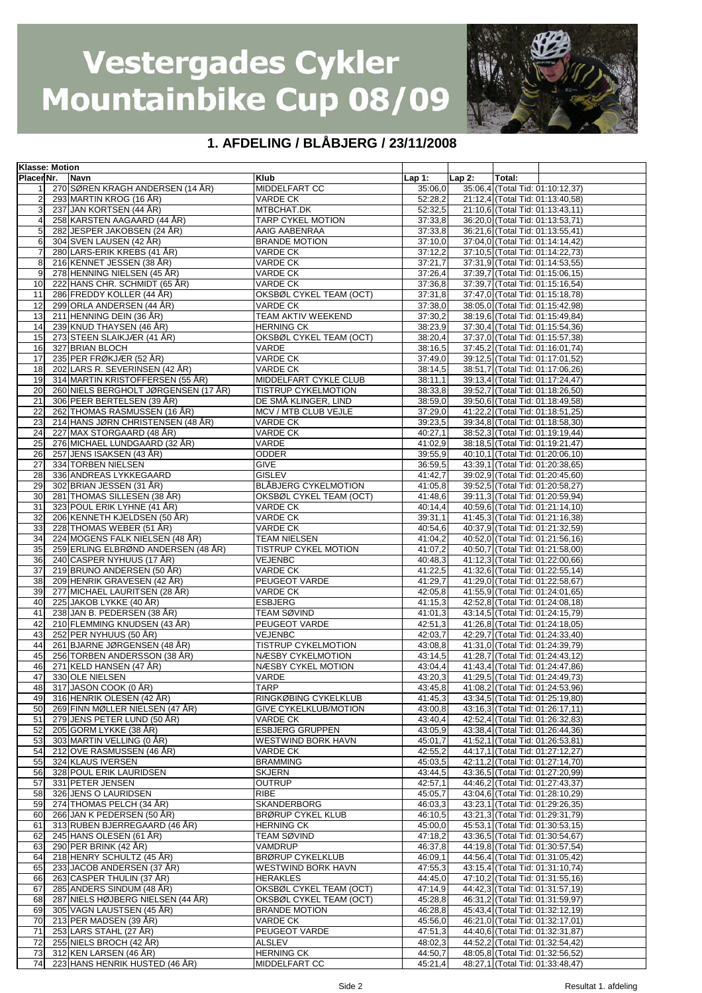

| <b>Klasse: Motion</b> |                                      |                              |                      |          |                                  |
|-----------------------|--------------------------------------|------------------------------|----------------------|----------|----------------------------------|
| Placer Nr.            | Navn                                 | <b>Klub</b>                  | Lap $1:$             | $Lap2$ : | Total:                           |
|                       | 270 SØREN KRAGH ANDERSEN (14 ÅR)     | MIDDELFART CC                | 35:06,0              |          | 35:06,4 (Total Tid: 01:10:12,37) |
|                       | 293 MARTIN KROG (16 ÅR)              | VARDE CK                     | $\overline{52:}28,2$ |          |                                  |
| 2                     |                                      |                              |                      |          | 21:12,4 (Total Tid: 01:13:40,58) |
| $\overline{3}$        | 237 JAN KORTSEN (44 ÅR)              | MTBCHAT.DK                   | 52:32,5              |          | 21:10,6 (Total Tid: 01:13:43,11) |
| 4                     | 258 KARSTEN AAGAARD (44 ÅR)          | TARP CYKEL MOTION            | 37:33,8              |          | 36:20,0 (Total Tid: 01:13:53,71) |
| 5                     | 282 JESPER JAKOBSEN (24 ÅR)          | AAIG AABENRAA                | 37:33,8              |          | 36:21,6 (Total Tid: 01:13:55,41) |
| 6                     | 304 SVEN LAUSEN (42 ÅR)              | <b>BRANDE MOTION</b>         | 37:10,0              |          | 37:04,0 (Total Tid: 01:14:14,42) |
| $\overline{7}$        | 280 LARS-ERIK KREBS (41 ÅR)          | <b>VARDE CK</b>              | 37:12,2              |          | 37:10,5 (Total Tid: 01:14:22,73) |
| 8                     | 216 KENNET JESSEN (38 ÅR)            | VARDE CK                     | 37:21,7              |          | 37:31,9 (Total Tid: 01:14:53,55) |
| 9                     |                                      |                              | 37:26,4              |          | 37:39,7 (Total Tid: 01:15:06,15) |
|                       | 278 HENNING NIELSEN (45 ÅR)          | <b>VARDE CK</b>              |                      |          |                                  |
| 10                    | 222 HANS CHR. SCHMIDT (65 ÅR)        | VARDE CK                     | 37:36,8              |          | 37:39,7 (Total Tid: 01:15:16,54) |
| 11                    | 286 FREDDY KOLLER (44 ÅR)            | OKSBØL CYKEL TEAM (OCT)      | 37:31,8              |          | 37:47,0 (Total Tid: 01:15:18,78) |
| 12                    | 299 ORLA ANDERSEN (44 ÅR)            | VARDE CK                     | 37:38,0              |          | 38:05,0 (Total Tid: 01:15:42,98) |
| 13                    | 211 HENNING DEIN (36 ÅR)             | TEAM AKTIV WEEKEND           | 37:30,2              |          | 38:19,6 (Total Tid: 01:15:49,84) |
| 14                    | 239 KNUD THAYSEN (46 ÅR)             | <b>HERNING CK</b>            | 38:23,9              |          | 37:30,4 (Total Tid: 01:15:54,36) |
| 15                    | 273 STEEN SLAIKJÆR (41 ÅR)           | OKSBØL CYKEL TEAM (OCT)      | 38:20,4              |          | 37:37,0 (Total Tid: 01:15:57,38) |
|                       |                                      |                              |                      |          |                                  |
| 16                    | 327 BRIAN BLOCH                      | VARDE                        | 38:16,5              |          | 37:45,2 (Total Tid: 01:16:01,74) |
| 17                    | 235 PER FRØKJÆR (52 ÅR)              | VARDE CK                     | 37:49,0              |          | 39:12,5 (Total Tid: 01:17:01,52) |
| 18                    | 202 LARS R. SEVERINSEN (42 ÅR)       | <b>VARDE CK</b>              | 38:14,5              |          | 38:51,7 (Total Tid: 01:17:06,26) |
| 19                    | 314 MARTIN KRISTOFFERSEN (55 ÅR)     | MIDDELFART CYKLE CLUB        | 38:11,1              |          | 39:13,4 (Total Tid: 01:17:24,47) |
| 20                    | 260 NIELS BERGHOLT JØRGENSEN (17 ÅR) | TISTRUP CYKELMOTION          | 38:33,8              |          | 39:52,7 (Total Tid: 01:18:26,50) |
| 21                    | 306 PEER BERTELSEN (39 ÅR)           | DE SMÅ KLINGER, LIND         | 38:59,0              |          | 39:50,6 (Total Tid: 01:18:49,58) |
| 22                    | 262 THOMAS RASMUSSEN (16 ÅR)         | MCV / MTB CLUB VEJLE         | 37:29,0              |          | 41:22,2 (Total Tid: 01:18:51,25) |
|                       |                                      |                              |                      |          |                                  |
| 23                    | 214 HANS JØRN CHRISTENSEN (48 ÅR)    | <b>VARDE CK</b>              | 39:23,5              |          | 39:34,8 (Total Tid: 01:18:58,30) |
| 24                    | 227 MAX STORGAARD (48 ÅR)            | <b>VARDE CK</b>              | 40:27,1              |          | 38:52,3 (Total Tid: 01:19:19,44) |
| 25                    | 276 MICHAEL LUNDGAARD (32 ÅR)        | VARDE                        | 41:02,9              |          | 38:18,5 (Total Tid: 01:19:21,47) |
| 26                    | 257 JENS ISAKSEN (43 ÅR)             | <b>ODDER</b>                 | 39:55,9              |          | 40:10,1 (Total Tid: 01:20:06,10) |
| 27                    | 334 TORBEN NIELSEN                   | <b>GIVE</b>                  | 36:59,5              |          | 43:39,1 (Total Tid: 01:20:38,65) |
| 28                    | 336 ANDREAS LYKKEGAARD               | <b>GISLEV</b>                | $\overline{41:}42,7$ |          | 39:02,9 (Total Tid: 01:20:45,60) |
|                       |                                      |                              |                      |          |                                  |
| 29                    | 302 BRIAN JESSEN (31 ÅR)             | <b>BLÅBJERG CYKELMOTION</b>  | 41:05,8              |          | 39:52,5 (Total Tid: 01:20:58,27) |
| 30                    | 281 THOMAS SILLESEN (38 ÅR)          | OKSBØL CYKEL TEAM (OCT)      | 41:48,6              |          | 39:11,3 (Total Tid: 01:20:59,94) |
| 31                    | 323 POUL ERIK LYHNE (41 ÅR)          | VARDE CK                     | 40:14,4              |          | 40:59,6 (Total Tid: 01:21:14,10) |
| 32                    | 206 KENNETH KJELDSEN (50 ÅR)         | VARDE CK                     | 39:31,1              |          | 41:45,3 (Total Tid: 01:21:16,38) |
| 33                    | 228 THOMAS WEBER (51 ÅR)             | VARDE CK                     | 40:54,6              |          | 40:37,9 (Total Tid: 01:21:32,59) |
| 34                    | 224 MOGENS FALK NIELSEN (48 ÅR)      |                              | $\overline{41:04,2}$ |          |                                  |
|                       |                                      | TEAM NIELSEN                 |                      |          | 40:52,0 (Total Tid: 01:21:56,16) |
| 35                    | 259 ERLING ELBRØND ANDERSEN (48 ÅR)  | TISTRUP CYKEL MOTION         | 41:07,2              |          | 40:50,7 (Total Tid: 01:21:58,00) |
| 36                    | 240 CASPER NYHUUS (17 ÅR)            | VEJENBC                      | 40:48,3              |          | 41:12,3 (Total Tid: 01:22:00,66) |
| 37                    | 219 BRUNO ANDERSEN (50 ÅR)           | <b>VARDE CK</b>              | 41:22,5              |          | 41:32,6 (Total Tid: 01:22:55,14) |
| 38                    | 209 HENRIK GRAVESEN (42 ÅR)          | PEUGEOT VARDE                | 41:29,7              |          | 41:29,0 (Total Tid: 01:22:58,67) |
| 39                    | 277 MICHAEL LAURITSEN (28 ÅR)        | <b>VARDE CK</b>              | 42:05,8              |          | 41:55,9 (Total Tid: 01:24:01,65) |
| 40                    | 225 JAKOB LYKKE (40 ÅR)              | <b>ESBJERG</b>               | 41:15,3              |          | 42:52,8 (Total Tid: 01:24:08,18) |
|                       |                                      |                              |                      |          |                                  |
| 41                    | 238 JAN B. PEDERSEN (38 ÅR)          | <b>TEAM SØVIND</b>           | 41:01,3              |          | 43:14,5 (Total Tid: 01:24:15,79) |
| 42                    | 210 FLEMMING KNUDSEN (43 ÅR)         | PEUGEOT VARDE                | 42:51,3              |          | 41:26.8 (Total Tid: 01:24:18.05) |
| 43                    | 252 PER NYHUUS (50 ÅR)               | <b>VEJENBC</b>               | 42:03,7              |          | 42:29,7 (Total Tid: 01:24:33,40) |
| 44                    | 261 BJARNE JØRGENSEN (48 ÅR)         | <b>TISTRUP CYKELMOTION</b>   | 43:08,8              |          | 41:31,0 (Total Tid: 01:24:39,79) |
| 45                    | 256 TORBEN ANDERSSON (38 ÅR)         | NÆSBY CYKELMOTION            | 43:14,5              |          | 41:28,7 (Total Tid: 01:24:43,12) |
| 46                    | 271 KELD HANSEN (47 ÅR)              | NÆSBY CYKEL MOTION           | 43:04,4              |          | 41:43,4 (Total Tid: 01:24:47,86) |
|                       |                                      | VARDE                        |                      |          |                                  |
| 47                    | 330 OLE NIELSEN                      |                              | 43:20,3              |          | 41:29,5 (Total Tid: 01:24:49,73) |
| 48                    | 317 JASON COOK (0 ÅR)                | <b>TARP</b>                  | 43:45.8              |          | 41:08.2 (Total Tid: 01:24:53.96) |
| 49                    | 316 HENRIK OLESEN (42 ÅR)            | RINGKØBING CYKELKLUB         | 41:45,3              |          | 43:34,5 (Total Tid: 01:25:19,80) |
| 50                    | 269 FINN MØLLER NIELSEN (47 ÅR)      | <b>GIVE CYKELKLUB/MOTION</b> | 43:00,8              |          | 43:16.3 (Total Tid: 01:26:17.11) |
| 51                    | 279 JENS PETER LUND (50 ÅR)          | VARDE CK                     | 43:40,4              |          | 42:52,4 (Total Tid: 01:26:32,83) |
| 52                    | 205 GORM LYKKE (38 ÅR)               | <b>ESBJERG GRUPPEN</b>       | 43:05,9              |          | 43:38,4 (Total Tid: 01:26:44,36) |
| 53                    | 303 MARTIN VELLING (0 ÅR)            | WESTWIND BORK HAVN           | 45:01.7              |          | 41:52,1 (Total Tid: 01:26:53,81) |
| 54                    | 212 OVE RASMUSSEN (46 ÅR)            | VARDE CK                     | 42:55,2              |          | 44:17,1 (Total Tid: 01:27:12,27) |
|                       |                                      |                              |                      |          |                                  |
| 55                    | 324 KLAUS IVERSEN                    | <b>BRAMMING</b>              | 45:03,5              |          | 42:11,2 (Total Tid: 01:27:14,70) |
| 56                    | 328 POUL ERIK LAURIDSEN              | <b>SKJERN</b>                | 43:44,5              |          | 43:36,5 (Total Tid: 01:27:20,99) |
| 57                    | 331 PETER JENSEN                     | <b>OUTRUP</b>                | 42:57,1              |          | 44:46.2 (Total Tid: 01:27:43.37) |
| 58                    | 326 JENS O LAURIDSEN                 | <b>RIBE</b>                  | 45:05,7              |          | 43:04,6 (Total Tid: 01:28:10,29) |
| 59                    | 274 THOMAS PELCH (34 ÅR)             | SKANDERBORG                  | 46:03,3              |          | 43:23,1 (Total Tid: 01:29:26,35) |
| 60                    | 266 JAN K PEDERSEN (50 ÅR)           | <b>BRØRUP CYKEL KLUB</b>     | 46:10,5              |          | 43:21,3 (Total Tid: 01:29:31,79) |
| 61                    | 313 RUBEN BJERREGAARD (46 ÅR)        | HERNING CK                   | 45:00,0              |          | 45:53,1 (Total Tid: 01:30:53,15) |
|                       |                                      |                              |                      |          |                                  |
| 62                    | 245 HANS OLESEN (61 ÅR)              | TEAM SØVIND                  | 47:18,2              |          | 43:36,5 (Total Tid: 01:30:54,67) |
| 63                    | 290 PER BRINK (42 ÅR)                | VAMDRUP                      | 46:37,8              |          | 44:19,8 (Total Tid: 01:30:57,54) |
| 64                    | 218 HENRY SCHULTZ (45 ÅR)            | <b>BRØRUP CYKELKLUB</b>      | 46:09,1              |          | 44:56,4 (Total Tid: 01:31:05,42) |
| 65                    | 233 JACOB ANDERSEN (37 ÅR)           | WESTWIND BORK HAVN           | 47:55,3              |          | 43:15,4 (Total Tid: 01:31:10,74) |
| 66                    | 263 CASPER THULIN (37 ÅR)            | HERAKLES                     | 44:45,0              |          | 47:10,2 (Total Tid: 01:31:55,16) |
| 67                    | 285 ANDERS SINDUM (48 ÅR)            | OKSBØL CYKEL TEAM (OCT)      | 47:14,9              |          | 44:42,3 (Total Tid: 01:31:57,19) |
|                       |                                      |                              |                      |          |                                  |
| 68                    | 287 NIELS HØJBERG NIELSEN (44 ÅR)    | OKSBØL CYKEL TEAM (OCT)      | 45:28,8              |          | 46:31,2 (Total Tid: 01:31:59,97) |
| 69                    | 305 VAGN LAUSTSEN (45 ÅR)            | <b>BRANDE MOTION</b>         | 46:28,8              |          | 45:43,4 (Total Tid: 01:32:12,19) |
| 70                    | 213 PER MADSEN (39 ÅR)               | VARDE CK                     | 45:56,0              |          | 46:21,0 (Total Tid: 01:32:17,01) |
| 71                    | 253 LARS STAHL (27 ÅR)               | PEUGEOT VARDE                | 47:51,3              |          | 44:40,6 (Total Tid: 01:32:31,87) |
| 72                    | 255 NIELS BROCH (42 ÅR)              | ALSLEV                       | 48:02,3              |          | 44:52,2 (Total Tid: 01:32:54,42) |
| 73                    | 312 KEN LARSEN (46 ÅR)               | <b>HERNING CK</b>            | 44:50,7              |          | 48:05,8 (Total Tid: 01:32:56,52) |
| 74                    | 223 HANS HENRIK HUSTED (46 ÅR)       | MIDDELFART CC                | 45:21,4              |          | 48:27,1 (Total Tid: 01:33:48,47) |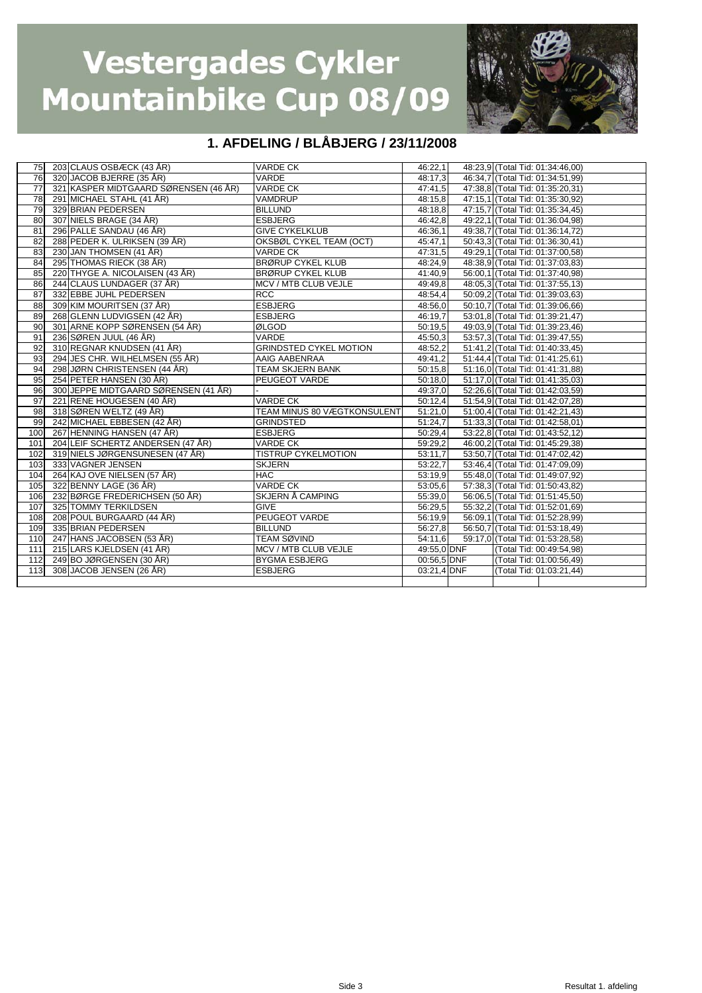

| 75  | 203 CLAUS OSBÆCK (43 ÅR)              | <b>VARDE CK</b>               | 46:22,1     |  | 48:23.9 (Total Tid: 01:34:46,00) |
|-----|---------------------------------------|-------------------------------|-------------|--|----------------------------------|
| 76  | 320 JACOB BJERRE (35 ÅR)              | VARDE                         | 48:17,3     |  | 46:34,7 (Total Tid: 01:34:51,99) |
| 77  | 321 KASPER MIDTGAARD SØRENSEN (46 ÅR) | <b>VARDE CK</b>               | 47:41.5     |  | 47:38.8 (Total Tid: 01:35:20.31) |
| 78  | 291 MICHAEL STAHL (41 ÅR)             | VAMDRUP                       | 48:15,8     |  | 47:15,1 (Total Tid: 01:35:30,92) |
| 79  | 329 BRIAN PEDERSEN                    | <b>BILLUND</b>                | 48:18,8     |  | 47:15.7 (Total Tid: 01:35:34.45) |
| 80  | 307 NIELS BRAGE (34 ÅR)               | <b>ESBJERG</b>                | 46:42,8     |  | 49:22,1 (Total Tid: 01:36:04,98) |
| 81  | 296 PALLE SANDAU (46 ÅR)              | <b>GIVE CYKELKLUB</b>         | 46:36.1     |  | 49:38,7 (Total Tid: 01:36:14,72) |
| 82  | 288 PEDER K. ULRIKSEN (39 ÅR)         | OKSBØL CYKEL TEAM (OCT)       | 45:47.1     |  | 50:43,3 (Total Tid: 01:36:30,41) |
| 83  | 230 JAN THOMSEN (41 ÅR)               | <b>VARDE CK</b>               | 47:31,5     |  | 49:29,1 (Total Tid: 01:37:00,58) |
| 84  | 295 THOMAS RIECK (38 ÅR)              | <b>BRØRUP CYKEL KLUB</b>      | 48:24,9     |  | 48:38,9 (Total Tid: 01:37:03,83) |
| 85  | 220 THYGE A. NICOLAISEN (43 ÅR)       | <b>BRØRUP CYKEL KLUB</b>      | 41:40,9     |  | 56:00,1 (Total Tid: 01:37:40,98) |
| 86  | 244 CLAUS LUNDAGER (37 ÅR)            | MCV / MTB CLUB VEJLE          | 49:49.8     |  | 48:05.3 (Total Tid: 01:37:55.13) |
| 87  | 332 EBBE JUHL PEDERSEN                | <b>RCC</b>                    | 48:54,4     |  | 50:09.2 (Total Tid: 01:39:03.63) |
| 88  | 309 KIM MOURITSEN (37 ÅR)             | <b>ESBJERG</b>                | 48:56,0     |  | 50:10,7 (Total Tid: 01:39:06.66) |
| 89  | 268 GLENN LUDVIGSEN (42 ÅR)           | <b>ESBJERG</b>                | 46:19.7     |  | 53:01,8 (Total Tid: 01:39:21,47) |
| 90  | 301 ARNE KOPP SØRENSEN (54 ÅR)        | ØLGOD                         | 50:19.5     |  | 49:03,9 (Total Tid: 01:39:23,46) |
| 91  | 236 SØREN JUUL (46 ÅR)                | VARDE                         | 45:50,3     |  | 53:57,3 (Total Tid: 01:39:47,55) |
| 92  | 310 REGNAR KNUDSEN (41 ÅR)            | <b>GRINDSTED CYKEL MOTION</b> | 48:52,2     |  | 51:41,2 (Total Tid: 01:40:33,45) |
| 93  | 294 JES CHR. WILHELMSEN (55 ÅR)       | AAIG AABENRAA                 | 49:41,2     |  | 51:44,4 (Total Tid: 01:41:25,61) |
| 94  | 298 JØRN CHRISTENSEN (44 ÅR)          | <b>TEAM SKJERN BANK</b>       | 50:15.8     |  | 51:16,0 (Total Tid: 01:41:31,88) |
| 95  | 254 PETER HANSEN (30 ÅR)              | PEUGEOT VARDE                 | 50:18,0     |  | 51:17,0 (Total Tid: 01:41:35,03) |
| 96  | 300 JEPPE MIDTGAARD SØRENSEN (41 ÅR)  |                               | 49:37,0     |  | 52:26,6 (Total Tid: 01:42:03,59) |
| 97  | 221 RENE HOUGESEN (40 ÅR)             | <b>VARDE CK</b>               | 50:12,4     |  | 51:54,9 (Total Tid: 01:42:07,28) |
| 98  | 318 SØREN WELTZ (49 ÅR)               | TEAM MINUS 80 VÆGTKONSULENT   | 51:21,0     |  | 51:00,4 (Total Tid: 01:42:21,43) |
| 99  | 242 MICHAEL EBBESEN (42 ÅR)           | <b>GRINDSTED</b>              | 51:24,7     |  | 51:33,3 (Total Tid: 01:42:58,01) |
| 100 | 267 HENNING HANSEN (47 ÅR)            | <b>ESBJERG</b>                | 50:29,4     |  | 53:22,8 (Total Tid: 01:43:52,12) |
| 101 | 204 LEIF SCHERTZ ANDERSEN (47 ÅR)     | <b>VARDE CK</b>               | 59:29,2     |  | 46.00.2 (Total Tid: 01:45:29.38) |
| 102 | 319 NIELS JØRGENSUNESEN (47 ÅR)       | <b>TISTRUP CYKELMOTION</b>    | 53:11,7     |  | 53:50,7 (Total Tid: 01:47:02,42) |
| 103 | 333 VAGNER JENSEN                     | <b>SKJERN</b>                 | 53:22,7     |  | 53:46,4 (Total Tid: 01:47:09.09) |
| 104 | 264 KAJ OVE NIELSEN (57 ÅR)           | <b>HAC</b>                    | 53:19,9     |  | 55:48,0 (Total Tid: 01:49:07,92) |
| 105 | 322 BENNY LAGE (36 ÅR)                | <b>VARDE CK</b>               | 53:05,6     |  | 57:38,3 (Total Tid: 01:50:43,82) |
| 106 | 232 BØRGE FREDERICHSEN (50 ÅR)        | SKJERN Å CAMPING              | 55:39,0     |  | 56:06,5 (Total Tid: 01:51:45,50) |
| 107 | 325 TOMMY TERKILDSEN                  | <b>GIVE</b>                   | 56:29.5     |  | 55:32,2 (Total Tid: 01:52:01.69) |
| 108 | 208 POUL BURGAARD (44 ÅR)             | PEUGEOT VARDE                 | 56:19,9     |  | 56:09,1 (Total Tid: 01:52:28,99) |
| 109 | 335 BRIAN PEDERSEN                    | <b>BILLUND</b>                | 56:27,8     |  | 56.50,7 (Total Tid: 01:53:18,49) |
| 110 | 247 HANS JACOBSEN (53 ÅR)             | <b>TEAM SØVIND</b>            | 54:11.6     |  | 59:17.0 (Total Tid: 01:53:28.58) |
| 111 | 215 LARS KJELDSEN (41 ÅR)             | MCV / MTB CLUB VEJLE          | 49:55,0 DNF |  | (Total Tid: 00:49:54,98)         |
| 112 | 249 BO JØRGENSEN (30 ÅR)              | <b>BYGMA ESBJERG</b>          | 00:56.5 DNF |  | (Total Tid: 01:00:56.49)         |
| 113 | 308 JACOB JENSEN (26 ÅR)              | <b>ESBJERG</b>                | 03:21,4 DNF |  | (Total Tid: 01:03:21,44)         |
|     |                                       |                               |             |  |                                  |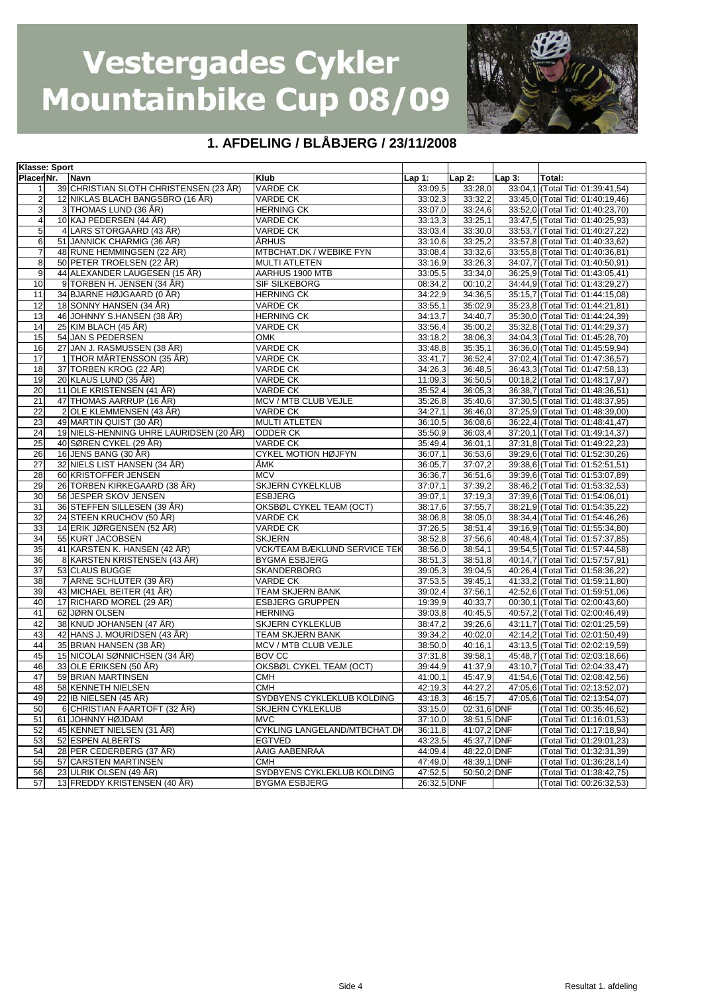

| Klasse: Sport   |  |                                         |                              |             |                    |          |                                  |
|-----------------|--|-----------------------------------------|------------------------------|-------------|--------------------|----------|----------------------------------|
| Placer Nr.      |  | <b>Navn</b>                             | Klub                         | Lap 1:      | Lap 2:             | $Lap3$ : | Total:                           |
| $\mathbf{1}$    |  | 39 CHRISTIAN SLOTH CHRISTENSEN (23 ÅR)  | <b>VARDE CK</b>              | 33:09.5     | 33:28,0            |          | 33:04,1 (Total Tid: 01:39:41,54) |
| $\overline{2}$  |  | 12 NIKLAS BLACH BANGSBRO (16 ÅR)        | <b>VARDE CK</b>              | 33:02,3     | 33:32,2            |          | 33:45.0 (Total Tid: 01:40:19.46) |
| 3               |  | 3 THOMAS LUND (36 ÅR)                   | <b>HERNING CK</b>            | 33:07,0     | 33:24,6            |          | 33:52,0 (Total Tid: 01:40:23,70) |
| $\overline{4}$  |  | 10 KAJ PEDERSEN (44 ÅR)                 | VARDE CK                     | 33:13,3     | 33:25,1            |          | 33:47,5 (Total Tid: 01:40:25,93) |
| 5               |  | 4 LARS STORGAARD (43 ÅR)                | VARDE CK                     | 33:03.4     | 33:30,0            |          | 33:53,7 (Total Tid: 01:40:27,22) |
| 6               |  | 51 JANNICK CHARMIG (36 ÅR)              | ÅRHUS                        | 33:10,6     | 33:25,2            |          | 33:57,8 (Total Tid: 01:40:33,62) |
| $\overline{7}$  |  | 48 RUNE HEMMINGSEN (22 ÅR)              | MTBCHAT.DK / WEBIKE FYN      | 33:08.4     | 33:32,6            |          | 33:55,8 (Total Tid: 01:40:36,81) |
| 8               |  | 50 PETER TROELSEN (22 ÅR)               | <b>MULTI ATLETEN</b>         | 33:16,9     | 33:26,3            |          | 34:07,7 (Total Tid: 01:40:50,91) |
| 9               |  | 44 ALEXANDER LAUGESEN (15 ÅR)           | AARHUS 1900 MTB              | 33:05,5     | 33:34,0            |          | 36:25,9 (Total Tid: 01:43:05,41) |
| 10              |  | 9 TORBEN H. JENSEN (34 ÅR)              | SIF SILKEBORG                | 08:34,2     | 00:10,2            |          | 34:44,9 (Total Tid: 01:43:29,27) |
| 11              |  | 34 BJARNE HØJGAARD (0 ÅR)               |                              | 34:22,9     |                    |          |                                  |
|                 |  | 18 SONNY HANSEN (34 ÅR)                 | <b>HERNING CK</b>            |             | 34:36,5<br>35:02,9 |          | 35:15,7 (Total Tid: 01:44:15,08) |
| 12              |  |                                         | VARDE CK                     | 33:55,1     |                    |          | 35:23,8 (Total Tid: 01:44:21,81) |
| 13              |  | 46 JOHNNY S.HANSEN (38 ÅR)              | <b>HERNING CK</b>            | 34:13.7     | 34:40,7            |          | 35:30,0 (Total Tid: 01:44:24,39) |
| 14              |  | 25 KIM BLACH (45 ÅR)                    | VARDE CK                     | 33:56,4     | 35:00,2            |          | 35:32,8 (Total Tid: 01:44:29,37) |
| 15              |  | 54 JAN S PEDERSEN                       | OMK                          | 33:18,2     | 38:06,3            |          | 34:04,3 (Total Tid: 01:45:28,70) |
| 16              |  | 27 JAN J. RASMUSSEN (38 ÅR)             | VARDE CK                     | 33:48,8     | 35:35,1            |          | 36:36,0 (Total Tid: 01:45:59,94) |
| 17              |  | 1 THOR MÅRTENSSON (35 ÅR)               | VARDE CK                     | 33:41,7     | 36:52,4            |          | 37:02,4 (Total Tid: 01:47:36,57) |
| 18              |  | 37 TORBEN KROG (22 ÅR)                  | VARDE CK                     | 34:26,3     | 36:48,5            |          | 36:43,3 (Total Tid: 01:47:58,13) |
| 19              |  | 20 KLAUS LUND (35 ÅR)                   | VARDE CK                     | 11:09.3     | 36:50,5            |          | 00:18,2 (Total Tid: 01:48:17,97) |
| 20              |  | 11 OLE KRISTENSEN (41 ÅR)               | VARDE CK                     | 35:52,4     | 36:05,3            |          | 36:38,7 (Total Tid: 01:48:36,51) |
| 21              |  | 47 THOMAS AARRUP (16 ÅR)                | MCV / MTB CLUB VEJLE         | 35:26,8     | 35:40,6            |          | 37:30,5 (Total Tid: 01:48:37,95) |
| 22              |  | 2 OLE KLEMMENSEN (43 ÅR)                | VARDE CK                     | 34:27,1     | 36:46.0            |          | 37:25,9 (Total Tid: 01:48:39,00) |
| 23              |  | 49 MARTIN QUIST (30 ÅR)                 | <b>MULTI ATLETEN</b>         | 36:10,5     | 36:08,6            |          | 36:22,4 (Total Tid: 01:48:41,47) |
| 24              |  | 19 NIELS-HENNING UHRE LAURIDSEN (20 ÅR) | <b>ODDER CK</b>              | 35:50,9     | 36:03,4            |          | 37:20,1 (Total Tid: 01:49:14,37) |
| 25              |  | 40 SØREN CYKEL (29 ÅR)                  | VARDE CK                     | 35:49.4     | 36:01,1            |          | 37:31,8 (Total Tid: 01:49:22,23) |
| 26              |  | 16 JENS BANG (30 ÅR)                    | CYKEL MOTION HØJFYN          | 36:07,1     | 36:53,6            |          | 39:29,6 (Total Tid: 01:52:30,26) |
| $\overline{27}$ |  | 32 NIELS LIST HANSEN (34 ÅR)            | ÅMK                          | 36:05.7     | 37:07,2            |          | 39:38,6 (Total Tid: 01:52:51,51) |
| 28              |  | 60 KRISTOFFER JENSEN                    | <b>MCV</b>                   | 36:36,7     | 36:51,6            |          | 39:39,6 (Total Tid: 01:53:07,89) |
| 29              |  | 26 TORBEN KIRKEGAARD (38 ÅR)            | <b>SKJERN CYKELKLUB</b>      | 37:07.1     | 37:39,2            |          | 38:46,2 (Total Tid: 01:53:32,53) |
| 30              |  | 56 JESPER SKOV JENSEN                   | <b>ESBJERG</b>               | 39:07,1     | 37:19,3            |          | 37:39,6 (Total Tid: 01:54:06,01) |
| 31              |  | 36 STEFFEN SILLESEN (39 ÅR)             | OKSBØL CYKEL TEAM (OCT)      | 38:17,6     | 37:55,7            |          | 38:21,9 (Total Tid: 01:54:35,22) |
| 32              |  | 24 STEEN KRUCHOV (50 ÅR)                | VARDE CK                     | 38:06,8     | 38:05,0            |          | 38:34,4 (Total Tid: 01:54:46,26) |
| 33              |  | 14 ERIK JØRGENSEN (52 ÅR)               | VARDE CK                     | 37:26,5     | 38:51,4            |          | 39:16,9 (Total Tid: 01:55:34,80) |
| 34              |  | 55 KURT JACOBSEN                        | SKJERN                       | 38:52,8     | 37:56,6            |          | 40:48,4 (Total Tid: 01:57:37,85) |
| 35              |  | 41 KARSTEN K. HANSEN (42 ÅR)            | VCK/TEAM BÆKLUND SERVICE TEK | 38:56,0     | 38:54,1            |          | 39:54,5 (Total Tid: 01:57:44,58) |
| 36              |  | 8 KARSTEN KRISTENSEN (43 ÅR)            | <b>BYGMA ESBJERG</b>         | 38:51,3     | 38:51,8            |          | 40:14,7 (Total Tid: 01:57:57,91) |
| $\overline{37}$ |  | 53 CLAUS BUGGE                          |                              |             |                    |          |                                  |
|                 |  | 7 ARNE SCHLÜTER (39 ÅR)                 | SKANDERBORG                  | 39:05,3     | 39:04.5            |          | 40:26,4 (Total Tid: 01:58:36,22) |
| 38              |  |                                         | VARDE CK                     | 37:53,5     | 39:45,1            |          | 41:33,2 (Total Tid: 01:59:11,80) |
| 39              |  | 43 MICHAEL BEITER (41 ÅR)               | TEAM SKJERN BANK             | 39:02,4     | 37:56,1            |          | 42:52,6 (Total Tid: 01:59:51,06) |
| 40              |  | 17 RICHARD MOREL (29 ÅR)                | ESBJERG GRUPPEN              | 19:39,9     | 40:33,7            |          | 00:30,1 (Total Tid: 02:00:43,60) |
| 41              |  | 62 JØRN OLSEN                           | <b>HERNING</b>               | 39:03,8     | 40:45,5            |          | 40:57,2 (Total Tid: 02:00:46,49) |
| 42              |  | 38 KNUD JOHANSEN (47 ÅR)                | <b>SKJERN CYKLEKLUB</b>      | 38:47,2     | 39:26,6            |          | 43:11,7 (Total Tid: 02:01:25,59) |
| 43              |  | 42 HANS J. MOURIDSEN (43 ÅR)            | TEAM SKJERN BANK             | 39:34,2     | 40:02,0            |          | 42:14,2 (Total Tid: 02:01:50,49) |
| 44              |  | 35 BRIAN HANSEN (38 ÅR)                 | MCV / MTB CLUB VEJLE         | 38:50,0     | 40:16,1            |          | 43:13,5 (Total Tid: 02:02:19,59) |
| 45              |  | 15 NICOLAI SØNNICHSEN (34 ÅR)           | BOV CC                       | 37:31,8     | 39:58,1            |          | 45:48,7 (Total Tid: 02:03:18,66) |
| 46              |  | 33 OLE ERIKSEN (50 ÅR)                  | OKSBØL CYKEL TEAM (OCT)      | 39:44,9     | 41:37,9            |          | 43:10,7 (Total Tid: 02:04:33,47) |
| 47              |  | 59 BRIAN MARTINSEN                      | CMH                          | 41:00,1     | 45:47,9            |          | 41:54,6 (Total Tid: 02:08:42,56) |
| 48              |  | 58 KENNETH NIELSEN                      | <b>CMH</b>                   | 42:19,3     | 44:27,2            |          | 47:05.6 (Total Tid: 02:13:52.07) |
| 49              |  | 22 IB NIELSEN (45 ÅR)                   | SYDBYENS CYKLEKLUB KOLDING   | 43:18,3     | 46:15,7            |          | 47:05,6 (Total Tid: 02:13:54,07) |
| 50              |  | 6 CHRISTIAN FAARTOFT (32 ÅR)            | <b>SKJERN CYKLEKLUB</b>      | 33:15,0     | 02:31,6 DNF        |          | (Total Tid: 00:35:46,62)         |
| 51              |  | 61 JOHNNY HØJDAM                        | <b>MVC</b>                   | 37:10.0     | 38:51,5 DNF        |          | (Total Tid: 01:16:01,53)         |
| 52              |  | 45 KENNET NIELSEN (31 ÅR)               | CYKLING LANGELAND/MTBCHAT.DK | 36:11,8     | 41:07,2 DNF        |          | (Total Tid: 01:17:18,94)         |
| 53              |  | 52 ESPEN ALBERTS                        | <b>EGTVED</b>                | 43:23,5     | 45:37,7 DNF        |          | (Total Tid: 01:29:01,23)         |
| 54              |  | 28 PER CEDERBERG (37 ÅR)                | AAIG AABENRAA                | 44:09,4     | 48:22,0 DNF        |          | (Total Tid: 01:32:31,39)         |
| 55              |  | 57 CARSTEN MARTINSEN                    | CMH                          | 47:49,0     | 48:39,1 DNF        |          | (Total Tid: 01:36:28,14)         |
| 56              |  | 23 ULRIK OLSEN (49 ÅR)                  | SYDBYENS CYKLEKLUB KOLDING   | 47:52,5     | 50:50,2 DNF        |          | (Total Tid: 01:38:42,75)         |
| 57              |  | 13 FREDDY KRISTENSEN (40 ÅR)            | <b>BYGMA ESBJERG</b>         | 26:32,5 DNF |                    |          | (Total Tid: 00:26:32,53)         |
|                 |  |                                         |                              |             |                    |          |                                  |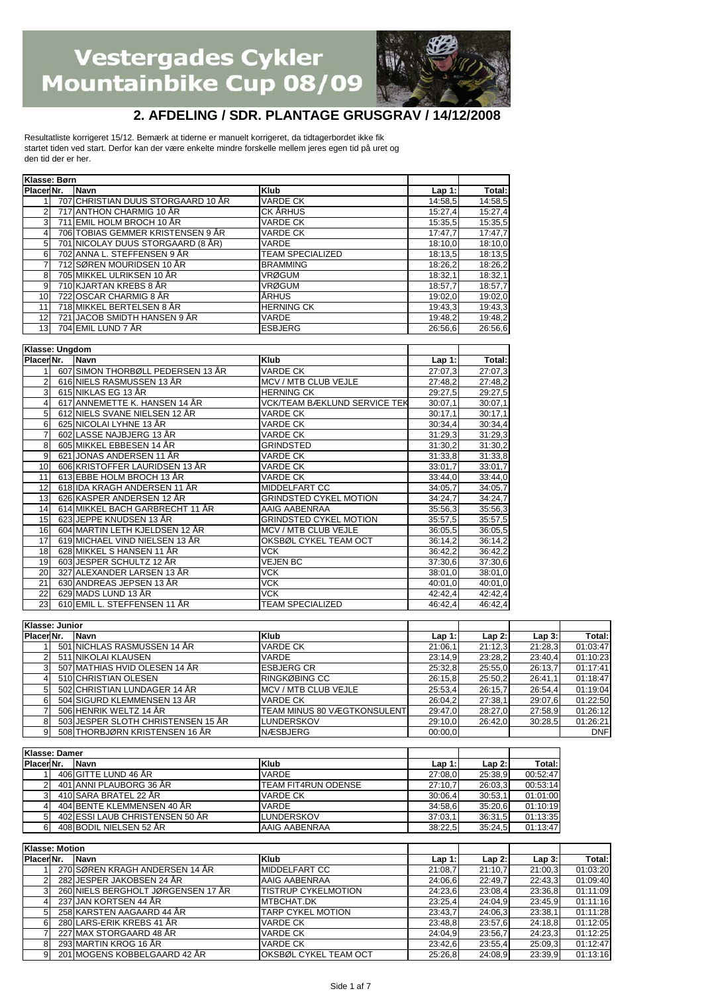

#### **2. AFDELING / SDR. PLANTAGE GRUSGRAV / 14/12/2008**

Resultatliste korrigeret 15/12. Bemærk at tiderne er manuelt korrigeret, da tidtagerbordet ikke fik startet tiden ved start. Derfor kan der være enkelte mindre forskelle mellem jeres egen tid på uret og den tid der er her.

| Klasse: Børn   |                                    |                                                |          |                                                                                      |
|----------------|------------------------------------|------------------------------------------------|----------|--------------------------------------------------------------------------------------|
| Placer Nr.     | Navn                               | <b>Klub</b>                                    | Lap 1:   | Total:                                                                               |
| 1              | 707 CHRISTIAN DUUS STORGAARD 10 ÅR | <b>VARDE CK</b>                                | 14:58,5  | 14:58.5                                                                              |
| $\overline{2}$ | 717 ANTHON CHARMIG 10 ÅR           | <b>CK ÅRHUS</b>                                | 15:27,4  | 15:27.4                                                                              |
| 3              | 711 EMIL HOLM BROCH 10 ÅR          | <b>VARDE CK</b>                                | 15:35.5  | 15:35.5                                                                              |
| $\overline{4}$ | 706 TOBIAS GEMMER KRISTENSEN 9 ÅR  | VARDE CK                                       | 17:47,7  | 17:47.7                                                                              |
| 5              | 701 NICOLAY DUUS STORGAARD (8 ÅR)  | VARDE                                          | 18:10,0  | 18:10,0                                                                              |
| 6              | 702 ANNA L. STEFFENSEN 9 ÅR        | <b>TEAM SPECIALIZED</b>                        | 18:13.5  | 18:13.5                                                                              |
| $\overline{7}$ | 712 SØREN MOURIDSEN 10 ÅR          | <b>BRAMMING</b>                                | 18:26,2  | 18:26,2                                                                              |
| 8              | 705 MIKKEL ULRIKSEN 10 ÅR          | <b>VRØGUM</b>                                  | 18:32,1  | 18:32,1                                                                              |
| 9              | 710 KJARTAN KREBS 8 ÅR             | <b>VRØGUM</b>                                  | 18:57,7  | 18:57,7                                                                              |
| 10             | 722 OSCAR CHARMIG 8 ÅR             | <b>ÅRHUS</b>                                   | 19:02,0  | 19:02,0                                                                              |
| 11             | 718 MIKKEL BERTELSEN 8 ÅR          | <b>HERNING CK</b>                              | 19:43,3  | 19:43.3                                                                              |
| 12             | 721 JACOB SMIDTH HANSEN 9 ÅR       | VARDE                                          | 19:48,2  | 19:48.2                                                                              |
| 13             | 704 EMIL LUND 7 ÅR                 | <b>ESBJERG</b>                                 | 26:56.6  | 26:56.6                                                                              |
|                |                                    |                                                |          |                                                                                      |
| Klasse: Ungdom |                                    |                                                |          |                                                                                      |
| Placer Nr.     | Navn                               | <b>Klub</b>                                    | $Lap1$ : | Total:                                                                               |
|                | 607 SIMON THORBØLL PEDERSEN 13 ÅR  | <b>VARDE CK</b>                                | 27:07.3  | 27:07.3                                                                              |
| $\overline{2}$ | 616 NIELS RASMUSSEN 13 ÅR          | MCV / MTB CLUB VEJLE                           | 27:48,2  | 27:48.2                                                                              |
| 3              | 615 NIKLAS EG 13 ÅR                | <b>HERNING CK</b>                              | 29:27.5  | 29:27.5                                                                              |
| $\overline{4}$ | 617 ANNEMETTE K. HANSEN 14 ÅR      | <b>VCK/TEAM BÆKLUND SERVICE TEK</b>            | 30:07,1  | 30:07.1                                                                              |
| 5              | 612 NIELS SVANE NIELSEN 12 ÅR      | <b>VARDE CK</b>                                | 30:17,1  | 30:17,1                                                                              |
| 6              | 625 NICOLAI LYHNE 13 ÅR            | <b>VARDE CK</b>                                | 30:34,4  | 30:34,4                                                                              |
| $\overline{7}$ | 602 LASSE NAJBJERG 13 ÅR           | <b>VARDE CK</b>                                | 31:29.3  | 31:29.3                                                                              |
| 8              | 605 MIKKEL EBBESEN 14 ÅR           | <b>GRINDSTED</b>                               | 31:30,2  | 31:30,2                                                                              |
| $\overline{9}$ | 621 JONAS ANDERSEN 11 ÅR           | <b>VARDE CK</b>                                | 31:33.8  | 31:33.8                                                                              |
| 10             | 606 KRISTOFFER LAURIDSEN 13 ÅR     | <b>VARDE CK</b>                                | 33:01,7  | 33:01,7                                                                              |
| 11             | 613 EBBE HOLM BROCH 13 ÅR          | <b>VARDE CK</b>                                |          |                                                                                      |
|                |                                    |                                                | 33:44.0  |                                                                                      |
| 12             | 618 IDA KRAGH ANDERSEN 11 ÅR       |                                                | 34:05.7  |                                                                                      |
| 13             | 626 KASPER ANDERSEN 12 ÅR          | MIDDELFART CC                                  | 34:24.7  | 33:44.0<br>34:05.7<br>34:24.7                                                        |
| 14             | 614 MIKKEL BACH GARBRECHT 11 ÅR    | <b>GRINDSTED CYKEL MOTION</b><br>AAIG AABENRAA | 35:56,3  | 35:56,3                                                                              |
| 15             | 623 JEPPE KNUDSEN 13 ÅR            | <b>GRINDSTED CYKEL MOTION</b>                  | 35:57.5  |                                                                                      |
| 16             | 604 MARTIN LETH KJELDSEN 12 ÅR     | MCV / MTB CLUB VEJLE                           | 36:05.5  |                                                                                      |
| 17             | 619 MICHAEL VIND NIELSEN 13 ÅR     | OKSBØL CYKEL TEAM OCT                          | 36:14,2  |                                                                                      |
| 18             | 628 MIKKEL S HANSEN 11 ÅR          | <b>VCK</b>                                     | 36:42,2  |                                                                                      |
| 19             | 603 JESPER SCHULTZ 12 ÅR           | <b>VEJEN BC</b>                                | 37:30.6  |                                                                                      |
| 20             | 327 ALEXANDER LARSEN 13 ÅR         | VCK                                            | 38:01.0  |                                                                                      |
| 21             | 630 ANDREAS JEPSEN 13 ÅR           | <b>VCK</b>                                     | 40:01.0  |                                                                                      |
| 22             | 629 MADS LUND 13 ÅR                | VCK.                                           | 42:42.4  | 35:57.5<br>36:05.5<br>36:14,2<br>36:42,2<br>37:30.6<br>38:01.0<br>40:01.0<br>42:42.4 |

|                       | Klasse: Junior |                                    |                                    |          |          |         |            |
|-----------------------|----------------|------------------------------------|------------------------------------|----------|----------|---------|------------|
| Placer <sub>Nr.</sub> |                | Navn                               | <b>Klub</b>                        | $Lap1$ : | $Lap2$ : | Lap3:   | Total:     |
|                       |                | 501 NICHLAS RASMUSSEN 14 ÅR        | <b>VARDE CK</b>                    | 21:06,1  | 21:12.3  | 21:28.3 | 01:03:47   |
|                       |                | 511 NIKOLAI KLAUSEN                | <b>VARDE</b>                       | 23:14.9  | 23:28,2  | 23:40.4 | 01:10:23   |
|                       |                | 507 MATHIAS HVID OLESEN 14 ÅR      | <b>ESBJERG CR</b>                  | 25:32,8  | 25:55,0  | 26:13.7 | 01:17:41   |
|                       |                | 510 CHRISTIAN OLESEN               | RINGKØBING CC                      | 26:15.8  | 25:50.2  | 26:41.1 | 01:18:47   |
|                       |                | 502 CHRISTIAN LUNDAGER 14 ÅR       | MCV / MTB CLUB VEJLE               | 25:53,4  | 26:15.7  | 26:54,4 | 01:19:04   |
|                       |                | 504 SIGURD KLEMMENSEN 13 ÅR        | <b>VARDE CK</b>                    | 26:04.2  | 27:38.1  | 29:07.6 | 01:22:50   |
|                       |                | 506 HENRIK WELTZ 14 ÅR             | <b>TEAM MINUS 80 VÆGTKONSULENT</b> | 29:47,0  | 28:27,0  | 27:58,9 | 01:26:12   |
|                       |                | 503 JESPER SLOTH CHRISTENSEN 15 ÅR | LUNDERSKOV                         | 29:10,0  | 26:42.0  | 30:28.5 | 01:26:21   |
|                       |                | 508 THORBJØRN KRISTENSEN 16 ÅR     | NÆSBJERG                           | 00:00,0  |          |         | <b>DNF</b> |

| Klasse: Damer |                                 |                            |          |         |          |
|---------------|---------------------------------|----------------------------|----------|---------|----------|
| PlacerNr.     | <b>Navn</b>                     | <b>Klub</b>                | $Lap1$ : | Lap 2:  | Total:   |
|               | 406 GITTE LUND 46 ÅR            | <b>VARDE</b>               | 27:08.0  | 25:38.9 | 00:52:47 |
|               | 401 ANNI PLAUBORG 36 ÅR         | <b>TEAM FIT4RUN ODENSE</b> | 27:10.7  | 26:03.3 | 00:53:14 |
|               | 410 SARA BRATEL 22 ÅR           | <b>VARDE CK</b>            | 30:06.4  | 30:53.1 | 01:01:00 |
|               | 404 BENTE KLEMMENSEN 40 ÅR      | <b>VARDE</b>               | 34:58.6  | 35:20.6 | 01:10:19 |
|               | 402 ESSI LAUB CHRISTENSEN 50 ÅR | LUNDERSKOV                 | 37:03.1  | 36:31.5 | 01:13:35 |
|               | 408 BODIL NIELSEN 52 ÅR         | AAIG AABENRAA              | 38:22,5  | 35:24.5 | 01:13:47 |

|            | Klasse: Motion |                                    |                            |          |          |         |          |
|------------|----------------|------------------------------------|----------------------------|----------|----------|---------|----------|
| Placer Nr. |                | <b>Navn</b>                        | <b>Klub</b>                | $Lap1$ : | $Lap2$ : | Lap3:   | Total:   |
|            |                | 270 SØREN KRAGH ANDERSEN 14 ÅR     | <b>MIDDELFART CC</b>       | 21:08.7  | 21:10.7  | 21:00,3 | 01:03:20 |
|            |                | 282 JESPER JAKOBSEN 24 ÅR          | AAIG AABENRAA              | 24:06.6  | 22:49.7  | 22:43.3 | 01:09:40 |
|            |                | 260 NIELS BERGHOLT JØRGENSEN 17 ÅR | <b>TISTRUP CYKELMOTION</b> | 24:23.6  | 23:08,4  | 23:36,8 | 01:11:09 |
|            |                | 237 JAN KORTSEN 44 ÅR              | MTBCHAT.DK                 | 23:25,4  | 24:04,9  | 23:45,9 | 01:11:16 |
|            |                | 258 KARSTEN AAGAARD 44 ÅR          | <b>TARP CYKEL MOTION</b>   | 23:43,7  | 24:06,3  | 23:38.1 | 01:11:28 |
|            |                | 280 LARS-ERIK KREBS 41 ÅR          | <b>VARDE CK</b>            | 23:48.8  | 23:57.6  | 24:18.8 | 01:12:05 |
|            |                | 227 MAX STORGAARD 48 ÅR            | <b>VARDE CK</b>            | 24:04.9  | 23:56,7  | 24:23.3 | 01:12:25 |
|            |                | 293 MARTIN KROG 16 ÅR              | <b>VARDE CK</b>            | 23:42,6  | 23:55,4  | 25:09,3 | 01:12:47 |
|            |                | 201 MOGENS KOBBELGAARD 42 ÅR       | OKSBØL CYKEL TEAM OCT      | 25:26.8  | 24:08.9  | 23:39.9 | 01:13:16 |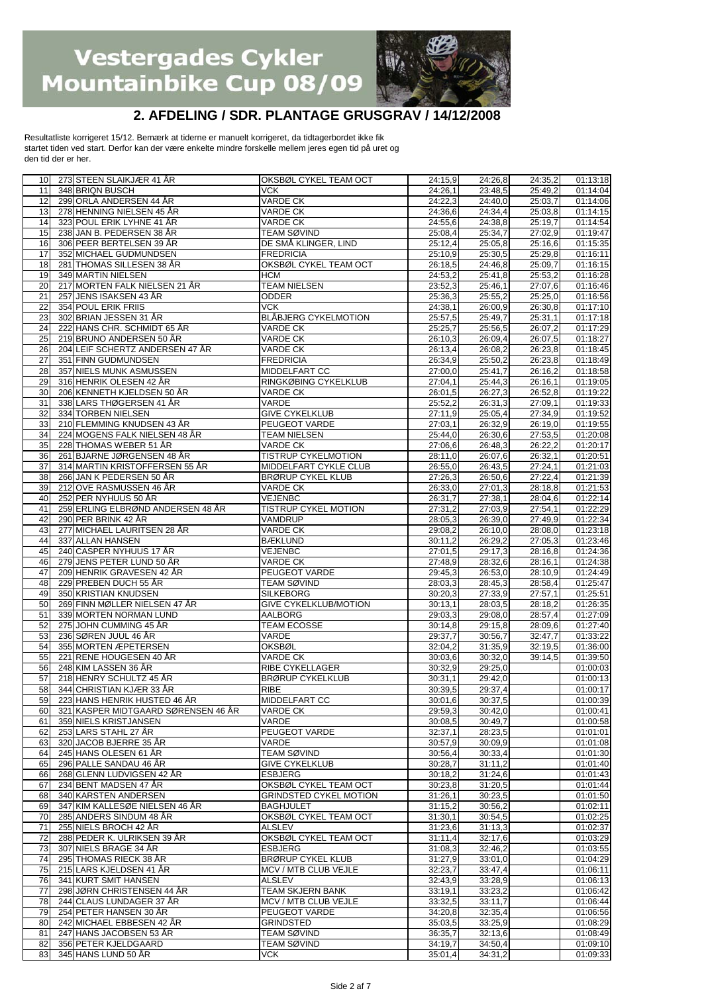

### **2. AFDELING / SDR. PLANTAGE GRUSGRAV / 14/12/2008**

Resultatliste korrigeret 15/12. Bemærk at tiderne er manuelt korrigeret, da tidtagerbordet ikke fik startet tiden ved start. Derfor kan der være enkelte mindre forskelle mellem jeres egen tid på uret og den tid der er her.

| 10 <sup>1</sup> | 273 STEEN SLAIKJÆR 41 ÅR            | OKSBØL CYKEL TEAM OCT         | 24:15,9 | 24:26,8 | 24:35,2 | 01:13:18 |
|-----------------|-------------------------------------|-------------------------------|---------|---------|---------|----------|
| 11              | 348 BRIQN BUSCH                     | <b>VCK</b>                    | 24:26,1 | 23:48,5 | 25:49,2 | 01:14:04 |
| 12              | 299 ORLA ANDERSEN 44 ÅR             | <b>VARDE CK</b>               | 24:22,3 | 24:40,0 | 25:03.7 | 01:14:06 |
| 13              | 278 HENNING NIELSEN 45 ÅR           | <b>VARDE CK</b>               | 24:36,6 | 24:34,4 | 25:03,8 | 01:14:15 |
| 14              | 323 POUL ERIK LYHNE 41 ÅR           | <b>VARDE CK</b>               | 24:55,6 | 24:38.8 | 25:19,7 | 01:14:54 |
| 15              | 238 JAN B. PEDERSEN 38 ÅR           | TEAM SØVIND                   | 25:08,4 | 25:34,7 | 27:02,9 | 01:19:47 |
| 16              | 306 PEER BERTELSEN 39 ÅR            | DE SMÅ KLINGER, LIND          | 25:12,4 | 25:05.8 | 25:16.6 | 01:15:35 |
| 17              | 352 MICHAEL GUDMUNDSEN              | <b>FREDRICIA</b>              | 25:10,9 | 25:30,5 | 25:29,8 | 01:16:11 |
| 18              | 281 THOMAS SILLESEN 38 ÅR           | OKSBØL CYKEL TEAM OCT         | 26:18,5 | 24:46,8 | 25:09.7 | 01:16:15 |
| 19              | 349 MARTIN NIELSEN                  | <b>HCM</b>                    | 24:53,2 | 25:41,8 | 25:53,2 | 01:16:28 |
| 20              | 217 MORTEN FALK NIELSEN 21 ÅR       | <b>TEAM NIELSEN</b>           | 23:52,3 | 25:46,1 | 27:07.6 | 01:16:46 |
| 21              | 257 JENS ISAKSEN 43 ÅR              | <b>ODDER</b>                  | 25:36,3 | 25:55,2 | 25:25,0 | 01:16:56 |
| 22              | 354 POUL ERIK FRIIS                 | <b>VCK</b>                    | 24:38,1 | 26:00.9 | 26:30,8 | 01:17:10 |
| 23              | 302 BRIAN JESSEN 31 ÅR              | <b>BLÅBJERG CYKELMOTION</b>   | 25:57,5 | 25:49.7 | 25:31,1 | 01:17:18 |
| 24              | 222 HANS CHR. SCHMIDT 65 ÅR         | <b>VARDE CK</b>               | 25:25,7 | 25:56,5 | 26:07.2 | 01:17:29 |
| 25              | 219 BRUNO ANDERSEN 50 ÅR            | <b>VARDE CK</b>               | 26:10,3 | 26:09,4 | 26:07.5 | 01:18:27 |
| 26              | 204 LEIF SCHERTZ ANDERSEN 47 ÅR     | <b>VARDE CK</b>               | 26:13,4 | 26:08.2 | 26:23,8 | 01:18:45 |
| 27              | 351 FINN GUDMUNDSEN                 | <b>FREDRICIA</b>              |         |         |         |          |
|                 |                                     |                               | 26:34,9 | 25:50,2 | 26:23,8 | 01:18:49 |
| 28              | 357 NIELS MUNK ASMUSSEN             | MIDDELFART CC                 | 27:00,0 | 25:41,7 | 26:16.2 | 01:18:58 |
| 29              | 316 HENRIK OLESEN 42 ÅR             | RINGKØBING CYKELKLUB          | 27:04,1 | 25:44,3 | 26:16,1 | 01:19:05 |
| 30              | 206 KENNETH KJELDSEN 50 ÅR          | <b>VARDE CK</b>               | 26:01,5 | 26:27,3 | 26:52,8 | 01:19:22 |
| 31              | 338 LARS THØGERSEN 41 ÅR            | VARDE                         | 25:52,2 | 26:31,3 | 27:09,1 | 01:19:33 |
| 32              | 334 TORBEN NIELSEN                  | <b>GIVE CYKELKLUB</b>         | 27:11,9 | 25:05,4 | 27:34,9 | 01:19:52 |
| 33              | 210 FLEMMING KNUDSEN 43 ÅR          | PEUGEOT VARDE                 | 27:03,1 | 26:32,9 | 26:19,0 | 01:19:55 |
| 34              | 224 MOGENS FALK NIELSEN 48 ÅR       | <b>TEAM NIELSEN</b>           | 25:44,0 | 26:30,6 | 27:53,5 | 01:20:08 |
| 35              | 228 THOMAS WEBER 51 ÅR              | <b>VARDE CK</b>               | 27:06,6 | 26:48,3 | 26:22,2 | 01:20:17 |
| 36              | 261 BJARNE JØRGENSEN 48 ÅR          | TISTRUP CYKELMOTION           | 28:11,0 | 26:07,6 | 26:32,1 | 01:20:51 |
| 37              | 314 MARTIN KRISTOFFERSEN 55 ÅR      | MIDDELFART CYKLE CLUB         | 26:55,0 | 26:43,5 | 27:24,1 | 01:21:03 |
| 38              | 266 JAN K PEDERSEN 50 ÅR            | <b>BRØRUP CYKEL KLUB</b>      | 27:26,3 | 26:50,6 | 27:22,4 | 01:21:39 |
| 39              | 212 OVE RASMUSSEN 46 ÅR             | VARDE CK                      | 26:33,0 | 27:01,3 | 28:18,8 | 01:21:53 |
| 40              | 252 PER NYHUUS 50 ÅR                | <b>VEJENBC</b>                | 26:31,7 | 27:38,1 | 28:04.6 | 01:22:14 |
| 41              | 259 ERLING ELBRØND ANDERSEN 48 ÅR   | <b>TISTRUP CYKEL MOTION</b>   | 27:31,2 | 27:03.9 | 27:54,1 | 01:22:29 |
| 42              | 290 PER BRINK 42 ÅR                 | <b>VAMDRUP</b>                | 28:05,3 | 26:39,0 | 27:49.9 | 01:22:34 |
| 43              | 277 MICHAEL LAURITSEN 28 ÅR         | VARDE CK                      | 29:08,2 | 26:10,0 | 28:08,0 | 01:23:18 |
| 44              | 337 ALLAN HANSEN                    | <b>BÆKLUND</b>                | 30:11,2 | 26:29,2 | 27:05,3 | 01:23:46 |
| 45              | 240 CASPER NYHUUS 17 ÅR             | <b>VEJENBC</b>                | 27:01,5 | 29:17,3 | 28:16,8 | 01:24:36 |
| 46              | 279 JENS PETER LUND 50 ÅR           | <b>VARDE CK</b>               | 27:48,9 | 28:32,6 | 28:16,1 | 01:24:38 |
| 47              | 209 HENRIK GRAVESEN 42 ÅR           | PEUGEOT VARDE                 | 29:45,3 | 26:53,0 | 28:10,9 | 01:24:49 |
| 48              | 229 PREBEN DUCH 55 ÅR               | <b>TEAM SØVIND</b>            | 28:03,3 | 28:45,3 | 28:58,4 | 01:25:47 |
| 49              | 350 KRISTIAN KNUDSEN                | <b>SILKEBORG</b>              | 30:20,3 | 27:33,9 | 27:57,1 | 01:25:51 |
| 50              | 269 FINN MØLLER NIELSEN 47 ÅR       | <b>GIVE CYKELKLUB/MOTION</b>  | 30:13,1 | 28:03,5 | 28:18.2 | 01:26:35 |
| 51              | 339 MORTEN NORMAN LUND              | <b>AALBORG</b>                | 29:03,3 | 29:08,0 | 28:57,4 | 01:27:09 |
| 52              | 275 JOHN CUMMING 45 ÅR              | <b>TEAM ECOSSE</b>            | 30:14,8 | 29:15,8 | 28:09.6 | 01:27:40 |
| 53              | 236 SØREN JUUL 46 ÅR                | VARDE                         | 29:37.7 | 30:56.7 | 32:47,7 | 01:33:22 |
| 54              | 355 MORTEN ÆPETERSEN                | <b>OKSBØL</b>                 |         |         |         |          |
| 55              |                                     |                               |         |         |         |          |
| 56              |                                     |                               | 32:04.2 | 31:35,9 | 32:19.5 | 01:36:00 |
|                 | 221 RENE HOUGESEN 40 ÅR             | <b>VARDE CK</b>               | 30:03,6 | 30:32,0 | 39:14,5 | 01:39:50 |
|                 | 248 KIM LASSEN 36 ÅR                | RIBE CYKELLAGER               | 30:32.9 | 29:25,0 |         | 01:00:03 |
| 57              | 218 HENRY SCHULTZ 45 ÅR             | <b>BRØRUP CYKELKLUB</b>       | 30:31,1 | 29:42,0 |         | 01:00:13 |
| 58              | 344 CHRISTIAN KJÆR 33 ÅR            | <b>RIBE</b>                   | 30:39,5 | 29:37,4 |         | 01:00:17 |
| 59              | 223 HANS HENRIK HUSTED 46 ÅR        | MIDDELFART CC                 | 30:01,6 | 30:37,5 |         | 01:00:39 |
| 60              | 321 KASPER MIDTGAARD SØRENSEN 46 ÅR | VARDE CK                      | 29:59,3 | 30:42,0 |         | 01:00:41 |
| 61              | 359 NIELS KRISTJANSEN               | VARDE                         | 30:08,5 | 30:49.7 |         | 01:00:58 |
| 62              | 253 LARS STAHL 27 ÅR                | PEUGEOT VARDE                 | 32:37,1 | 28:23,5 |         | 01:01:01 |
| 63              | 320 JACOB BJERRE 35 ÅR              | VARDE                         | 30:57,9 | 30:09,9 |         | 01:01:08 |
| 64              | 245 HANS OLESEN 61 ÅR               | <b>TEAM SØVIND</b>            | 30:56,4 | 30:33,4 |         | 01:01:30 |
| 65              | 296 PALLE SANDAU 46 ÅR              | <b>GIVE CYKELKLUB</b>         | 30:28,7 | 31:11,2 |         | 01:01:40 |
| 66              | 268 GLENN LUDVIGSEN 42 ÅR           | <b>ESBJERG</b>                | 30:18,2 | 31:24,6 |         | 01:01:43 |
| 67              | 234 BENT MADSEN 47 ÅR               | OKSBØL CYKEL TEAM OCT         | 30:23,8 | 31:20,5 |         | 01:01:44 |
| 68              | 340 KARSTEN ANDERSEN                | <b>GRINDSTED CYKEL MOTION</b> | 31:26,1 | 30:23,5 |         | 01:01:50 |
| 69              | 347 KIM KALLESØE NIELSEN 46 ÅR      | <b>BAGHJULET</b>              | 31:15,2 | 30:56,2 |         | 01:02:11 |
| 70              | 285 ANDERS SINDUM 48 ÅR             | OKSBØL CYKEL TEAM OCT         | 31:30,1 | 30:54,5 |         | 01:02:25 |
| 71              | 255 NIELS BROCH 42 ÅR               | <b>ALSLEV</b>                 | 31:23,6 | 31:13.3 |         | 01:02:37 |
| 72              | 288 PEDER K. ULRIKSEN 39 ÅR         | OKSBØL CYKEL TEAM OCT         | 31:11,4 | 32:17,6 |         | 01:03:29 |
| 73              | 307 NIELS BRAGE 34 ÅR               | <b>ESBJERG</b>                | 31:08,3 | 32:46,2 |         | 01:03:55 |
| 74              | 295 THOMAS RIECK 38 ÅR              | <b>BRØRUP CYKEL KLUB</b>      | 31:27,9 | 33:01,0 |         | 01:04:29 |
| 75              | 215 LARS KJELDSEN 41 ÅR             | MCV / MTB CLUB VEJLE          | 32:23,7 | 33:47,4 |         | 01:06:11 |
| 76              | 341 KURT SMIT HANSEN                | <b>ALSLEV</b>                 | 32:43,9 | 33:28,9 |         | 01:06:13 |
| 77              | 298 JØRN CHRISTENSEN 44 ÅR          | <b>TEAM SKJERN BANK</b>       | 33:19,1 | 33:23,2 |         | 01:06:42 |
| 78              | 244 CLAUS LUNDAGER 37 ÅR            | MCV / MTB CLUB VEJLE          | 33:32,5 | 33:11,7 |         | 01:06:44 |
| 79              | 254 PETER HANSEN 30 ÅR              | PEUGEOT VARDE                 | 34:20,8 | 32:35,4 |         | 01:06:56 |
| 80              | 242 MICHAEL EBBESEN 42 ÅR           | <b>GRINDSTED</b>              | 35:03,5 | 33:25,9 |         | 01:08:29 |
| 81              | 247 HANS JACOBSEN 53 ÅR             | TEAM SØVIND                   | 36:35,7 | 32:13,6 |         | 01:08:49 |
| 82              | 356 PETER KJELDGAARD                | TEAM SØVIND                   | 34:19,7 | 34:50,4 |         | 01:09:10 |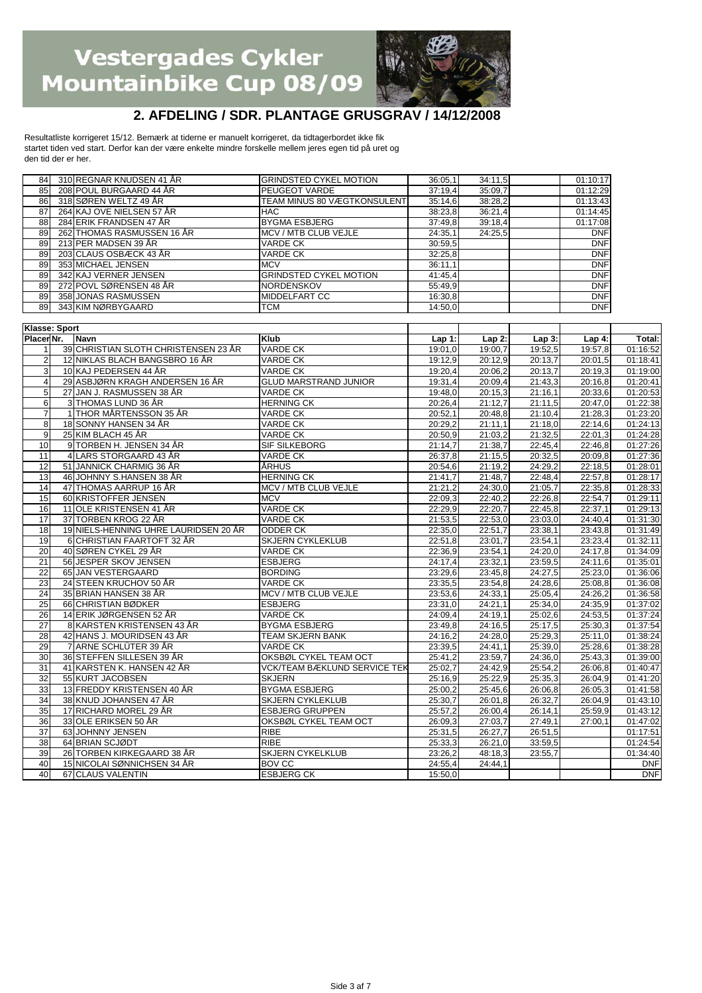

#### **2. AFDELING / SDR. PLANTAGE GRUSGRAV / 14/12/2008**

Resultatliste korrigeret 15/12. Bemærk at tiderne er manuelt korrigeret, da tidtagerbordet ikke fik startet tiden ved start. Derfor kan der være enkelte mindre forskelle mellem jeres egen tid på uret og den tid der er her.

| 84 | 310 REGNAR KNUDSEN 41 ÅR   | IGRINDSTED CYKEL MOTION            | 36:05,1 | 34:11,5 | 01:10:17   |
|----|----------------------------|------------------------------------|---------|---------|------------|
| 85 | 208 POUL BURGAARD 44 ÅR    | <b>PEUGEOT VARDE</b>               | 37:19,4 | 35:09,7 | 01:12:29   |
| 86 | 318 SØREN WELTZ 49 ÅR      | <b>TEAM MINUS 80 VÆGTKONSULENT</b> | 35:14,6 | 38:28,2 | 01:13:43   |
| 87 | 264 KAJ OVE NIELSEN 57 ÅR  | <b>HAC</b>                         | 38:23,8 | 36:21,4 | 01:14:45   |
| 88 | 284 ERIK FRANDSEN 47 ÅR    | <b>BYGMA ESBJERG</b>               | 37:49.8 | 39:18,4 | 01:17:08   |
| 89 | 262 THOMAS RASMUSSEN 16 ÅR | MCV / MTB CLUB VEJLE               | 24:35,1 | 24:25.5 | <b>DNF</b> |
| 89 | 213 PER MADSEN 39 ÅR       | <b>VARDE CK</b>                    | 30:59,5 |         | <b>DNF</b> |
| 89 | 203 CLAUS OSBÆCK 43 ÅR     | <b>VARDE CK</b>                    | 32:25,8 |         | <b>DNF</b> |
| 89 | 353 MICHAEL JENSEN         | <b>MCV</b>                         | 36:11,1 |         | <b>DNF</b> |
| 89 | 342 KAJ VERNER JENSEN      | <b>GRINDSTED CYKEL MOTION</b>      | 41:45,4 |         | <b>DNF</b> |
| 89 | 272 POVL SØRENSEN 48 ÅR    | <b>INORDENSKOV</b>                 | 55:49,9 |         | <b>DNF</b> |
| 89 | 358 JONAS RASMUSSEN        | <b>MIDDELFART CC</b>               | 16:30,8 |         | <b>DNF</b> |
| 89 | 343 KIM NØRBYGAARD         | <b>TCM</b>                         | 14:50,0 |         | <b>DNF</b> |

|                         | <b>Klasse: Sport</b> |                                       |                                     |          |          |          |          |            |
|-------------------------|----------------------|---------------------------------------|-------------------------------------|----------|----------|----------|----------|------------|
| Placer Nr.              |                      | <b>Navn</b>                           | <b>Klub</b>                         | $Lap1$ : | $Lap2$ : | $Lap3$ : | Lap $4:$ | Total:     |
| $\mathbf{1}$            |                      | 39 CHRISTIAN SLOTH CHRISTENSEN 23 ÅR  | <b>VARDE CK</b>                     | 19:01.0  | 19:00.7  | 19:52.5  | 19:57.8  | 01:16:52   |
| $\overline{c}$          |                      | 12 NIKLAS BLACH BANGSBRO 16 ÅR        | <b>VARDE CK</b>                     | 19:12.9  | 20:12,9  | 20:13.7  | 20:01.5  | 01:18:41   |
| 3                       |                      | 10 KAJ PEDERSEN 44 ÅR                 | <b>VARDE CK</b>                     | 19:20,4  | 20:06,2  | 20:13,7  | 20:19,3  | 01:19:00   |
| $\overline{\mathbf{4}}$ |                      | 29 ASBJØRN KRAGH ANDERSEN 16 ÅR       | <b>GLUD MARSTRAND JUNIOR</b>        | 19:31,4  | 20:09,4  | 21:43,3  | 20:16.8  | 01:20:41   |
| 5                       |                      | 27 JAN J. RASMUSSEN 38 ÅR             | <b>VARDE CK</b>                     | 19:48.0  | 20:15.3  | 21:16.1  | 20:33.6  | 01:20:53   |
| 6                       |                      | 3 THOMAS LUND 36 ÅR                   | <b>HERNING CK</b>                   | 20:26,4  | 21:12,7  | 21:11,5  | 20:47,0  | 01:22:38   |
| $\overline{7}$          |                      | 1 THOR MÅRTENSSON 35 ÅR               | <b>VARDE CK</b>                     | 20:52,1  | 20:48,8  | 21:10,4  | 21:28,3  | 01:23:20   |
| 8                       |                      | 18 SONNY HANSEN 34 ÅR                 | <b>VARDE CK</b>                     | 20:29,2  | 21:11,1  | 21:18.0  | 22:14.6  | 01:24:13   |
| 9                       |                      | 25 KIM BLACH 45 ÅR                    | <b>VARDE CK</b>                     | 20:50,9  | 21:03.2  | 21:32,5  | 22:01.3  | 01:24:28   |
| 10                      |                      | 9 TORBEN H. JENSEN 34 ÅR              | SIF SILKEBORG                       | 21:14,7  | 21:38,7  | 22:45,4  | 22:46.8  | 01:27:26   |
| $\overline{11}$         |                      | 4 LARS STORGAARD 43 ÅR                | <b>VARDE CK</b>                     | 26:37.8  | 21:15,5  | 20:32,5  | 20:09.8  | 01:27:36   |
| $\overline{12}$         |                      | 51 JANNICK CHARMIG 36 ÅR              | <b>ÅRHUS</b>                        | 20:54,6  | 21:19,2  | 24:29,2  | 22:18.5  | 01:28:01   |
| 13                      |                      | 46 JOHNNY S.HANSEN 38 ÅR              | <b>HERNING CK</b>                   | 21:41,7  | 21:48,7  | 22:48.4  | 22:57,8  | 01:28:17   |
| 14                      |                      | 47 THOMAS AARRUP 16 ÅR                | MCV / MTB CLUB VEJLE                | 21:21.2  | 24:30,0  | 21:05,7  | 22:35,8  | 01:28:33   |
| 15                      |                      | 60 KRISTOFFER JENSEN                  | <b>MCV</b>                          | 22:09.3  | 22:40,2  | 22:26.8  | 22:54,7  | 01:29:11   |
| 16                      |                      | 11 OLE KRISTENSEN 41 ÅR               | <b>VARDE CK</b>                     | 22:29,9  | 22:20,7  | 22:45.8  | 22:37,1  | 01:29:13   |
| 17                      |                      | 37 TORBEN KROG 22 ÅR                  | <b>VARDE CK</b>                     | 21:53,5  | 22:53,0  | 23:03,0  | 24:40,4  | 01:31:30   |
| $\overline{18}$         |                      | 19 NIELS-HENNING UHRE LAURIDSEN 20 ÅR | <b>ODDER CK</b>                     | 22:35,0  | 22:51,7  | 23:38,1  | 23:43.8  | 01:31:49   |
| 19                      |                      | 6 CHRISTIAN FAARTOFT 32 ÅR            | <b>SKJERN CYKLEKLUB</b>             | 22:51,8  | 23:01.7  | 23:54,1  | 23:23,4  | 01:32:11   |
| 20                      |                      | 40 SØREN CYKEL 29 ÅR                  | <b>VARDE CK</b>                     | 22:36.9  | 23:54,1  | 24:20.0  | 24:17.8  | 01:34:09   |
| 21                      |                      | 56 JESPER SKOV JENSEN                 | <b>ESBJERG</b>                      | 24:17.4  | 23:32,1  | 23:59,5  | 24:11.6  | 01:35:01   |
| $\overline{22}$         |                      | 65 JAN VESTERGAARD                    | <b>BORDING</b>                      | 23:29.6  | 23:45.8  | 24:27.5  | 25:23,0  | 01:36:06   |
| 23                      |                      | 24 STEEN KRUCHOV 50 ÅR                | <b>VARDE CK</b>                     | 23:35,5  | 23:54.8  | 24:28.6  | 25:08.8  | 01:36:08   |
| 24                      |                      | 35 BRIAN HANSEN 38 ÅR                 | MCV / MTB CLUB VEJLE                | 23:53.6  | 24:33,1  | 25:05.4  | 24:26.2  | 01:36:58   |
| 25                      |                      | 66 CHRISTIAN BØDKER                   | <b>ESBJERG</b>                      | 23:31,0  | 24:21.1  | 25:34,0  | 24:35,9  | 01:37:02   |
| 26                      |                      | 14 ERIK JØRGENSEN 52 ÅR               | <b>VARDE CK</b>                     | 24:09,4  | 24:19,1  | 25:02,6  | 24:53,5  | 01:37:24   |
| $\overline{27}$         |                      | 8 KARSTEN KRISTENSEN 43 ÅR            | <b>BYGMA ESBJERG</b>                | 23:49.8  | 24:16.5  | 25:17,5  | 25:30.3  | 01:37:54   |
| $\overline{28}$         |                      | 42 HANS J. MOURIDSEN 43 ÅR            | <b>TEAM SKJERN BANK</b>             | 24:16.2  | 24:28,0  | 25:29,3  | 25:11,0  | 01:38:24   |
| 29                      |                      | 7 ARNE SCHLÜTER 39 ÅR                 | <b>VARDE CK</b>                     | 23:39,5  | 24:41,1  | 25:39,0  | 25:28,6  | 01:38:28   |
| 30                      |                      | 36 STEFFEN SILLESEN 39 ÅR             | OKSBØL CYKEL TEAM OCT               | 25:41.2  | 23:59,7  | 24:36,0  | 25:43.3  | 01:39:00   |
| $\overline{31}$         |                      | 41 KARSTEN K. HANSEN 42 ÅR            | <b>VCK/TEAM BÆKLUND SERVICE TEK</b> | 25:02.7  | 24:42.9  | 25:54.2  | 26:06.8  | 01:40:47   |
| 32                      |                      | 55 KURT JACOBSEN                      | <b>SKJERN</b>                       | 25:16,9  | 25:22,9  | 25:35,3  | 26:04,9  | 01:41:20   |
| 33                      |                      | 13 FREDDY KRISTENSEN 40 ÅR            | <b>BYGMA ESBJERG</b>                | 25:00,2  | 25:45,6  | 26:06,8  | 26:05.3  | 01:41:58   |
| $\overline{34}$         |                      | 38 KNUD JOHANSEN 47 ÅR                | <b>SKJERN CYKLEKLUB</b>             | 25:30,7  | 26:01,8  | 26:32,7  | 26:04.9  | 01:43:10   |
| $\overline{35}$         |                      | 17 RICHARD MOREL 29 ÅR                | <b>ESBJERG GRUPPEN</b>              | 25:57.2  | 26:00,4  | 26:14,1  | 25:59,9  | 01:43:12   |
| 36                      |                      | 33 OLE ERIKSEN 50 ÅR                  | OKSBØL CYKEL TEAM OCT               | 26:09,3  | 27:03.7  | 27:49,1  | 27:00,1  | 01:47:02   |
| $\overline{37}$         |                      | 63 JOHNNY JENSEN                      | <b>RIBE</b>                         | 25:31,5  | 26:27,7  | 26:51.5  |          | 01:17:51   |
| $\overline{38}$         |                      | 64 BRIAN SCJØDT                       | <b>RIBE</b>                         | 25:33.3  | 26:21,0  | 33:59.5  |          | 01:24:54   |
| 39                      |                      | 26 TORBEN KIRKEGAARD 38 ÅR            | <b>SKJERN CYKELKLUB</b>             | 23:26,2  | 48:18,3  | 23:55,7  |          | 01:34:40   |
| 40                      |                      | 15 NICOLAI SØNNICHSEN 34 ÅR           | <b>BOV CC</b>                       | 24:55,4  | 24:44.1  |          |          | <b>DNF</b> |
| 40                      |                      | 67 CLAUS VALENTIN                     | <b>ESBJERG CK</b>                   | 15:50.0  |          |          |          | <b>DNF</b> |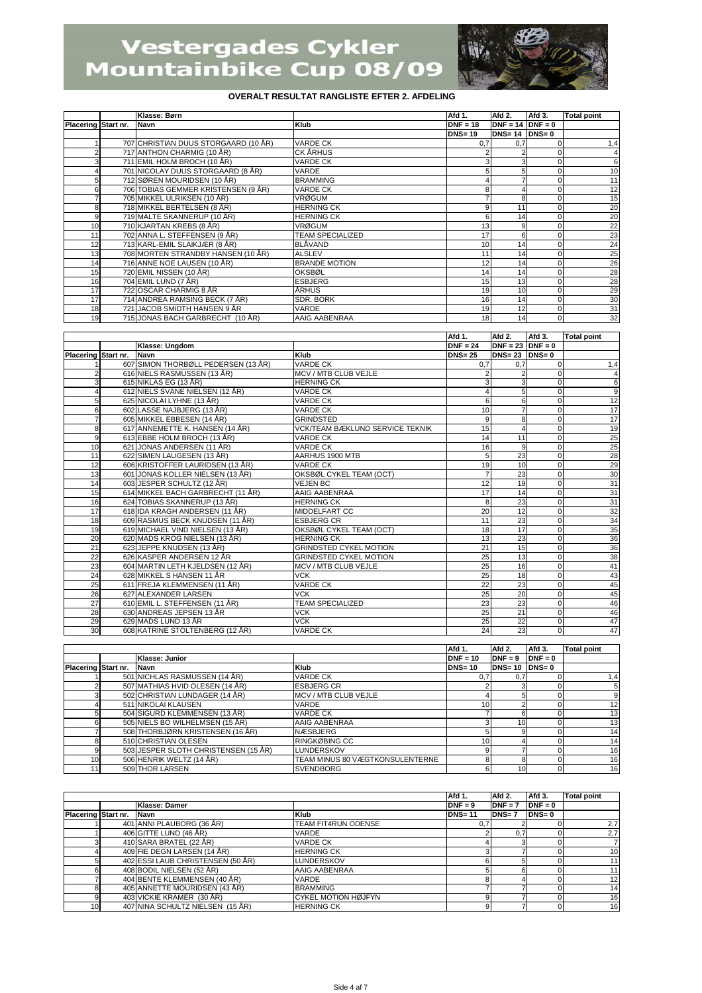

|                     | Klasse: Børn                         |                         | Afd 1.        | Afd 2.               | Afd 3.   | <b>Total point</b> |
|---------------------|--------------------------------------|-------------------------|---------------|----------------------|----------|--------------------|
| Placering Start nr. | <b>Navn</b>                          | Klub                    | $DNF = 18$    | $DNF = 14$ DNF = 0   |          |                    |
|                     |                                      |                         | <b>DNS=19</b> | $DNS = 14$ $DNS = 0$ |          |                    |
|                     | 707 CHRISTIAN DUUS STORGAARD (10 ÅR) | <b>VARDE CK</b>         | 0.7           | 0.7                  |          | 1,4                |
|                     | 717 ANTHON CHARMIG (10 ÅR)           | <b>CK ÄRHUS</b>         |               |                      |          |                    |
|                     | 711 EMIL HOLM BROCH (10 ÅR)          | <b>VARDE CK</b>         |               |                      |          | 6                  |
|                     | 701 NICOLAY DUUS STORGAARD (8 ÅR)    | VARDE                   |               |                      |          | 10                 |
| 5                   | 712 SØREN MOURIDSEN (10 ÅR)          | <b>BRAMMING</b>         |               |                      |          | 11                 |
| 6                   | 706 TOBIAS GEMMER KRISTENSEN (9 ÅR)  | <b>VARDE CK</b>         |               |                      |          | 12                 |
|                     | 705 MIKKEL ULRIKSEN (10 ÅR)          | <b>VRØGUM</b>           |               |                      |          | 15                 |
| 8                   | 718 MIKKEL BERTELSEN (8 ÅR)          | <b>HERNING CK</b>       |               | 11                   |          | 20                 |
| 9                   | 719 MALTE SKANNERUP (10 ÅR)          | <b>HERNING CK</b>       |               | 14                   |          | 20                 |
| 10                  | 710 KJARTAN KREBS (8 ÅR)             | <b>VRØGUM</b>           | 13            |                      |          | 22                 |
| 11                  | 702 ANNA L. STEFFENSEN (9 ÅR)        | <b>TEAM SPECIALIZED</b> | 17            | 6                    |          | 23                 |
| 12                  | 713 KARL-EMIL SLAIKJÆR (8 ÅR)        | <b>BLÅVAND</b>          | 10            | 14                   |          | 24                 |
| 13                  | 708 MORTEN STRANDBY HANSEN (10 ÅR)   | <b>ALSLEV</b>           | 11            | 14                   | $\Omega$ | 25                 |
| 14                  | 716 ANNE NOE LAUSEN (10 ÅR)          | <b>BRANDE MOTION</b>    | 12            | 14                   | $\Omega$ | 26                 |
| 15                  | 720 EMIL NISSEN (10 ÅR)              | <b>OKSBØL</b>           | 14            | 14                   |          | 28                 |
| 16                  | 704 EMIL LUND (7 ÅR)                 | <b>ESBJERG</b>          | 15            | 13                   |          | 28                 |
| 17                  | 722 OSCAR CHARMIG 8 ÅR               | ÅRHUS                   | 19            | 10                   |          | 29                 |
| 17                  | 714 ANDREA RAMSING BECK (7 ÅR)       | SDR. BORK               | 16            | 14                   |          | 30                 |
| 18                  | 721 JACOB SMIDTH HANSEN 9 ÅR         | VARDE                   | 19            | 12                   | $\Omega$ | 31                 |
| 19                  | 715 JONAS BACH GARBRECHT (10 ÅR)     | AAIG AABENRAA           | 18            | 14                   | 0        | 32                 |

|                     |                                     |                                        | Afd 1.        | Afd 2.               | Afd 3.   | <b>Total point</b> |
|---------------------|-------------------------------------|----------------------------------------|---------------|----------------------|----------|--------------------|
|                     | Klasse: Ungdom                      |                                        | $DNF = 24$    | $DNF = 23$ $DNF = 0$ |          |                    |
| Placering Start nr. | <b>Navn</b>                         | Klub                                   | <b>DNS=25</b> | $DNS = 23$ $DNS = 0$ |          |                    |
|                     | 607 SIMON THORBØLL PEDERSEN (13 ÅR) | <b>VARDE CK</b>                        | 0,7           | 0,7                  |          | 1,4                |
| $\overline{2}$      | 616 NIELS RASMUSSEN (13 ÅR)         | MCV / MTB CLUB VEJLE                   |               |                      | $\Omega$ | 4                  |
|                     | 615 NIKLAS EG (13 ÅR)               | <b>HERNING CK</b>                      |               |                      | $\Omega$ | 6                  |
|                     | 612 NIELS SVANE NIELSEN (12 ÅR)     | <b>VARDE CK</b>                        |               |                      | $\Omega$ | $9\,$              |
| 5                   | 625 NICOLAI LYHNE (13 ÅR)           | <b>VARDE CK</b>                        | 6             | 6                    | $\Omega$ | 12                 |
| 6                   | 602 LASSE NAJBJERG (13 ÅR)          | <b>VARDE CK</b>                        | 10            |                      | $\Omega$ | 17                 |
|                     | 605 MIKKEL EBBESEN (14 ÅR)          | <b>GRINDSTED</b>                       | 9             | 8                    | $\Omega$ | 17                 |
| 8                   | 617 ANNEMETTE K. HANSEN (14 ÅR)     | <b>VCK/TEAM BÆKLUND SERVICE TEKNIK</b> | 15            |                      | $\Omega$ | 19                 |
| 9                   | 613 EBBE HOLM BROCH (13 ÅR)         | <b>VARDE CK</b>                        | 14            | 11                   | $\Omega$ | 25                 |
| 10                  | 621 JONAS ANDERSEN (11 ÅR)          | <b>VARDE CK</b>                        | 16            | 9                    | $\Omega$ | 25                 |
| 11                  | 622 SIMEN LAUGESEN (13 ÅR)          | AARHUS 1900 MTB                        | 5             | 23                   | $\Omega$ | 28                 |
| 12                  | 606 KRISTOFFER LAURIDSEN (13 ÅR)    | <b>VARDE CK</b>                        | 19            | 10                   | $\Omega$ | 29                 |
| 13                  | 601 JONAS KOLLER NIELSEN (13 ÅR)    | OKSBØL CYKEL TEAM (OCT)                |               | 23                   | $\Omega$ | 30                 |
| 14                  | 603 JESPER SCHULTZ (12 ÅR)          | <b>VEJEN BC</b>                        | 12            | 19                   | $\Omega$ | 31                 |
| 15                  | 614 MIKKEL BACH GARBRECHT (11 ÅR)   | AAIG AABENRAA                          | 17            | 14                   | $\Omega$ | $\frac{31}{31}$    |
| 16                  | 624 TOBIAS SKANNERUP (13 ÅR)        | <b>HERNING CK</b>                      | 8             | 23                   | $\Omega$ |                    |
| 17                  | 618 IDA KRAGH ANDERSEN (11 ÅR)      | <b>MIDDELFART CC</b>                   | 20            | 12                   | $\Omega$ | 32                 |
| 18                  | 609 RASMUS BECK KNUDSEN (11 ÅR)     | <b>ESBJERG CR</b>                      | 11            | 23                   | $\Omega$ | 34                 |
| 19                  | 619 MICHAEL VIND NIELSEN (13 ÅR)    | OKSBØL CYKEL TEAM (OCT)                | 18            | 17                   | $\Omega$ | 35                 |
| 20                  | 620 MADS KROG NIELSEN (13 ÅR)       | <b>HERNING CK</b>                      | 13            | 23                   | 0        | 36                 |
| 21                  | 623 JEPPE KNUDSEN (13 ÅR)           | <b>GRINDSTED CYKEL MOTION</b>          | 21            | 15                   | $\Omega$ | 36                 |
| 22                  | 626 KASPER ANDERSEN 12 ÅR           | <b>GRINDSTED CYKEL MOTION</b>          | 25            | 13                   | $\Omega$ | 38                 |
| 23                  | 604 MARTIN LETH KJELDSEN (12 ÅR)    | MCV / MTB CLUB VEJLE                   | 25            | 16                   | $\Omega$ | 41                 |
| 24                  | 628 MIKKEL S HANSEN 11 ÅR           | <b>VCK</b>                             | 25            | 18                   | $\Omega$ | 43                 |
| 25                  | 611 FREJA KLEMMENSEN (11 ÅR)        | <b>VARDE CK</b>                        | 22            | 23                   | $\Omega$ | 45                 |
| 26                  | 627 ALEXANDER LARSEN                | <b>VCK</b>                             | 25            | 20                   | $\Omega$ | 45                 |
| 27                  | 610 EMIL L. STEFFENSEN (11 ÅR)      | <b>TEAM SPECIALIZED</b>                | 23            | 23                   | $\Omega$ | 46                 |
| 28                  | 630 ANDREAS JEPSEN 13 ÅR            | <b>VCK</b>                             | 25            | 21                   | $\Omega$ | 46                 |
| 29                  | 629 MADS LUND 13 ÅR                 | <b>VCK</b>                             | 25            | $\overline{22}$      | $\Omega$ | 47                 |
| 30                  | 608 KATRINE STOLTENBERG (12 ÅR)     | <b>VARDE CK</b>                        | 24            | 23                   | $\Omega$ | 47                 |

|                     |                                      |                                 | Afd 1.     | Afd 2.          | Afd 3.    | <b>Total point</b> |
|---------------------|--------------------------------------|---------------------------------|------------|-----------------|-----------|--------------------|
|                     | Klasse: Junior                       |                                 | $DNF = 10$ | $DNF = 9$       | $DNF = 0$ |                    |
| Placering Start nr. | <b>Navn</b>                          | Klub                            | $DNS = 10$ | $DNS = 10$      | $DNS = 0$ |                    |
|                     | 501 NICHLAS RASMUSSEN (14 ÅR)        | <b>VARDE CK</b>                 | 0,7        | 0,7             |           | 1,4                |
|                     | 507 MATHIAS HVID OLESEN (14 ÅR)      | <b>ESBJERG CR</b>               |            |                 |           |                    |
|                     | 502 CHRISTIAN LUNDAGER (14 ÅR)       | MCV / MTB CLUB VEJLE            |            |                 |           |                    |
|                     | 511 NIKOLAI KLAUSEN                  | VARDE                           | 10         |                 |           | 12                 |
|                     | 504 SIGURD KLEMMENSEN (13 ÅR)        | <b>VARDE CK</b>                 |            |                 |           | 13                 |
|                     | 505 NIELS BO WILHELMSEN (15 ÅR)      | AAIG AABENRAA                   |            | 10 <sup>1</sup> |           | 13                 |
|                     | 508 THORBJØRN KRISTENSEN (16 ÅR)     | <b>NÆSBJERG</b>                 |            |                 |           | 14                 |
|                     | 510 CHRISTIAN OLESEN                 | <b>RINGKØBING CC</b>            | 10         |                 |           | 14                 |
|                     | 503 JESPER SLOTH CHRISTENSEN (15 ÅR) | <b>LUNDERSKOV</b>               |            |                 |           | 16                 |
| 10                  | 506 HENRIK WELTZ (14 ÅR)             | TEAM MINUS 80 VÆGTKONSULENTERNE |            |                 |           | 16                 |
|                     | 509 THOR LARSEN                      | <b>SVENDBORG</b>                |            | 10              |           | 16                 |

|                     |                                   |                     | Afd 1.        | Afd 2.    | Afd 3.    | <b>Total point</b> |
|---------------------|-----------------------------------|---------------------|---------------|-----------|-----------|--------------------|
|                     | Klasse: Damer                     |                     | $DNF = 9$     | $DNF = 7$ | $DNF = 0$ |                    |
| Placering Start nr. | <b>Navn</b>                       | Klub                | <b>DNS=11</b> | $DNS = 7$ | $DNS = 0$ |                    |
|                     | 401 ANNI PLAUBORG (36 ÅR)         | TEAM FIT4RUN ODENSE | 0,7           |           |           | 2,7                |
|                     | 406 GITTE LUND (46 ÅR)            | VARDE               |               | 0.7       |           | 2,7                |
|                     | 410 SARA BRATEL (22 ÅR)           | <b>VARDE CK</b>     |               |           |           |                    |
|                     | 409 FIE DEGN LARSEN (14 ÅR)       | <b>HERNING CK</b>   |               |           |           | 10                 |
|                     | 402 ESSI LAUB CHRISTENSEN (50 ÅR) | <b>LUNDERSKOV</b>   |               |           |           | 11                 |
|                     | 408 BODIL NIELSEN (52 ÅR)         | AAIG AABENRAA       |               |           |           |                    |
|                     | 404 BENTE KLEMMENSEN (40 ÅR)      | VARDE               |               |           |           | 12                 |
|                     | 405 ANNETTE MOURIDSEN (43 ÅR)     | <b>BRAMMING</b>     |               |           |           | 14                 |
|                     | 403 VICKIE KRAMER (30 ÅR)         | CYKEL MOTION HØJFYN |               |           |           | 16                 |
| 10 <sup>1</sup>     | 407 NINA SCHULTZ NIELSEN (15 ÅR)  | <b>HERNING CK</b>   |               |           |           | 16                 |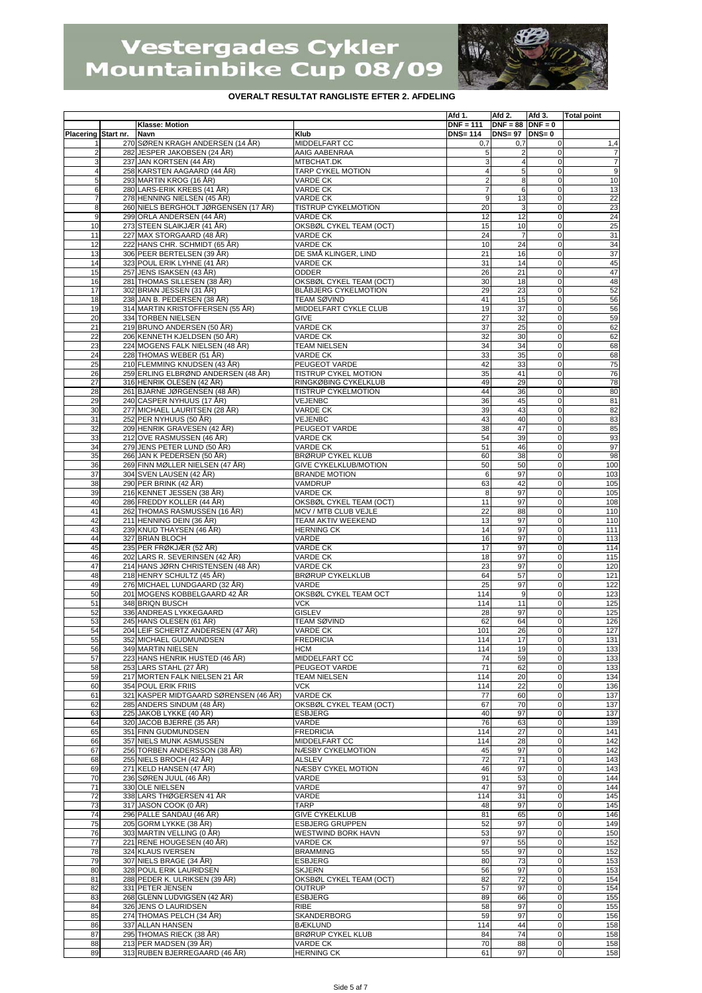

|                     |                                                           |                                          | Afd 1.           | Afd 2.                | Afd 3.           | <b>Total point</b>    |
|---------------------|-----------------------------------------------------------|------------------------------------------|------------------|-----------------------|------------------|-----------------------|
|                     | <b>Klasse: Motion</b>                                     |                                          | $DNF = 111$      | $DNF = 88$ DNF = 0    |                  |                       |
| Placering Start nr. | <b>Navn</b><br>270 SØREN KRAGH ANDERSEN (14 ÅR)           | Klub<br>MIDDELFART CC                    | <b>DNS=114</b>   | $DNS = 97$ $DNS = 0$  |                  |                       |
| $\overline{2}$      | 282 JESPER JAKOBSEN (24 ÅR)                               | AAIG AABENRAA                            | 0,7<br>5         | 0,7<br>$\overline{2}$ | 0<br>$\mathbf 0$ | 1,4<br>$\overline{7}$ |
| 3                   | 237 JAN KORTSEN (44 ÅR)                                   | MTBCHAT.DK                               | 3                |                       | 0                | $\overline{7}$        |
| $\overline{4}$      | 258 KARSTEN AAGAARD (44 ÅR)                               | TARP CYKEL MOTION                        | $\overline{4}$   | 5                     | 0                | $\boldsymbol{9}$      |
| 5                   | 293 MARTIN KROG (16 ÅR)                                   | <b>VARDE CK</b>                          | $\overline{2}$   | 8                     | $\mathbf 0$      | 10                    |
| 6                   | 280 LARS-ERIK KREBS (41 ÅR)                               | <b>VARDE CK</b>                          | $\overline{7}$   | 6                     | 0                | 13                    |
| $\overline{7}$      | 278 HENNING NIELSEN (45 ÅR)                               | <b>VARDE CK</b>                          | $\boldsymbol{9}$ | 13                    | $\mathbf 0$      | 22                    |
| 8                   | 260 NIELS BERGHOLT JØRGENSEN (17 ÅR)                      | <b>TISTRUP CYKELMOTION</b>               | 20               | 3                     | 0                | 23                    |
| 9                   | 299 ORLA ANDERSEN (44 ÅR)                                 | <b>VARDE CK</b>                          | 12               | 12                    | 0                | 24                    |
| 10                  | 273 STEEN SLAIKJÆR (41 ÅR)                                | OKSBØL CYKEL TEAM (OCT)                  | 15               | 10                    | 0                | 25                    |
| 11                  | 227 MAX STORGAARD (48 ÅR)                                 | <b>VARDE CK</b>                          | 24               |                       | $\mathbf 0$      | 31                    |
| 12                  | 222 HANS CHR. SCHMIDT (65 ÅR)                             | <b>VARDE CK</b>                          | 10               | 24                    | $\mathbf 0$      | 34                    |
| 13                  | 306 PEER BERTELSEN (39 ÅR)                                | DE SMÅ KLINGER, LIND                     | 21               | 16                    | 0                | 37                    |
| 14                  | 323 POUL ERIK LYHNE (41 ÅR)                               | VARDE CK                                 | 31               | 14                    | $\mathbf 0$      | 45                    |
| 15<br>16            | 257 JENS ISAKSEN (43 ÅR)<br>281 THOMAS SILLESEN (38 ÅR)   | ODDER<br>OKSBØL CYKEL TEAM (OCT)         | 26<br>30         | 21<br>18              | $\mathbf 0$<br>0 | 47<br>48              |
| 17                  | 302 BRIAN JESSEN (31 ÅR)                                  | <b>BLÅBJERG CYKELMOTION</b>              | 29               | 23                    | $\mathbf 0$      | 52                    |
| 18                  | 238 JAN B. PEDERSEN (38 ÅR)                               | TEAM SØVIND                              | 41               | 15                    | 0                | 56                    |
| 19                  | 314 MARTIN KRISTOFFERSEN (55 ÅR)                          | MIDDELFART CYKLE CLUB                    | 19               | 37                    | 0                | 56                    |
| 20                  | 334 TORBEN NIELSEN                                        | GIVE                                     | 27               | 32                    | 0                | 59                    |
| 21                  | 219 BRUNO ANDERSEN (50 ÅR)                                | <b>VARDE CK</b>                          | 37               | 25                    | $\mathbf 0$      | 62                    |
| 22                  | 206 KENNETH KJELDSEN (50 ÅR)                              | <b>VARDE CK</b>                          | 32               | 30                    | $\mathbf 0$      | 62                    |
| 23                  | 224 MOGENS FALK NIELSEN (48 ÅR)                           | TEAM NIELSEN                             | 34               | 34                    | 0                | 68                    |
| 24                  | 228 THOMAS WEBER (51 ÅR)                                  | <b>VARDE CK</b>                          | 33               | 35                    | $\mathsf 0$      | 68                    |
| 25                  | 210 FLEMMING KNUDSEN (43 ÅR)                              | PEUGEOT VARDE                            | 42               | 33                    | $\mathsf 0$      | 75                    |
| 26                  | 259 ERLING ELBRØND ANDERSEN (48 ÅR)                       | TISTRUP CYKEL MOTION                     | 35               | 41                    | 0                | 76                    |
| 27                  | 316 HENRIK OLESEN (42 ÅR)                                 | RINGKØBING CYKELKLUB                     | 49               | 29                    | $\mathbf 0$      | 78                    |
| 28                  | 261 BJARNE JØRGENSEN (48 ÅR)                              | TISTRUP CYKELMOTION                      | 44               | 36                    | 0                | 80                    |
| 29                  | 240 CASPER NYHUUS (17 ÅR)                                 | VEJENBC                                  | 36               | 45                    | 0                | 81                    |
| 30                  | 277 MICHAEL LAURITSEN (28 ÅR)                             | <b>VARDE CK</b>                          | 39               | 43                    | 0                | 82                    |
| 31                  | 252 PER NYHUUS (50 ÅR)                                    | VEJENBC                                  | 43               | 40                    | $\mathbf 0$      | 83                    |
| 32                  | 209 HENRIK GRAVESEN (42 ÅR)                               | PEUGEOT VARDE                            | 38               | 47                    | $\mathbf 0$      | 85                    |
| 33                  | 212 OVE RASMUSSEN (46 ÅR)                                 | <b>VARDE CK</b><br><b>VARDE CK</b>       | 54               | 39                    | 0                | 93                    |
| 34<br>35            | 279 JENS PETER LUND (50 ÅR)<br>266 JAN K PEDERSEN (50 ÅR) | <b>BRØRUP CYKEL KLUB</b>                 | 51<br>60         | 46<br>38              | 0<br>0           | 97<br>98              |
| 36                  | 269 FINN MØLLER NIELSEN (47 ÅR)                           | GIVE CYKELKLUB/MOTION                    | 50               | 50                    | 0                | 100                   |
| 37                  | 304 SVEN LAUSEN (42 ÅR)                                   | <b>BRANDE MOTION</b>                     | 6                | 97                    | $\mathbf 0$      | 103                   |
| 38                  | 290 PER BRINK (42 ÅR)                                     | VAMDRUP                                  | 63               | 42                    | $\mathbf 0$      | 105                   |
| 39                  | 216 KENNET JESSEN (38 ÅR)                                 | <b>VARDE CK</b>                          | 8                | 97                    | $\mathbf 0$      | 105                   |
| 40                  | 286 FREDDY KOLLER (44 ÅR)                                 | OKSBØL CYKEL TEAM (OCT)                  | 11               | 97                    | 0                | 108                   |
| 41                  | 262 THOMAS RASMUSSEN (16 ÅR)                              | MCV / MTB CLUB VEJLE                     | 22               | 88                    | $\mathbf 0$      | 110                   |
| 42                  | 211 HENNING DEIN (36 ÅR)                                  | <b>TEAM AKTIV WEEKEND</b>                | 13               | 97                    | $\mathbf 0$      | 110                   |
| 43                  | 239 KNUD THAYSEN (46 ÅR)                                  | <b>HERNING CK</b>                        | 14               | 97                    | 0                | 111                   |
| 44                  | 327 BRIAN BLOCH                                           | VARDE                                    | 16               | 97                    | 0                | 113                   |
| 45                  | 235 PER FRØKJÆR (52 ÅR)                                   | <b>VARDE CK</b>                          | 17               | 97                    | $\mathbf 0$      | 114                   |
| 46                  | 202 LARS R. SEVERINSEN (42 ÅR)                            | <b>VARDE CK</b>                          | 18               | 97                    | 0                | 115                   |
| 47                  | 214 HANS JØRN CHRISTENSEN (48 ÅR)                         | <b>VARDE CK</b>                          | 23               | 97                    | $\mathbf 0$      | 120                   |
| 48                  | 218 HENRY SCHULTZ (45 ÅR)                                 | <b>BRØRUP CYKELKLUB</b>                  | 64               | 57                    | 0                | 121                   |
| 49                  | 276 MICHAEL LUNDGAARD (32 ÅR)                             | VARDE                                    | 25               | 97                    | 0                | 122                   |
| 50<br>51            | 201 MOGENS KOBBELGAARD 42 ÅR<br>348 BRIQN BUSCH           | OKSBØL CYKEL TEAM OCT<br><b>VCK</b>      | 114<br>114       | 9<br>11               | $\mathbf 0$<br>0 | 123<br>125            |
| 52                  | 336 ANDREAS LYKKEGAARD                                    | <b>GISLEV</b>                            | 28               | 97                    | $\mathbf 0$      | 125                   |
| 53                  | 245 HANS OLESEN (61 ÅR)                                   | <b>TEAM SØVIND</b>                       | 62               | 64                    | 0                | 126                   |
| 54                  | 204 LEIF SCHERTZ ANDERSEN (47 ÅR)                         | VARDE CK                                 | 101              | 26                    | $\mathbf 0$      | 127                   |
| 55                  | 352 MICHAEL GUDMUNDSEN                                    | <b>FREDRICIA</b>                         | 114              | 17                    | $\Omega$         | 131                   |
| 56                  | 349 MARTIN NIELSEN                                        | <b>HCM</b>                               | 114              | 19                    | 0                | 133                   |
| 57                  | 223 HANS HENRIK HUSTED (46 ÅR)                            | MIDDELFART CC                            | 74               | 59                    | 0                | 133                   |
| 58                  | 253 LARS STAHL (27 ÅR)                                    | PEUGEOT VARDE                            | $\overline{71}$  | 62                    | $\mathbf 0$      | 133                   |
| 59                  | 217 MORTEN FALK NIELSEN 21 ÅR                             | <b>TEAM NIELSEN</b>                      | 114              | 20                    | 0                | 134                   |
| 60                  | 354 POUL ERIK FRIIS                                       | <b>VCK</b>                               | 114              | 22                    | $\mathbf 0$      | 136                   |
| 61                  | 321 KASPER MIDTGAARD SØRENSEN (46 ÅR)                     | <b>VARDE CK</b>                          | 77               | 60                    | $\mathsf 0$      | 137                   |
| 62                  | 285 ANDERS SINDUM (48 ÅR)                                 | OKSBØL CYKEL TEAM (OCT)                  | 67               | 70                    | $\mathbf 0$      | 137                   |
| 63                  | 225 JAKOB LYKKE (40 ÅR)                                   | ESBJERG                                  | 40               | 97                    | 0                | 137                   |
| 64                  | 320 JACOB BJERRE (35 ÅR)                                  | VARDE                                    | 76               | 63                    | $\mathbf 0$      | 139                   |
| 65<br>66            | 351 FINN GUDMUNDSEN<br>357 NIELS MUNK ASMUSSEN            | <b>FREDRICIA</b><br>MIDDELFART CC        | 114<br>114       | 27<br>28              | $\mathbf 0$<br>0 | 141<br>142            |
| 67                  | 256 TORBEN ANDERSSON (38 ÅR)                              | NÆSBY CYKELMOTION                        | 45               | 97                    | $\mathbf 0$      | 142                   |
| 68                  | 255 NIELS BROCH (42 ÅR)                                   | <b>ALSLEV</b>                            | 72               | 71                    | $\mathbf 0$      | 143                   |
| 69                  | 271 KELD HANSEN (47 ÅR)                                   | NÆSBY CYKEL MOTION                       | 46               | 97                    | 0                | 143                   |
| 70                  | 236 SØREN JUUL (46 ÅR)                                    | VARDE                                    | 91               | 53                    | $\mathbf 0$      | 144                   |
| 71                  | 330 OLE NIELSEN                                           | VARDE                                    | 47               | 97                    | $\mathbf 0$      | 144                   |
| 72                  | 338 LARS THØGERSEN 41 ÅR                                  | VARDE                                    | 114              | 31                    | $\mathbf 0$      | 145                   |
| 73                  | 317 JASON COOK (0 ÅR)                                     | TARP                                     | 48               | 97                    | 0                | 145                   |
| 74                  | 296 PALLE SANDAU (46 ÅR)                                  | <b>GIVE CYKELKLUB</b>                    | 81               | 65                    | $\mathbf 0$      | 146                   |
| 75                  | 205 GORM LYKKE (38 ÅR)                                    | <b>ESBJERG GRUPPEN</b>                   | 52               | 97                    | $\mathsf 0$      | 149                   |
| 76                  | 303 MARTIN VELLING (0 ÅR)                                 | WESTWIND BORK HAVN                       | 53               | 97                    | 0                | 150                   |
| 77                  | 221 RENE HOUGESEN (40 ÅR)                                 | <b>VARDE CK</b>                          | 97               | 55                    | $\mathbf 0$      | 152                   |
| 78                  | 324 KLAUS IVERSEN                                         | <b>BRAMMING</b>                          | 55               | 97                    | $\mathbf 0$      | 152                   |
| 79                  | 307 NIELS BRAGE (34 ÅR)                                   | <b>ESBJERG</b>                           | 80               | 73                    | 0                | 153                   |
| 80                  | 328 POUL ERIK LAURIDSEN                                   | SKJERN                                   | 56               | 97<br>72              | 0<br>$\mathbf 0$ | 153                   |
| 81<br>82            | 288 PEDER K. ULRIKSEN (39 ÅR)<br>331 PETER JENSEN         | OKSBØL CYKEL TEAM (OCT)<br><b>OUTRUP</b> | 82<br>57         | 97                    | $\mathbf 0$      | 154<br>154            |
| 83                  | 268 GLENN LUDVIGSEN (42 ÅR)                               | <b>ESBJERG</b>                           | 89               | 66                    | 0                | 155                   |
| 84                  | 326 JENS O LAURIDSEN                                      | <b>RIBE</b>                              | 58               | 97                    | $\mathbf 0$      | 155                   |
| 85                  | 274 THOMAS PELCH (34 ÅR)                                  | SKANDERBORG                              | 59               | 97                    | $\mathbf 0$      | 156                   |
| 86                  | 337 ALLAN HANSEN                                          | <b>BÆKLUND</b>                           | 114              | 44                    | $\mathbf 0$      | 158                   |
| 87                  | 295 THOMAS RIECK (38 ÅR)                                  | <b>BRØRUP CYKEL KLUB</b>                 | 84               | 74                    | $\mathbf 0$      | 158                   |
| 88                  | 213 PER MADSEN (39 ÅR)                                    | <b>VARDE CK</b>                          | 70               | 88                    | $\mathbf 0$      | 158                   |
| 89                  | 313 RUBEN BJERREGAARD (46 ÅR)                             | <b>HERNING CK</b>                        | 61               | 97                    | $\mathbf 0$      | 158                   |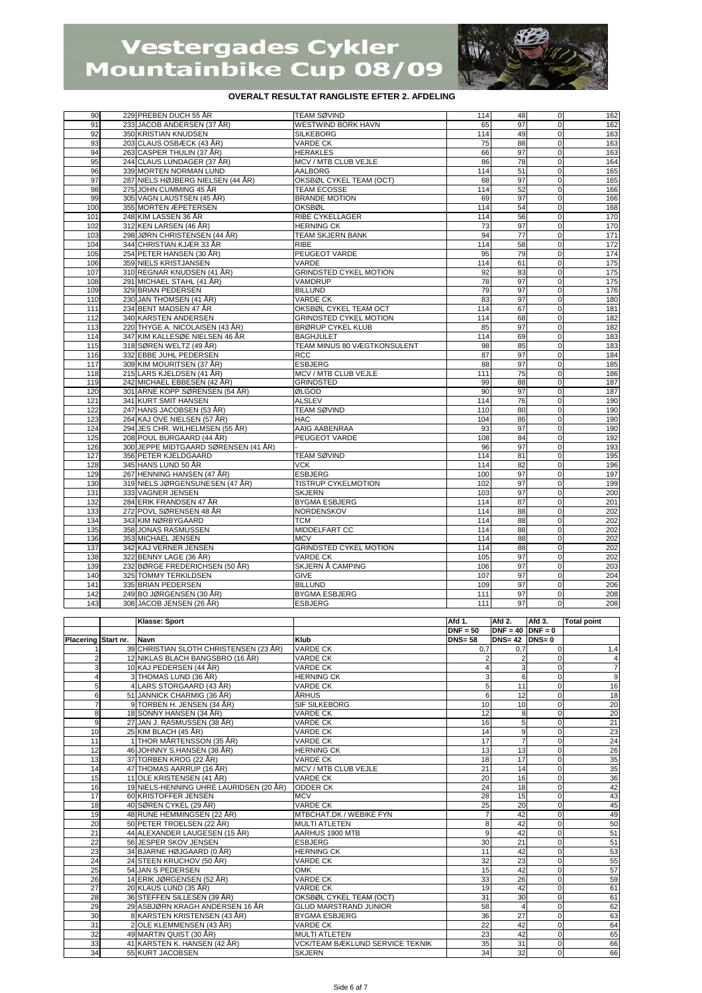

| 90  | 229 PREBEN DUCH 55 ÅR                | <b>TEAM SØVIND</b>            | 114   | 48 | $\mathbf{0}$   | 162 |
|-----|--------------------------------------|-------------------------------|-------|----|----------------|-----|
| 91  | 233 JACOB ANDERSEN (37 ÅR)           | WESTWIND BORK HAVN            | 65    | 97 | $\mathbf 0$    | 162 |
| 92  | 350 KRISTIAN KNUDSEN                 | <b>SILKEBORG</b>              | 114   | 49 | $\Omega$       | 163 |
| 93  | 203 CLAUS OSBÆCK (43 ÅR)             | <b>VARDE CK</b>               | 75    | 88 | $\mathbf 0$    | 163 |
| 94  | 263 CASPER THULIN (37 ÅR)            | <b>HERAKLES</b>               | 66    | 97 | $\mathbf 0$    | 163 |
| 95  | 244 CLAUS LUNDAGER (37 ÅR)           | MCV / MTB CLUB VEJLE          | 86    | 78 | $\mathbf 0$    | 164 |
| 96  | 339 MORTEN NORMAN LUND               | <b>AALBORG</b>                | 114   | 51 | $\mathbf 0$    | 165 |
| 97  | 287 NIELS HØJBERG NIELSEN (44 ÅR)    | OKSBØL CYKEL TEAM (OCT)       | 68    | 97 | $\Omega$       | 165 |
| 98  | 275 JOHN CUMMING 45 ÅR               | <b>TEAM ECOSSE</b>            | 114   | 52 | $\Omega$       | 166 |
| 99  | 305 VAGN LAUSTSEN (45 ÅR)            | <b>BRANDE MOTION</b>          | 69    | 97 | $\mathbf 0$    | 166 |
| 100 | 355 MORTEN ÆPETERSEN                 | <b>OKSBØL</b>                 | 114   | 54 | $\Omega$       | 168 |
| 101 | 248 KIM LASSEN 36 ÅR                 | <b>RIBE CYKELLAGER</b>        | 114   | 56 | $\mathbf{0}$   | 170 |
| 102 | 312 KEN LARSEN (46 ÅR)               | <b>HERNING CK</b>             | 73    | 97 | $\mathbf{0}$   | 170 |
| 103 | 298 JØRN CHRISTENSEN (44 ÅR)         | <b>TEAM SKJERN BANK</b>       | 94    | 77 | $\Omega$       | 171 |
| 104 | 344 CHRISTIAN KJÆR 33 ÅR             | <b>RIBE</b>                   | 114   | 58 | $\mathbf 0$    | 172 |
| 105 | 254 PETER HANSEN (30 ÅR)             | PEUGEOT VARDE                 | 95    | 79 | $\overline{0}$ | 174 |
| 106 | 359 NIELS KRISTJANSEN                | VARDE                         | 114   | 61 | $\mathbf 0$    | 175 |
| 107 | 310 REGNAR KNUDSEN (41 ÅR)           | <b>GRINDSTED CYKEL MOTION</b> | 92    | 83 | $\Omega$       | 175 |
| 108 | 291 MICHAEL STAHL (41 ÅR)            | <b>VAMDRUP</b>                | 78    | 97 | $\Omega$       | 175 |
| 109 | 329 BRIAN PEDERSEN                   | <b>BILLUND</b>                | 79    | 97 | $\mathbf 0$    | 176 |
| 110 | 230 JAN THOMSEN (41 ÅR)              | <b>VARDE CK</b>               | 83    | 97 | $\Omega$       | 180 |
| 111 | 234 BENT MADSEN 47 ÅR                | OKSBØL CYKEL TEAM OCT         | 114   | 67 | $\mathbf 0$    | 181 |
| 112 | 340 KARSTEN ANDERSEN                 | <b>GRINDSTED CYKEL MOTION</b> | 114   | 68 | $\mathbf 0$    | 182 |
| 113 | 220 THYGE A. NICOLAISEN (43 ÅR)      | <b>BRØRUP CYKEL KLUB</b>      | 85    | 97 | $\Omega$       | 182 |
| 114 | 347 KIM KALLESØE NIELSEN 46 ÅR       | <b>BAGHJULET</b>              | 114   | 69 | $\mathbf 0$    | 183 |
| 115 | 318 SØREN WELTZ (49 ÅR)              | TEAM MINUS 80 VÆGTKONSULENT   | 98    | 85 | $\overline{0}$ | 183 |
| 116 | 332 EBBE JUHL PEDERSEN               | <b>RCC</b>                    | 87    | 97 | $\Omega$       | 184 |
| 117 | 309 KIM MOURITSEN (37 ÅR)            | <b>ESBJERG</b>                | 88    | 97 | $\mathbf 0$    | 185 |
| 118 | 215 LARS KJELDSEN (41 ÅR)            | MCV / MTB CLUB VEJLE          | 111   | 75 | $\Omega$       | 186 |
| 119 | 242 MICHAEL EBBESEN (42 ÅR)          | <b>GRINDSTED</b>              | 99    | 88 | $\Omega$       | 187 |
| 120 | 301 ARNE KOPP SØRENSEN (54 ÅR)       | ØLGOD                         | 90    | 97 | $\mathbf 0$    | 187 |
| 121 | 341 KURT SMIT HANSEN                 | <b>ALSLEV</b>                 | 114   | 76 | $\mathbf 0$    | 190 |
| 122 | 247 HANS JACOBSEN (53 ÅR)            | <b>TEAM SØVIND</b>            | 110   | 80 | $\mathbf 0$    | 190 |
| 123 | 264 KAJ OVE NIELSEN (57 ÅR)          | <b>HAC</b>                    | 104   | 86 | $\Omega$       | 190 |
| 124 | 294 JES CHR. WILHELMSEN (55 ÅR)      | AAIG AABENRAA                 | 93    | 97 | $\mathbf 0$    | 190 |
| 125 | 208 POUL BURGAARD (44 ÅR)            | PEUGEOT VARDE                 | 108   | 84 | $\mathbf 0$    | 192 |
| 126 | 300 JEPPE MIDTGAARD SØRENSEN (41 ÅR) |                               | 96    | 97 | $\Omega$       | 193 |
| 127 | 356 PETER KJELDGAARD                 | <b>TEAM SØVIND</b>            | 114   | 81 | $\mathbf 0$    | 195 |
| 128 | 345 HANS LUND 50 ÅR                  | <b>VCK</b>                    | 114   | 82 | $\overline{0}$ | 196 |
| 129 | 267 HENNING HANSEN (47 ÅR)           | <b>ESBJERG</b>                | 100   | 97 | $\Omega$       | 197 |
| 130 | 319 NIELS JØRGENSUNESEN (47 ÅR)      | <b>TISTRUP CYKELMOTION</b>    | 102   | 97 | $\mathbf 0$    | 199 |
| 131 | 333 VAGNER JENSEN                    | <b>SKJERN</b>                 | 103   | 97 | $\Omega$       | 200 |
| 132 | 284 ERIK FRANDSEN 47 ÅR              | <b>BYGMA ESBJERG</b>          | 114   | 87 | $\mathbf 0$    | 201 |
| 133 | 272 POVL SØRENSEN 48 ÅR              | NORDENSKOV                    | 114   | 88 | $\mathbf 0$    | 202 |
| 134 | 343 KIM NØRBYGAARD                   | <b>TCM</b>                    | 114   | 88 | $\Omega$       | 202 |
| 135 | 358 JONAS RASMUSSEN                  | MIDDELFART CC                 | 114   | 88 | $\mathbf 0$    | 202 |
| 136 | 353 MICHAEL JENSEN                   | <b>MCV</b>                    | 114   | 88 | $\Omega$       | 202 |
| 137 | 342 KAJ VERNER JENSEN                | <b>GRINDSTED CYKEL MOTION</b> | 114   | 88 | $\mathbf 0$    | 202 |
| 138 | 322 BENNY LAGE (36 ÅR)               | <b>VARDE CK</b>               | 105   | 97 | $\mathbf{0}$   | 202 |
| 139 | 232 BØRGE FREDERICHSEN (50 ÅR)       | SKJERN Å CAMPING              | 106   | 97 | $\mathbf 0$    | 203 |
| 140 | 325 TOMMY TERKILDSEN                 | <b>GIVE</b>                   | 107   | 97 | $\mathbf 0$    | 204 |
| 141 | 335 BRIAN PEDERSEN                   | <b>BILLUND</b>                | 109   | 97 | $\Omega$       | 206 |
| 142 | 249 BO JØRGENSEN (30 ÅR)             | <b>BYGMA ESBJERG</b>          | 111   | 97 | $\Omega$       | 208 |
| 143 | 308 JACOB JENSEN (26 ÅR)             | <b>ESBJERG</b>                | $111$ | 97 | $\overline{0}$ | 208 |

|                     | Klasse: Sport                           |                                        | Afd 1.     | Afd 2.               | Afd 3.      | <b>Total point</b>                                                                      |
|---------------------|-----------------------------------------|----------------------------------------|------------|----------------------|-------------|-----------------------------------------------------------------------------------------|
|                     |                                         |                                        | $DNF = 50$ | $DNF = 40$ $DNF = 0$ |             |                                                                                         |
| Placering Start nr. | Navn                                    | Klub                                   | $DNS = 58$ | $DNS = 42$ $DNS = 0$ |             |                                                                                         |
|                     | 39 CHRISTIAN SLOTH CHRISTENSEN (23 ÅR)  | <b>VARDE CK</b>                        | 0,7        | 0,7                  |             | 1,4                                                                                     |
|                     | 12 NIKLAS BLACH BANGSBRO (16 ÅR)        | <b>VARDE CK</b>                        |            |                      | $\Omega$    | $\overline{4}$                                                                          |
|                     | 10 KAJ PEDERSEN (44 ÅR)                 | <b>VARDE CK</b>                        |            |                      | $\Omega$    | $\overline{7}$                                                                          |
|                     | 3 THOMAS LUND (36 ÅR)                   | <b>HERNING CK</b>                      | 3          | 6                    | 0           | $\overline{9}$                                                                          |
|                     | 4 LARS STORGAARD (43 ÅR)                | <b>VARDE CK</b>                        | 5          | 11                   | $\mathbf 0$ | 16                                                                                      |
| 6                   | 51 JANNICK CHARMIG (36 ÅR)              | <b>ÅRHUS</b>                           | 6          | 12                   | $\mathbf 0$ | 18                                                                                      |
|                     | 9 TORBEN H. JENSEN (34 ÅR)              | <b>SIF SILKEBORG</b>                   | 10         | 10                   | $\mathbf 0$ | $\begin{array}{r}\n 20 \\ 20 \\ \hline\n 21\n \end{array}$                              |
| 8                   | 18 SONNY HANSEN (34 ÅR)                 | <b>VARDE CK</b>                        | 12         | 8                    | $\mathbf 0$ |                                                                                         |
| 9                   | 27 JAN J. RASMUSSEN (38 ÅR)             | <b>VARDE CK</b>                        | 16         | 5                    | 0           |                                                                                         |
| 10                  | 25 KIM BLACH (45 ÅR)                    | <b>VARDE CK</b>                        | 14         | 9                    | $\Omega$    |                                                                                         |
| 11                  | 1 THOR MÅRTENSSON (35 ÅR)               | <b>VARDE CK</b>                        | 17         |                      | $\Omega$    |                                                                                         |
| 12                  | 46 JOHNNY S.HANSEN (38 ÅR)              | <b>HERNING CK</b>                      | 13         | 13                   | $\mathbf 0$ | $\begin{array}{r} 23 \\ 24 \\ 26 \\ \hline 35 \\ 35 \\ \hline 36 \\ \hline \end{array}$ |
| 13                  | 37 TORBEN KROG (22 ÅR)                  | <b>VARDE CK</b>                        | 18         | 17                   | 0           |                                                                                         |
| 14                  | 47 THOMAS AARRUP (16 ÅR)                | MCV / MTB CLUB VEJLE                   | 21         | 14                   | $\Omega$    |                                                                                         |
| 15                  | 11 OLE KRISTENSEN (41 ÅR)               | <b>VARDE CK</b>                        | 20         | 16                   | $\mathbf 0$ |                                                                                         |
| 16                  | 19 NIELS-HENNING UHRE LAURIDSEN (20 ÅR) | <b>ODDER CK</b>                        | 24         | 18                   | $\mathbf 0$ | 42                                                                                      |
| 17                  | 60 KRISTOFFER JENSEN                    | <b>MCV</b>                             | 28         | 15                   | $\mathbf 0$ | 43                                                                                      |
| 18                  | 40 SØREN CYKEL (29 ÅR)                  | <b>VARDE CK</b>                        | 25         | 20                   | $\Omega$    | 45                                                                                      |
| 19                  | 48 RUNE HEMMINGSEN (22 ÅR)              | MTBCHAT.DK / WEBIKE FYN                |            | 42                   | $\Omega$    | 49                                                                                      |
| 20                  | 50 PETER TROELSEN (22 ÅR)               | <b>MULTI ATLETEN</b>                   | 8          | 42                   | $\Omega$    | 50                                                                                      |
| 21                  | 44 ALEXANDER LAUGESEN (15 ÅR)           | AARHUS 1900 MTB                        | 9          | 42                   | $\Omega$    | 51                                                                                      |
| $\overline{22}$     | 56 JESPER SKOV JENSEN                   | <b>ESBJERG</b>                         | 30         | 21                   | $\Omega$    | 51                                                                                      |
| 23                  | 34 BJARNE HØJGAARD (0 ÅR)               | <b>HERNING CK</b>                      | 11         | 42                   | $\Omega$    | 53                                                                                      |
| 24                  | 24 STEEN KRUCHOV (50 ÅR)                | <b>VARDE CK</b>                        | 32         | 23                   | $\Omega$    | 55                                                                                      |
| 25                  | 54 JAN S PEDERSEN                       | OMK                                    | 15         | 42                   | $\Omega$    | 57                                                                                      |
| 26                  | 14 ERIK JØRGENSEN (52 ÅR)               | <b>VARDE CK</b>                        | 33         | 26                   | $\mathbf 0$ | 59                                                                                      |
| 27                  | 20 KLAUS LUND (35 ÅR)                   | <b>VARDE CK</b>                        | 19         | 42                   | $\Omega$    | 61                                                                                      |
| 28                  | 36 STEFFEN SILLESEN (39 ÅR)             | OKSBØL CYKEL TEAM (OCT)                | 31         | 30                   | $\Omega$    | 61                                                                                      |
| 29                  | 29 ASBJØRN KRAGH ANDERSEN 16 ÅR         | <b>GLUD MARSTRAND JUNIOR</b>           | 58         | Δ                    | 0           | 62                                                                                      |
| 30                  | 8 KARSTEN KRISTENSEN (43 ÅR)            | <b>BYGMA ESBJERG</b>                   | 36         | 27                   | $\mathbf 0$ | 63                                                                                      |
| 31                  | 2 OLE KLEMMENSEN (43 ÅR)                | <b>VARDE CK</b>                        | 22         | 42                   | $\Omega$    | 64                                                                                      |
| 32                  | 49 MARTIN QUIST (30 ÅR)                 | <b>MULTI ATLETEN</b>                   | 23         | 42                   | $\Omega$    | 65                                                                                      |
| 33                  | 41 KARSTEN K. HANSEN (42 ÅR)            | <b>VCK/TEAM BÆKLUND SERVICE TEKNIK</b> | 35         | 31                   | $\Omega$    | 66                                                                                      |
| 34                  | 55 KURT JACOBSEN                        | <b>SKJERN</b>                          | 34         | 32                   | 0           | 66                                                                                      |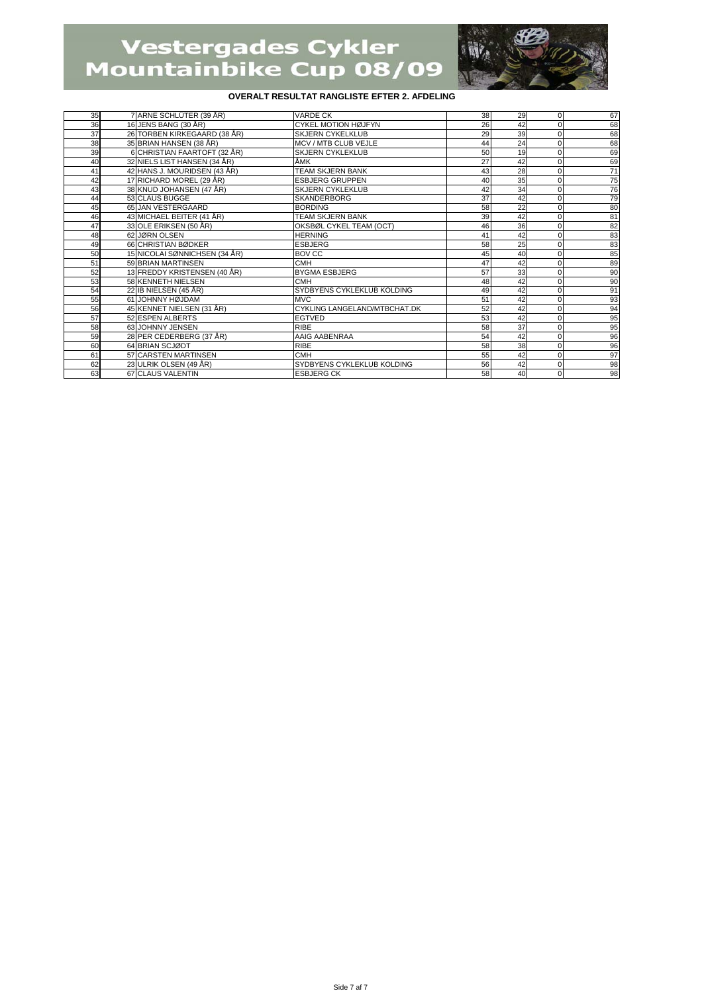

| 35 | 7 ARNE SCHLÜTER (39 ÅR)       | <b>VARDE CK</b>              | 38 | 29 | $\Omega$    | 67              |
|----|-------------------------------|------------------------------|----|----|-------------|-----------------|
| 36 | 16 JENS BANG (30 ÅR)          | <b>CYKEL MOTION HØJFYN</b>   | 26 | 42 | $\Omega$    | 68              |
| 37 | 26 TORBEN KIRKEGAARD (38 ÅR)  | <b>SKJERN CYKELKLUB</b>      | 29 | 39 | $\Omega$    | 68              |
| 38 | 35 BRIAN HANSEN (38 ÅR)       | MCV / MTB CLUB VEJLE         | 44 | 24 | $\Omega$    | 68              |
| 39 | 6 CHRISTIAN FAARTOFT (32 ÅR)  | <b>SKJERN CYKLEKLUB</b>      | 50 | 19 | $\Omega$    | 69              |
| 40 | 32 NIELS LIST HANSEN (34 ÅR)  | ÅМК                          | 27 | 42 | $\Omega$    | 69              |
| 41 | 42 HANS J. MOURIDSEN (43 ÅR)  | <b>TEAM SKJERN BANK</b>      | 43 | 28 | $\Omega$    | 71              |
| 42 | 17 RICHARD MOREL (29 ÅR)      | <b>ESBJERG GRUPPEN</b>       | 40 | 35 | $\Omega$    | 75              |
| 43 | 38 KNUD JOHANSEN (47 ÅR)      | <b>SKJERN CYKLEKLUB</b>      | 42 | 34 | $\Omega$    | 76              |
| 44 | 53 CLAUS BUGGE                | <b>SKANDERBORG</b>           | 37 | 42 | $\Omega$    | 79              |
| 45 | 65 JAN VESTERGAARD            | <b>BORDING</b>               | 58 | 22 | $\Omega$    | 80              |
| 46 | 43 MICHAEL BEITER (41 ÅR)     | <b>TEAM SKJERN BANK</b>      | 39 | 42 | $\mathbf 0$ | 81              |
| 47 | 33 OLE ERIKSEN (50 ÅR)        | OKSBØL CYKEL TEAM (OCT)      | 46 | 36 | $\mathbf 0$ | 82              |
| 48 | 62 JØRN OLSEN                 | <b>HERNING</b>               | 41 | 42 | $\Omega$    | 83              |
| 49 | 66 CHRISTIAN BØDKER           | <b>ESBJERG</b>               | 58 | 25 | $\Omega$    | 83              |
| 50 | 15 NICOLAI SØNNICHSEN (34 ÅR) | BOV CC                       | 45 | 40 | $\Omega$    | 85              |
| 51 | 59 BRIAN MARTINSEN            | <b>CMH</b>                   | 47 | 42 | $\Omega$    | 89              |
| 52 | 13 FREDDY KRISTENSEN (40 ÅR)  | <b>BYGMA ESBJERG</b>         | 57 | 33 | $\Omega$    | 90              |
| 53 | 58 KENNETH NIELSEN            | <b>CMH</b>                   | 48 | 42 | $\Omega$    | 90              |
| 54 | 22 IB NIELSEN (45 ÅR)         | SYDBYENS CYKLEKLUB KOLDING   | 49 | 42 | $\Omega$    | 91              |
| 55 | 61 JOHNNY HØJDAM              | <b>MVC</b>                   | 51 | 42 | $\Omega$    | 93              |
| 56 | 45 KENNET NIELSEN (31 ÅR)     | CYKLING LANGELAND/MTBCHAT.DK | 52 | 42 | $\Omega$    | 94              |
| 57 | 52 ESPEN ALBERTS              | <b>EGTVED</b>                | 53 | 42 | $\mathbf 0$ | 95              |
| 58 | 63 JOHNNY JENSEN              | RIBE                         | 58 | 37 | $\Omega$    | 95              |
| 59 | 28 PER CEDERBERG (37 ÅR)      | AAIG AABENRAA                | 54 | 42 | $\Omega$    | 96              |
| 60 | 64 BRIAN SCJØDT               | <b>RIBE</b>                  | 58 | 38 | $\Omega$    | 96              |
| 61 | 57 CARSTEN MARTINSEN          | <b>CMH</b>                   | 55 | 42 | $\Omega$    | 97              |
| 62 | 23 ULRIK OLSEN (49 ÅR)        | SYDBYENS CYKLEKLUB KOLDING   | 56 | 42 | $\Omega$    | $\frac{98}{98}$ |
| 63 | 67 CLAUS VALENTIN             | <b>ESBJERG CK</b>            | 58 | 40 | $\Omega$    |                 |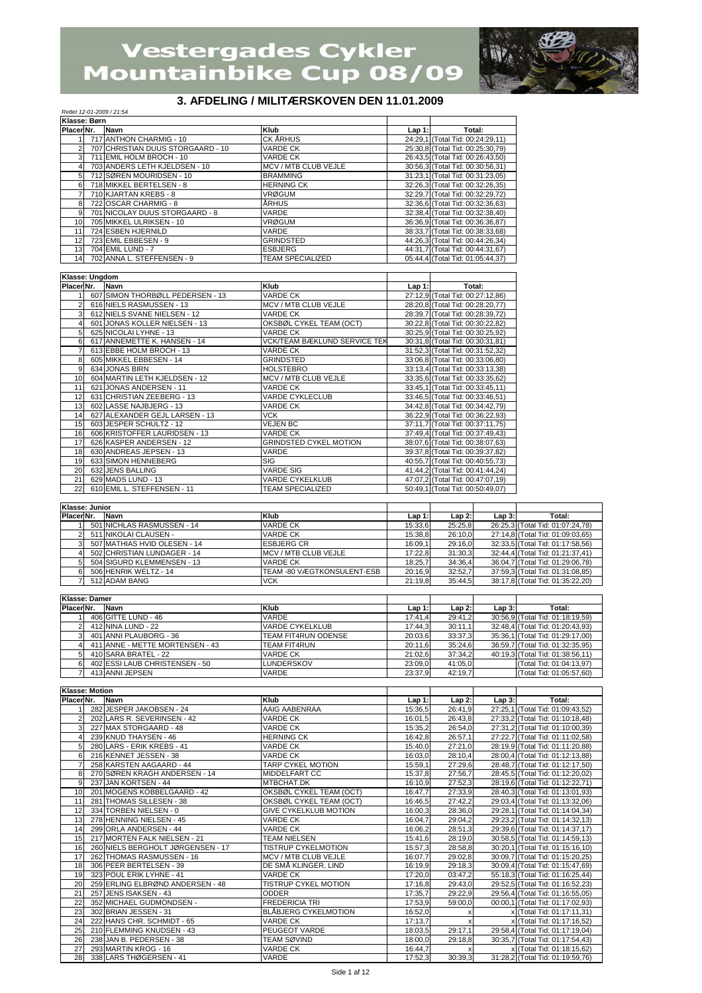*Rettet 12-01-2009 / 21:54*



## **3. AFDELING / MILITÆRSKOVEN DEN 11.01.2009**

|                         | Klasse: Børn |                                   |                                     |          |                                  |          |                                  |
|-------------------------|--------------|-----------------------------------|-------------------------------------|----------|----------------------------------|----------|----------------------------------|
|                         | Placer Nr.   | <b>Navn</b>                       | Klub                                | Lap 1:   | Total:                           |          |                                  |
|                         |              | 717 ANTHON CHARMIG - 10           | CK ÅRHUS                            |          | 24:29,1 (Total Tid: 00:24:29,11) |          |                                  |
| $\overline{2}$          |              | 707 CHRISTIAN DUUS STORGAARD - 10 | <b>VARDE CK</b>                     |          | 25:30,8 (Total Tid: 00:25:30,79) |          |                                  |
|                         |              |                                   |                                     |          |                                  |          |                                  |
| 3 <sup>1</sup>          |              | 711 EMIL HOLM BROCH - 10          | <b>VARDE CK</b>                     |          | 26:43,5 (Total Tid: 00:26:43,50) |          |                                  |
| 4                       |              | 703 ANDERS LETH KJELDSEN - 10     | MCV / MTB CLUB VEJLE                |          | 30:56,3 (Total Tid: 00:30:56,31) |          |                                  |
| 5                       |              | 712 SØREN MOURIDSEN - 10          | <b>BRAMMING</b>                     |          | 31:23,1 (Total Tid: 00:31:23,05) |          |                                  |
| 6                       |              | 718 MIKKEL BERTELSEN - 8          | <b>HERNING CK</b>                   |          | 32:26,3 (Total Tid: 00:32:26,35) |          |                                  |
| $\overline{7}$          |              | 710 KJARTAN KREBS - 8             | <b>VRØGUM</b>                       |          | 32:29,7 (Total Tid: 00:32:29,72) |          |                                  |
|                         |              |                                   |                                     |          |                                  |          |                                  |
| 8                       |              | 722 OSCAR CHARMIG - 8             | <b>ÅRHUS</b>                        |          | 32:36,6 (Total Tid: 00:32:36,63) |          |                                  |
| 9                       |              | 701 NICOLAY DUUS STORGAARD - 8    | VARDE                               |          | 32:38,4 (Total Tid: 00:32:38,40) |          |                                  |
| 10                      |              | 705 MIKKEL ULRIKSEN - 10          | <b>VRØGUM</b>                       |          | 36:36,9 (Total Tid: 00:36:36,87) |          |                                  |
| 11                      |              | 724 ESBEN HJERNILD                | VARDE                               |          | 38:33,7 (Total Tid: 00:38:33,68) |          |                                  |
|                         |              |                                   |                                     |          |                                  |          |                                  |
| 12                      |              | 723 EMIL EBBESEN - 9              | <b>GRINDSTED</b>                    |          | 44:26,3 (Total Tid: 00:44:26,34) |          |                                  |
| 13                      |              | 704 EMIL LUND - 7                 | <b>ESBJERG</b>                      |          | 44:31,7 (Total Tid: 00:44:31,67) |          |                                  |
| 14                      |              | 702 ANNA L. STEFFENSEN - 9        | <b>TEAM SPECIALIZED</b>             |          | 05:44,4 (Total Tid: 01:05:44,37) |          |                                  |
|                         |              |                                   |                                     |          |                                  |          |                                  |
|                         |              |                                   |                                     |          |                                  |          |                                  |
| Klasse: Ungdom          |              |                                   |                                     |          |                                  |          |                                  |
| Placer Nr.              |              | Navn                              | Klub                                | $Lap1$ : | Total:                           |          |                                  |
| 11                      |              | 607 SIMON THORBØLL PEDERSEN - 13  | <b>VARDE CK</b>                     |          | 27:12,9 (Total Tid: 00:27:12,86) |          |                                  |
| $\overline{2}$          |              | 616 NIELS RASMUSSEN - 13          | MCV / MTB CLUB VEJLE                |          | 28:20,8 (Total Tid: 00:28:20,77) |          |                                  |
| 3                       |              | 612 NIELS SVANE NIELSEN - 12      | VARDE CK                            |          | 28:39,7 (Total Tid: 00:28:39,72) |          |                                  |
|                         |              |                                   |                                     |          |                                  |          |                                  |
| $4 \overline{ }$        |              | 601 JONAS KOLLER NIELSEN - 13     | OKSBØL CYKEL TEAM (OCT)             |          | 30:22,8 (Total Tid: 00:30:22,82) |          |                                  |
| 5 <sub>5</sub>          |              | 625 NICOLAI LYHNE - 13            | <b>VARDE CK</b>                     |          | 30:25,9 (Total Tid: 00:30:25,92) |          |                                  |
| 6                       |              | 617 ANNEMETTE K. HANSEN - 14      | <b>VCK/TEAM BÆKLUND SERVICE TEK</b> |          | 30:31,8 (Total Tid: 00:30:31,81) |          |                                  |
| $\overline{7}$          |              | 613 EBBE HOLM BROCH - 13          | <b>VARDE CK</b>                     |          |                                  |          |                                  |
|                         |              |                                   |                                     |          | 31:52,3 (Total Tid: 00:31:52,32) |          |                                  |
| 8                       |              | 605 MIKKEL EBBESEN - 14           | <b>GRINDSTED</b>                    |          | 33:06,8 (Total Tid: 00:33:06,80) |          |                                  |
| 9                       |              | 634 JONAS BIRN                    | <b>HOLSTEBRO</b>                    |          | 33:13,4 (Total Tid: 00:33:13,38) |          |                                  |
| 10                      |              | 604 MARTIN LETH KJELDSEN - 12     | MCV / MTB CLUB VEJLE                |          | 33:35,6 (Total Tid: 00:33:35,62) |          |                                  |
|                         |              |                                   |                                     |          |                                  |          |                                  |
| 11                      |              | 621 JONAS ANDERSEN - 11           | <b>VARDE CK</b>                     |          | 33:45,1 (Total Tid: 00:33:45,11) |          |                                  |
| 12                      |              | 631 CHRISTIAN ZEEBERG - 13        | <b>VARDE CYKLECLUB</b>              |          | 33:46,5 (Total Tid: 00:33:46,51) |          |                                  |
| 13                      |              | 602 LASSE NAJBJERG - 13           | <b>VARDE CK</b>                     |          | 34:42,8 (Total Tid: 00:34:42,79) |          |                                  |
| 14                      |              | 627 ALEXANDER GEJL LARSEN - 13    | <b>VCK</b>                          |          | 36:22,9 (Total Tid: 00:36:22,93) |          |                                  |
|                         |              |                                   |                                     |          |                                  |          |                                  |
| 15                      |              | 603 JESPER SCHULTZ - 12           | <b>VEJEN BC</b>                     |          | 37:11,7 (Total Tid: 00:37:11,75) |          |                                  |
| 16                      |              | 606 KRISTOFFER LAURIDSEN - 13     | <b>VARDE CK</b>                     |          | 37:49,4 (Total Tid: 00:37:49,43) |          |                                  |
| 17                      |              | 626 KASPER ANDERSEN - 12          | <b>GRINDSTED CYKEL MOTION</b>       |          | 38:07,6 (Total Tid: 00:38:07,63) |          |                                  |
| 18                      |              | 630 ANDREAS JEPSEN - 13           | VARDE                               |          | 39:37,8 (Total Tid: 00:39:37,82) |          |                                  |
|                         |              |                                   |                                     |          |                                  |          |                                  |
| 19                      |              | 633 SIMON HENNEBERG               | <b>SIG</b>                          |          | 40:55,7 (Total Tid: 00:40:55,73) |          |                                  |
| 20                      |              | 632 JENS BALLING                  | <b>VARDE SIG</b>                    |          | 41:44,2 (Total Tid: 00:41:44,24) |          |                                  |
| 21                      |              | 629 MADS LUND - 13                | <b>VARDE CYKELKLUB</b>              |          | 47:07,2 (Total Tid: 00:47:07,19) |          |                                  |
|                         |              |                                   |                                     |          |                                  |          |                                  |
| 22                      |              | 610 EMIL L. STEFFENSEN - 11       | <b>TEAM SPECIALIZED</b>             |          | 50:49,1 (Total Tid: 00:50:49,07) |          |                                  |
|                         |              |                                   |                                     |          |                                  |          |                                  |
| Klasse: Junior          |              |                                   |                                     |          |                                  |          |                                  |
| Placer Nr.              |              | Navn                              | Klub                                | $Lap1$ : | $Lap2$ :                         | $Lap3$ : | Total:                           |
|                         |              |                                   |                                     |          |                                  |          |                                  |
| 11                      |              | 501 NICHLAS RASMUSSEN - 14        | <b>VARDE CK</b>                     | 15:33,6  | 25:25,8                          |          | 26:25,3 (Total Tid: 01:07:24,78) |
| $\overline{c}$          |              | 511 NIKOLAI CLAUSEN -             | <b>VARDE CK</b>                     | 15:38,8  | 26:10,0                          |          | 27:14,8 (Total Tid: 01:09:03,65) |
| 3                       |              | 507 MATHIAS HVID OLESEN - 14      | <b>ESBJERG CR</b>                   | 16:09,1  | 29:16,0                          |          | 32:33,5 (Total Tid: 01:17:58,56) |
| $4 \overline{ }$        |              | 502 CHRISTIAN LUNDAGER - 14       | MCV / MTB CLUB VEJLE                | 17:22,8  | 31:30,3                          |          | 32:44,4 (Total Tid: 01:21:37,41) |
|                         |              |                                   |                                     |          |                                  |          |                                  |
| 5                       |              | 504 SIGURD KLEMMENSEN - 13        | <b>VARDE CK</b>                     | 18:25,7  | 34:36,4                          |          | 36:04,7 (Total Tid: 01:29:06,78) |
| $6 \mid$                |              | 506 HENRIK WELTZ - 14             | TEAM -80 VÆGTKONSULENT-ESB          | 20:16,9  | 32:52,7                          |          |                                  |
|                         |              |                                   |                                     |          |                                  |          | 37:59,3 (Total Tid: 01:31:08,85) |
|                         |              |                                   |                                     |          |                                  |          |                                  |
| $\overline{7}$          |              | 512 ADAM BANG                     | VCK                                 | 21:19,8  | 35:44,5                          |          | 38:17,8 (Total Tid: 01:35:22,20) |
|                         |              |                                   |                                     |          |                                  |          |                                  |
| Klasse: Damer           |              |                                   |                                     |          |                                  |          |                                  |
| Placer Nr.              |              | Navn                              | Klub                                | $Lap1$ : | $Lap2$ :                         | $Lap3$ : | Total:                           |
| 11                      |              |                                   | VARDE                               |          |                                  |          |                                  |
|                         |              | 406 GITTE LUND - 46               |                                     | 17:41,4  | 29:41,2                          |          | 30:56,9 (Total Tid: 01:18:19,59) |
| $\overline{2}$          |              | 412 NINA LUND - 22                | <b>VARDE CYKELKLUB</b>              | 17:44,3  | 30:11,1                          |          | 32:48,4 (Total Tid: 01:20:43,93) |
| $\mathbf{3}$            |              | 401 ANNI PLAUBORG - 36            | <b>TEAM FIT4RUN ODENSE</b>          | 20:03,6  | 33:37,3                          |          | 35:36,1 (Total Tid: 01:29:17,00) |
| 4 <sup>1</sup>          |              | 411 ANNE - METTE MORTENSEN - 43   | <b>TEAM FIT4RUN</b>                 | 20:11,6  | 35:24,6                          |          | 36:59,7 (Total Tid: 01:32:35,95) |
| 5 <sub>l</sub>          |              | 410 SARA BRATEL - 22              | <b>VARDE CK</b>                     | 21:02,6  | 37:34.2                          |          | 40:19,3 (Total Tid: 01:38:56,11) |
|                         |              |                                   |                                     |          |                                  |          |                                  |
| 6                       |              | 402 ESSI LAUB CHRISTENSEN - 50    | LUNDERSKOV                          | 23:09,0  | 41:05,0                          |          | (Total Tid: 01:04:13,97)         |
| $\overline{7}$          |              | 413 ANNI JEPSEN                   | VARDE                               | 23:37,9  | 42:19,7                          |          | (Total Tid: 01:05:57,60)         |
|                         |              |                                   |                                     |          |                                  |          |                                  |
| <b>Klasse: Motion</b>   |              |                                   |                                     |          |                                  |          |                                  |
| Placer Nr.              |              | Navn                              | Klub                                | $Lap1$ : | $Lap2$ :                         | $Lap3$ : | Total:                           |
|                         |              |                                   |                                     |          |                                  |          |                                  |
| 11                      | 282          | JESPER JAKOBSEN - 24              | AAIG AABENRAA                       | 15:36,5  | 26:41,9                          |          | 27:25,1 (Total Tid: 01:09:43,52) |
| $\overline{2}$          |              | 202 LARS R. SEVERINSEN - 42       | <b>VARDE CK</b>                     | 16:01,5  | 26:43,8                          |          | 27:33,2 (Total Tid: 01:10:18,48) |
| $\overline{\mathbf{3}}$ |              | 227 MAX STORGAARD - 48            | <b>VARDE CK</b>                     | 15:35,2  | 26:54,0                          |          | 27:31,2 (Total Tid: 01:10:00,39) |
| $4 \overline{ }$        |              | 239 KNUD THAYSEN - 46             | <b>HERNING CK</b>                   | 16:42,8  | 26:57,1                          |          | 27:22,7 (Total Tid: 01:11:02,58) |
|                         |              |                                   |                                     |          |                                  |          |                                  |
| 5 <sub>5</sub>          |              | 280 LARS - ERIK KREBS - 41        | <b>VARDE CK</b>                     | 15:40,0  | 27:21,0                          |          | 28:19,9 (Total Tid: 01:11:20,88) |
| 6                       |              | 216 KENNET JESSEN - 38            | <b>VARDE CK</b>                     | 16:03,0  | 28:10,4                          |          | 28:00,4 (Total Tid: 01:12:13,88) |
| $\overline{7}$          |              | 258 KARSTEN AAGAARD - 44          | TARP CYKEL MOTION                   | 15:59,1  | 27:29,6                          |          | 28:48,7 (Total Tid: 01:12:17,50) |
| 8                       |              |                                   |                                     |          |                                  |          |                                  |
|                         |              | 270 SØREN KRAGH ANDERSEN - 14     | MIDDELFART CC                       | 15:37,8  | 27:56,7                          |          | 28:45,5 (Total Tid: 01:12:20,02) |
| 9                       |              | 237 JAN KORTSEN - 44              | MTBCHAT.DK                          | 16:10,9  | 27:52,3                          |          | 28:19,6 (Total Tid: 01:12:22,71) |
| 10                      |              | 201 MOGENS KOBBELGAARD - 42       | OKSBØL CYKEL TEAM (OCT)             | 16:47,7  | 27:33,9                          |          | 28:40,3 (Total Tid: 01:13:01,93) |
| 11                      |              | 281 THOMAS SILLESEN - 38          | OKSBØL CYKEL TEAM (OCT)             | 16:46,5  | 27:42,2                          |          | 29:03,4 (Total Tid: 01:13:32,06) |
|                         |              |                                   |                                     |          |                                  |          |                                  |
| 12                      |              | 334 TORBEN NIELSEN - 0            | <b>GIVE CYKELKLUB MOTION</b>        | 16:00,3  | 28:36,0                          |          | 29:28,1 (Total Tid: 01:14:04,34) |
| 13                      |              | 278 HENNING NIELSEN - 45          | VARDE CK                            | 16:04,7  | 29:04,2                          |          | 29:23,2 (Total Tid: 01:14:32,13) |
| 14                      |              | 299 ORLA ANDERSEN - 44            | VARDE CK                            | 16:06,2  | 28:51,3                          |          | 29:39,6 (Total Tid: 01:14:37,17) |
| 15                      |              | 217 MORTEN FALK NIELSEN - 21      | <b>TEAM NIELSEN</b>                 | 15:41,6  | 28:19,0                          |          | 30:58,5 (Total Tid: 01:14:59,13) |
|                         |              |                                   |                                     |          |                                  |          |                                  |
| 16                      |              | 260 NIELS BERGHOLT JØRGENSEN - 17 | <b>TISTRUP CYKELMOTION</b>          | 15:57,3  | 28:58.8                          |          | 30:20,1 (Total Tid: 01:15:16,10) |
| 17                      |              | 262 THOMAS RASMUSSEN - 16         | MCV / MTB CLUB VEJLE                | 16:07,7  | 29:02,8                          |          | 30:09,7 (Total Tid: 01:15:20,25) |
| 18                      |              | 306 PEER BERTELSEN - 39           | DE SMÅ KLINGER, LIND                | 16:19,9  | 29:18,3                          |          | 30:09,4 (Total Tid: 01:15:47,69) |
|                         |              |                                   |                                     |          |                                  |          |                                  |
| 19                      |              | 323 POUL ERIK LYHNE - 41          | VARDE CK                            | 17:20,0  | 03:47,2                          |          | 55:18,3 (Total Tid: 01:16:25,44) |
| 20                      |              | 259 ERLING ELBRØND ANDERSEN - 48  | TISTRUP CYKEL MOTION                | 17:16,8  | 29:43,0                          |          | 29:52,5 (Total Tid: 01:16:52,23) |
| 21                      |              | 257 JENS ISAKSEN - 43             | <b>ODDER</b>                        | 17:35,7  | 29:22,9                          |          | 29:56,4 (Total Tid: 01:16:55,05) |
| 22                      |              | 352 MICHAEL GUDMONDSEN -          | <b>FREDERICIA TRI</b>               | 17:53,9  | 59:00,0                          |          | 00:00,1 (Total Tid: 01:17:02,93) |
|                         |              |                                   |                                     |          |                                  |          |                                  |
| 23                      |              | 302 BRIAN JESSEN - 31             | <b>BLÅBJERG CYKELMOTION</b>         | 16:52,0  | $\pmb{\times}$                   |          | x (Total Tid: 01:17:11,31)       |
| 24                      |              | 222 HANS CHR. SCHMIDT - 65        | <b>VARDE CK</b>                     | 17:13,7  | $\pmb{\times}$                   |          | x (Total Tid: 01:17:16,52)       |
| 25                      |              | 210 FLEMMING KNUDSEN - 43         | PEUGEOT VARDE                       | 18:03,5  | 29:17,1                          |          | 29:58,4 (Total Tid: 01:17:19,04) |
|                         |              |                                   |                                     |          |                                  |          |                                  |
| 26                      |              | 238 JAN B. PEDERSEN - 38          | <b>TEAM SØVIND</b>                  | 18:00,0  | 29:18,8                          |          | 30:35,7 (Total Tid: 01:17:54,43) |
| 27                      |              | 293 MARTIN KROG - 16              | <b>VARDE CK</b>                     | 16:44,7  | $\boldsymbol{\mathsf{x}}$        |          | x (Total Tid: 01:18:15,62)       |
| 28                      |              | 338 LARS THØGERSEN - 41           | VARDE                               | 17:52,3  | 30:39,3                          |          | 31:28,2 (Total Tid: 01:19:59,76) |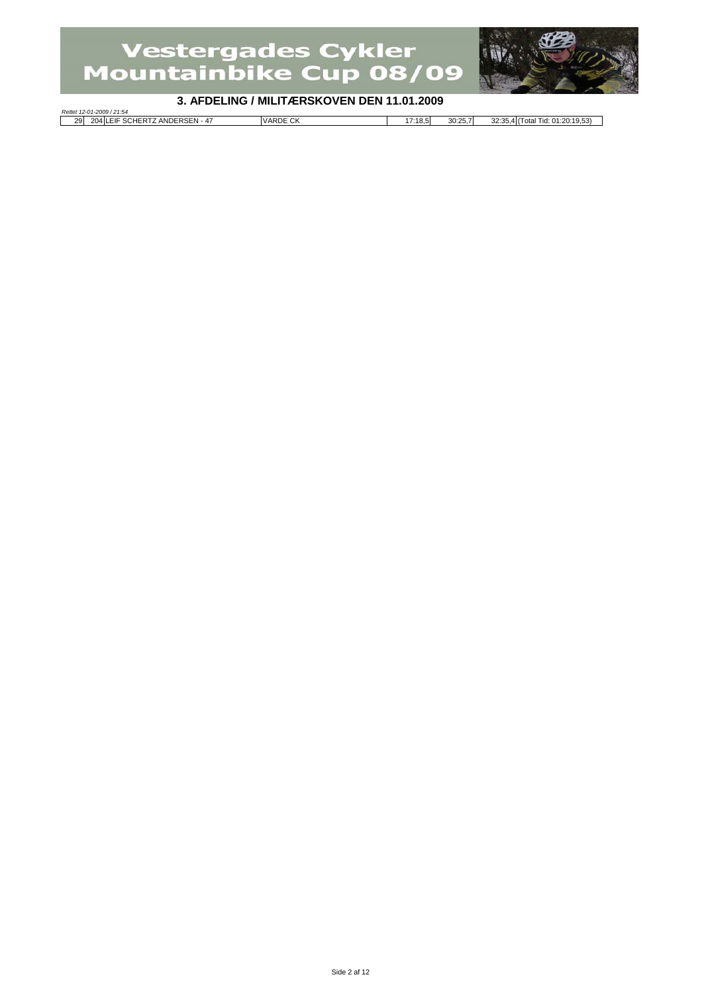

#### **3. AFDELING / MILITÆRSKOVEN DEN 11.01.2009**

*Rettet 12-01-2009 / 21:54* 29 204 LEIF SCHERTZ ANDERSEN - 47 VARDE CK 17:18,5 30:25,7 32:35,4 (Total Tid: 01:20:19,53) Г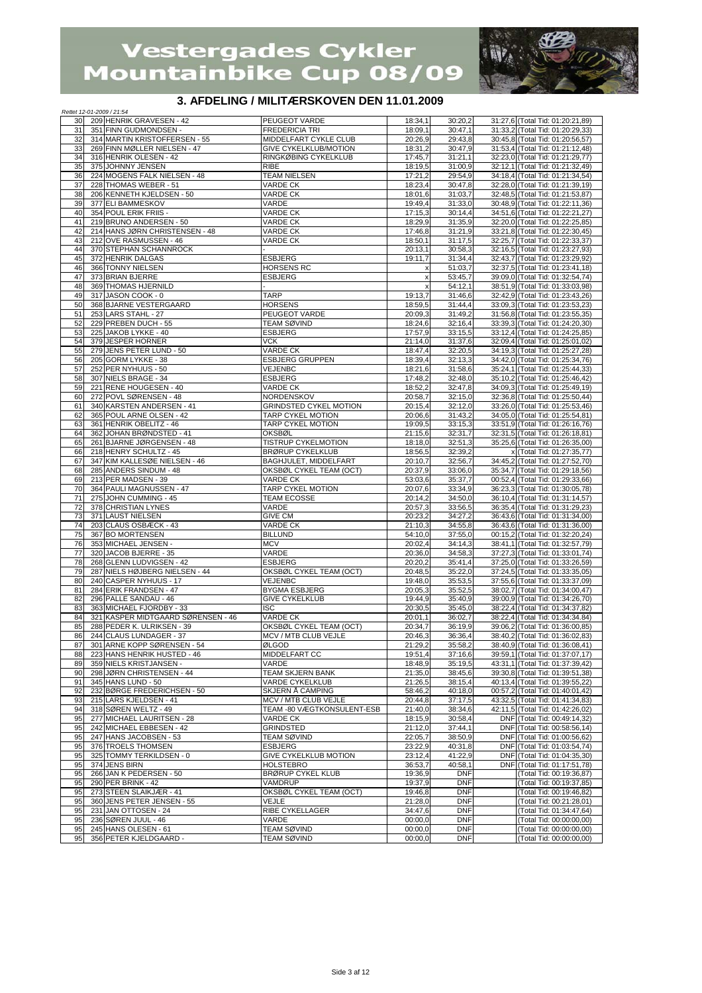

## **3. AFDELING / MILITÆRSKOVEN DEN 11.01.2009**

| Rettet 12-01-2009 / 21:54 |                                                       | <u>, AI DEEINO / MIEN AENONO VEN DEN TRORIZOOJ</u> |                                |                    |                                                                      |
|---------------------------|-------------------------------------------------------|----------------------------------------------------|--------------------------------|--------------------|----------------------------------------------------------------------|
| 30                        | 209 HENRIK GRAVESEN - 42                              | PEUGEOT VARDE                                      | 18:34.1                        | 30:20,2            | 31:27,6 (Total Tid: 01:20:21,89)                                     |
| 31                        | 351 FINN GUDMONDSEN -                                 | <b>FREDERICIA TRI</b>                              | 18:09,1                        | 30:47,1            | 31:33,2 (Total Tid: 01:20:29,33)                                     |
| 32                        | 314 MARTIN KRISTOFFERSEN - 55                         | MIDDELFART CYKLE CLUB                              | 20:26,9                        | 29:43,8            | 30:45,8 (Total Tid: 01:20:56,57)                                     |
| 33                        | 269 FINN MØLLER NIELSEN - 47                          | <b>GIVE CYKELKLUB/MOTION</b>                       | 18:31,2                        | 30:47,9            | 31:53,4 (Total Tid: 01:21:12,48)                                     |
| 34                        | 316 HENRIK OLESEN - 42<br>375 JOHNNY JENSEN           | RINGKØBING CYKELKLUB                               | 17:45,7                        | 31:21,1            | 32:23,0 (Total Tid: 01:21:29,77)<br>32:12,1 (Total Tid: 01:21:32,49) |
| 35<br>36                  | 224 MOGENS FALK NIELSEN - 48                          | <b>RIBE</b><br><b>TEAM NIELSEN</b>                 | 18:19,5<br>17:21,2             | 31:00,9<br>29:54,9 | 34:18,4 (Total Tid: 01:21:34,54)                                     |
| 37                        | 228 THOMAS WEBER - 51                                 | <b>VARDE CK</b>                                    | 18:23.4                        | 30:47,8            | 32:28,0 (Total Tid: 01:21:39,19)                                     |
| 38                        | 206 KENNETH KJELDSEN - 50                             | VARDE CK                                           | 18:01,6                        | 31:03,7            | 32:48,5 (Total Tid: 01:21:53,87)                                     |
| 39                        | 377 ELI BAMMESKOV                                     | VARDE                                              | 19:49,4                        | 31:33,0            | 30:48,9 (Total Tid: 01:22:11,36)                                     |
| 40                        | 354 POUL ERIK FRIIS -                                 | <b>VARDE CK</b>                                    | 17:15,3                        | 30:14,4            | 34:51,6 (Total Tid: 01:22:21,27)                                     |
| 41                        | 219 BRUNO ANDERSEN - 50                               | <b>VARDE CK</b>                                    | 18:29,9                        | 31:35,9            | 32:20,0 (Total Tid: 01:22:25,85)                                     |
| 42                        | 214 HANS JØRN CHRISTENSEN - 48                        | <b>VARDE CK</b>                                    | 17:46,8                        | 31:21,9            | 33:21.8 (Total Tid: 01:22:30.45)                                     |
| 43                        | 212 OVE RASMUSSEN - 46                                | <b>VARDE CK</b>                                    | 18:50,1                        | 31:17,5            | 32:25,7 (Total Tid: 01:22:33,37)                                     |
| 44                        | 370 STEPHAN SCHANNROCK                                |                                                    | 20:13,1                        | 30:58,3            | 32:16,5 (Total Tid: 01:23:27,93)                                     |
| 45                        | 372 HENRIK DALGAS                                     | <b>ESBJERG</b>                                     | 19:11,7                        | 31:34,4            | 32:43,7 (Total Tid: 01:23:29,92)                                     |
| 46<br>47                  | 366 TONNY NIELSEN                                     | <b>HORSENS RC</b>                                  | x                              | 51:03,7            | 32:37,5 (Total Tid: 01:23:41,18)                                     |
| 48                        | 373 BRIAN BJERRE<br>369 THOMAS HJERNILD               | <b>ESBJERG</b>                                     | $\boldsymbol{\mathsf{x}}$<br>X | 53:45,7<br>54:12,1 | 39:09,0 (Total Tid: 01:32:54,74)<br>38:51,9 (Total Tid: 01:33:03,98) |
| 49                        | 317 JASON COOK - 0                                    | <b>TARP</b>                                        | 19:13,7                        | 31:46,6            | 32:42,9 (Total Tid: 01:23:43,26)                                     |
| 50                        | 368 BJARNE VESTERGAARD                                | <b>HORSENS</b>                                     | 18:59,5                        | 31:44,4            | 33:09,3 (Total Tid: 01:23:53,23)                                     |
| 51                        | 253 LARS STAHL - 27                                   | PEUGEOT VARDE                                      | 20:09,3                        | 31:49,2            | 31:56,8 (Total Tid: 01:23:55,35)                                     |
| 52                        | 229 PREBEN DUCH - 55                                  | <b>TEAM SØVIND</b>                                 | 18:24,6                        | 32:16,4            | 33:39,3 (Total Tid: 01:24:20,30)                                     |
| 53                        | 225 JAKOB LYKKE - 40                                  | <b>ESBJERG</b>                                     | 17:57,9                        | 33:15,5            | 33:12,4 (Total Tid: 01:24:25,85)                                     |
| 54                        | 379 JESPER HORNER                                     | VCK                                                | 21:14,0                        | 31:37,6            | 32:09,4 (Total Tid: 01:25:01,02)                                     |
| 55                        | 279 JENS PETER LUND - 50                              | <b>VARDE CK</b>                                    | 18:47,4                        | 32:20,5            | 34:19,3 (Total Tid: 01:25:27,28)                                     |
| 56                        | 205 GORM LYKKE - 38                                   | <b>ESBJERG GRUPPEN</b>                             | 18:39,4                        | 32:13,3            | 34:42,0 (Total Tid: 01:25:34,76)                                     |
| 57                        | 252 PER NYHUUS - 50                                   | VEJENBC                                            | 18:21,6                        | 31:58,6            | 35:24,1 (Total Tid: 01:25:44,33)                                     |
| 58                        | 307 NIELS BRAGE - 34                                  | <b>ESBJERG</b>                                     | 17:48,2                        | 32:48,0            | 35:10,2 (Total Tid: 01:25:46,42)                                     |
| 59                        | 221 RENE HOUGESEN - 40<br>272 POVL SØRENSEN - 48      | VARDE CK<br>NORDENSKOV                             | 18:52,2                        | 32:47,8            | 34:09,3 (Total Tid: 01:25:49,19)                                     |
| 60<br>61                  | 340 KARSTEN ANDERSEN - 41                             | <b>GRINDSTED CYKEL MOTION</b>                      | 20:58,7<br>20:15,4             | 32:15,0<br>32:12,0 | 32:36,8 (Total Tid: 01:25:50,44)<br>33:26,0 (Total Tid: 01:25:53,46) |
| 62                        | 365 POUL ARNE OLSEN - 42                              | TARP CYKEL MOTION                                  | 20:06.6                        | 31:43,2            | 34:05,0 (Total Tid: 01:25:54,81)                                     |
| 63                        | 361 HENRIK OBELITZ - 46                               | <b>TARP CYKEL MOTION</b>                           | 19:09,5                        | 33:15,3            | 33:51,9 (Total Tid: 01:26:16,76)                                     |
| 64                        | 362 JOHAN BRØNDSTED - 41                              | <b>OKSBØL</b>                                      | 21:15,6                        | 32:31,7            | 32:31,5 (Total Tid: 01:26:18,81)                                     |
| 65                        | 261 BJARNE JØRGENSEN - 48                             | TISTRUP CYKELMOTION                                | 18:18,0                        | 32:51,3            | 35:25,6 (Total Tid: 01:26:35,00)                                     |
| 66                        | 218 HENRY SCHULTZ - 45                                | <b>BRØRUP CYKELKLUB</b>                            | 18:56,5                        | 32:39,2            | x (Total Tid: 01:27:35,77)                                           |
| 67                        | 347 KIM KALLESØE NIELSEN - 46                         | BAGHJULET, MIDDELFART                              | 20:10,7                        | 32:56,7            | 34:45,2 (Total Tid: 01:27:52,70)                                     |
| 68                        | 285 ANDERS SINDUM - 48                                | OKSBØL CYKEL TEAM (OCT)                            | 20:37,9                        | 33:06,0            | 35:34,7 (Total Tid: 01:29:18,56)                                     |
| 69                        | 213 PER MADSEN - 39                                   | VARDE CK                                           | 53:03,6                        | 35:37,7            | 00:52,4 (Total Tid: 01:29:33,66)                                     |
| 70                        | 364 PAULI MAGNUSSEN - 47                              | TARP CYKEL MOTION                                  | 20:07,6                        | 33:34,9            | 36:23,3 (Total Tid: 01:30:05,78)                                     |
| 71                        | 275 JOHN CUMMING - 45                                 | <b>TEAM ECOSSE</b>                                 | 20:14,2                        | 34:50,0            | 36:10,4 (Total Tid: 01:31:14,57)                                     |
| 72                        | 378 CHRISTIAN LYNES                                   | VARDE<br><b>GIVE CM</b>                            | 20:57,3                        | 33:56,5            | 36:35,4 (Total Tid: 01:31:29,23)                                     |
| 73<br>74                  | 371 LAUST NIELSEN<br>203 CLAUS OSBÆCK - 43            | VARDE CK                                           | 20:23,2<br>21:10,3             | 34:27,2<br>34:55,8 | 36:43,6 (Total Tid: 01:31:34,00)<br>36:43,6 (Total Tid: 01:31:36,00) |
| 75                        | 367 BO MORTENSEN                                      | <b>BILLUND</b>                                     | 54:10,0                        | 37:55,0            | 00:15,2 (Total Tid: 01:32:20,24)                                     |
| 76                        | 353 MICHAEL JENSEN -                                  | <b>MCV</b>                                         | 20:02,4                        | 34:14,3            | 38:41,1 (Total Tid: 01:32:57,79)                                     |
| 77                        | 320 JACOB BJERRE - 35                                 | VARDE                                              | 20:36,0                        | 34:58,3            | 37:27,3 (Total Tid: 01:33:01,74)                                     |
| 78                        | 268 GLENN LUDVIGSEN - 42                              | <b>ESBJERG</b>                                     | 20:20,2                        | 35:41,4            | 37:25,0 (Total Tid: 01:33:26,59)                                     |
| 79                        | 287 NIELS HØJBERG NIELSEN - 44                        | OKSBØL CYKEL TEAM (OCT)                            | 20:48,5                        | 35:22,0            | 37:24,5 (Total Tid: 01:33:35,05)                                     |
| 80                        | 240 CASPER NYHUUS - 17                                | <b>VEJENBC</b>                                     | 19:48,0                        | 35:53,5            | 37:55,6 (Total Tid: 01:33:37,09)                                     |
| 81                        | 284 ERIK FRANDSEN - 47                                | <b>BYGMA ESBJERG</b>                               | 20:05,3                        | 35:52,5            | 38:02,7 (Total Tid: 01:34:00,47)                                     |
| 82                        | 296 PALLE SANDAU - 46                                 | <b>GIVE CYKELKLUB</b>                              | 19:44,9                        | 35:40,9            | 39:00,9 (Total Tid: 01:34:26,70)                                     |
| 83                        | 363 MICHAEL FJORDBY - 33                              | <b>ISC</b>                                         | 20:30,5                        | 35:45,0            | 38:22,4 (Total Tid: 01:34:37,82)                                     |
| 84<br>85                  | 321 KASPER MIDTGAARD SØRENSEN - 46                    | <b>VARDE CK</b>                                    | 20:01.1<br>20:34,7             | 36:02,7<br>36:19,9 | 38:22,4 (Total Tid: 01:34:34.84)<br>39:06,2 (Total Tid: 01:36:00,85) |
| 86                        | 288 PEDER K. ULRIKSEN - 39<br>244 CLAUS LUNDAGER - 37 | OKSBØL CYKEL TEAM (OCT)<br>MCV / MTB CLUB VEJLE    | 20:46,3                        | 36:36,4            | 38:40,2 (Total Tid: 01:36:02,83)                                     |
| 87                        | 301 ARNE KOPP SØRENSEN - 54                           | ØLGOD                                              | 21:29,2                        | 35:58,2            | 38:40,9 (Total Tid: 01:36:08,41)                                     |
| 88                        | 223 HANS HENRIK HUSTED - 46                           | MIDDELFART CC                                      | 19:51,4                        | 37:16,6            | 39:59,1 (Total Tid: 01:37:07,17)                                     |
| 89                        | 359 NIELS KRISTJANSEN -                               | VARDE                                              | 18:48,9                        | 35:19,5            | 43:31,1 (Total Tid: 01:37:39,42)                                     |
| 90                        | 298 JØRN CHRISTENSEN - 44                             | TEAM SKJERN BANK                                   | 21:35,0                        | 38:45,6            | 39:30,8 (Total Tid: 01:39:51,38)                                     |
| 91                        | 345 HANS LUND - 50                                    | <b>VARDE CYKELKLUB</b>                             | 21:26,5                        | 38:15,4            | 40:13,4 (Total Tid: 01:39:55,22)                                     |
| 92                        | 232 BØRGE FREDERICHSEN - 50                           | SKJERN Å CAMPING                                   | 58:46,2                        | 40:18,0            | 00:57,2 (Total Tid: 01:40:01,42)                                     |
| 93                        | 215 LARS KJELDSEN - 41                                | MCV / MTB CLUB VEJLE                               | 20:44,8                        | 37:17,5            | 43:32,5 (Total Tid: 01:41:34,83)                                     |
| 94                        | 318 SØREN WELTZ - 49                                  | TEAM -80 VÆGTKONSULENT-ESB                         | 21:40,0                        | 38:34,6            | 42:11,5 (Total Tid: 01:42:26,02)                                     |
| 95                        | 277 MICHAEL LAURITSEN - 28                            | <b>VARDE CK</b>                                    | 18:15,9                        | 30:58,4            | DNF (Total Tid: 00:49:14,32)                                         |
| 95<br>95                  | 242 MICHAEL EBBESEN - 42<br>247 HANS JACOBSEN - 53    | <b>GRINDSTED</b><br><b>TEAM SØVIND</b>             | 21:12,0<br>22:05,7             | 37:44,1<br>38:50,9 | DNF (Total Tid: 00:58:56,14)<br>DNF (Total Tid: 01:00:56,62)         |
| 95                        | 376 TROELS THOMSEN                                    | <b>ESBJERG</b>                                     | 23:22,9                        | 40:31,8            | DNF (Total Tid: 01:03:54,74)                                         |
| 95                        | 325 TOMMY TERKILDSEN - 0                              | GIVE CYKELKLUB MOTION                              | 23:12,4                        | 41:22,9            | DNF (Total Tid: 01:04:35,30)                                         |
| 95                        | 374 JENS BIRN                                         | <b>HOLSTEBRO</b>                                   | 36:53,7                        | 40:58,1            | DNF (Total Tid: 01:17:51,78)                                         |
| 95                        | 266 JAN K PEDERSEN - 50                               | <b>BRØRUP CYKEL KLUB</b>                           | 19:36,9                        | <b>DNF</b>         | (Total Tid: 00:19:36,87)                                             |
| 95                        | 290 PER BRINK - 42                                    | VAMDRUP                                            | 19:37,9                        | <b>DNF</b>         | (Total Tid: 00:19:37,85)                                             |
| 95                        | 273 STEEN SLAIKJÆR - 41                               | OKSBØL CYKEL TEAM (OCT)                            | 19:46,8                        | <b>DNF</b>         | (Total Tid: 00:19:46,82)                                             |
| 95                        | 360 JENS PETER JENSEN - 55                            | VEJLE                                              | 21:28,0                        | <b>DNF</b>         | (Total Tid: 00:21:28,01)                                             |
| 95                        | 231 JAN OTTOSEN - 24                                  | RIBE CYKELLAGER                                    | 34:47,6                        | <b>DNF</b>         | (Total Tid: 01:34:47,64)                                             |
| 95                        | 236 SØREN JUUL - 46                                   | VARDE                                              | 00:00,0                        | <b>DNF</b>         | (Total Tid: 00:00:00,00)                                             |
| 95                        | 245 HANS OLESEN - 61                                  | TEAM SØVIND                                        | 00:00,0                        | <b>DNF</b>         | (Total Tid: 00:00:00,00)                                             |
| 95                        | 356 PETER KJELDGAARD -                                | <b>TEAM SØVIND</b>                                 | 00:00,0                        | <b>DNF</b>         | (Total Tid: 00:00:00,00)                                             |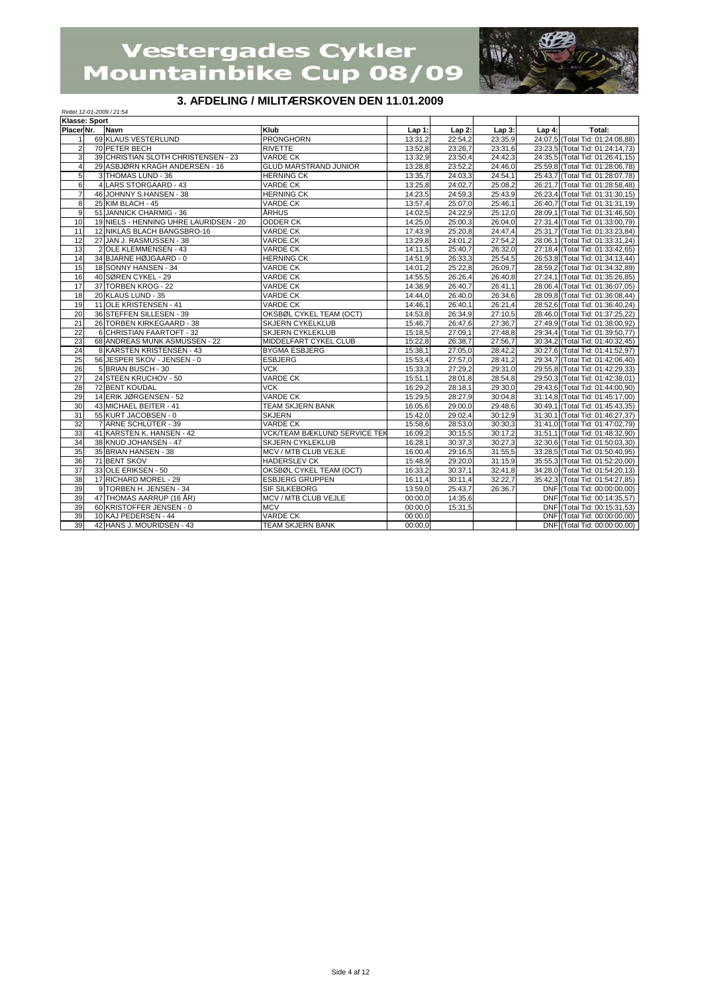

## **3. AFDELING / MILITÆRSKOVEN DEN 11.01.2009**

|                 | <b>PLLING</b> , MILITALINGING FLIV PLIV THOTADOS<br>Rettet 12-01-2009 / 21:54 |                                        |                                     |          |          |         |          |                                  |  |  |
|-----------------|-------------------------------------------------------------------------------|----------------------------------------|-------------------------------------|----------|----------|---------|----------|----------------------------------|--|--|
| Klasse: Sport   |                                                                               |                                        |                                     |          |          |         |          |                                  |  |  |
| Placer Nr.      |                                                                               | <b>Navn</b>                            | Klub                                | $Lap1$ : | $Lap2$ : | Lap3:   | $Lap4$ : | Total:                           |  |  |
| $\mathbf{1}$    |                                                                               | 69 KLAUS VESTERLUND                    | <b>PRONGHORN</b>                    | 13:31,2  | 22:54,2  | 23:35,9 |          | 24:07,5 (Total Tid: 01:24:08,88) |  |  |
| $\overline{c}$  |                                                                               | 70 PETER BECH                          | <b>RIVETTE</b>                      | 13:52,8  | 23:26,7  | 23:31,6 |          | 23:23,5 (Total Tid: 01:24:14,73) |  |  |
| 3               |                                                                               | 39 CHRISTIAN SLOTH CHRISTENSEN - 23    | <b>VARDE CK</b>                     | 13:32,9  | 23:50,4  | 24:42.3 |          | 24:35.5 (Total Tid: 01:26:41,15) |  |  |
| $\overline{4}$  |                                                                               | 29 ASBJØRN KRAGH ANDERSEN - 16         | <b>GLUD MARSTRAND JUNIOR</b>        | 13:28,8  | 23:52,2  | 24:46,0 |          | 25:59,8 (Total Tid: 01:28:06,78) |  |  |
| $\overline{5}$  |                                                                               | 3 THOMAS LUND - 36                     | <b>HERNING CK</b>                   | 13:35,7  | 24:03,3  | 24:54.1 |          | 25:43,7 (Total Tid: 01:28:07.78) |  |  |
| 6               |                                                                               | 4 LARS STORGAARD - 43                  | <b>VARDE CK</b>                     | 13:25,8  | 24:02,7  | 25:08,2 |          | 26:21,7 (Total Tid: 01:28:58,48) |  |  |
| $\overline{7}$  |                                                                               | 46 JOHNNY S.HANSEN - 38                | <b>HERNING CK</b>                   | 14:23,5  | 24:59,3  | 25:43,9 |          | 26:23,4 (Total Tid: 01:31:30,15) |  |  |
| 8               |                                                                               | 25 KIM BLACH - 45                      | <b>VARDE CK</b>                     | 13:57,4  | 25:07,0  | 25:46,1 |          | 26:40,7 (Total Tid: 01:31:31,19) |  |  |
| $\overline{9}$  |                                                                               | 51 JANNICK CHARMIG - 36                | <b>ARHUS</b>                        | 14:02,5  | 24:22,9  | 25:12,0 |          | 28:09,1 (Total Tid: 01:31:46,50) |  |  |
| 10              |                                                                               | 19 NIELS - HENNING UHRE LAURIDSEN - 20 | <b>ODDER CK</b>                     | 14:25,0  | 25:00,3  | 26:04,0 |          | 27:31,4 (Total Tid: 01:33:00,79) |  |  |
| 11              |                                                                               | 12 NIKLAS BLACH BANGSBRO-16            | <b>VARDE CK</b>                     | 17:43,9  | 25:20,8  | 24:47,4 |          | 25:31,7 (Total Tid: 01:33:23,84) |  |  |
| 12              |                                                                               | 27 JAN J. RASMUSSEN - 38               | <b>VARDE CK</b>                     | 13:29,8  | 24:01.2  | 27:54,2 |          | 28:06,1 (Total Tid: 01:33:31,24) |  |  |
| 13              |                                                                               | 2 OLE KLEMMENSEN - 43                  | <b>VARDE CK</b>                     | 14:11,5  | 25:40,7  | 26:32,0 |          | 27:18,4 (Total Tid: 01:33:42,65) |  |  |
| 14              |                                                                               | 34 BJARNE HØJGAARD - 0                 | <b>HERNING CK</b>                   | 14:51,9  | 26:33,3  | 25:54,5 |          | 26:53,8 (Total Tid: 01:34:13,44) |  |  |
| 15              |                                                                               | 18 SONNY HANSEN - 34                   | <b>VARDE CK</b>                     | 14:01.2  | 25:22,8  | 26:09,7 |          | 28:59,2 (Total Tid: 01:34:32,89) |  |  |
| 16              |                                                                               | 40 SØREN CYKEL - 29                    | <b>VARDE CK</b>                     | 14:55,5  | 26:26,4  | 26:40,8 |          | 27:24,1 (Total Tid: 01:35:26,85) |  |  |
| 17              |                                                                               | 37 TORBEN KROG - 22                    | <b>VARDE CK</b>                     | 14:38,9  | 26:40,7  | 26:41,1 |          | 28:06,4 (Total Tid: 01:36:07,05) |  |  |
| 18              |                                                                               | 20 KLAUS LUND - 35                     | <b>VARDE CK</b>                     | 14:44,0  | 26:40,0  | 26:34,6 |          | 28:09,8 (Total Tid: 01:36:08,44) |  |  |
| 19              |                                                                               | 11 OLE KRISTENSEN - 41                 | <b>VARDE CK</b>                     | 14:46,1  | 26:40,1  | 26:21,4 |          | 28:52,6 (Total Tid: 01:36:40,24) |  |  |
| 20              |                                                                               | 36 STEFFEN SILLESEN - 39               | OKSBØL CYKEL TEAM (OCT)             | 14:53,8  | 26:34,9  | 27:10,5 |          | 28:46,0 (Total Tid: 01:37:25,22) |  |  |
| 21              |                                                                               | 26 TORBEN KIRKEGAARD - 38              | <b>SKJERN CYKELKLUB</b>             | 15:46,7  | 26:47,6  | 27:36,7 |          | 27:49.9 (Total Tid: 01:38:00.92) |  |  |
| 22              |                                                                               | 6 CHRISTIAN FAARTOFT - 32              | <b>SKJERN CYKLEKLUB</b>             | 15:18,5  | 27:09.1  | 27:48,8 |          | 29:34,4 (Total Tid: 01:39:50,77) |  |  |
| 23              |                                                                               | 68 ANDREAS MUNK ASMUSSEN - 22          | MIDDELFART CYKEL CLUB               | 15:22,8  | 26:38,7  | 27:56,7 |          | 30:34,2 (Total Tid: 01:40:32,45) |  |  |
| 24              |                                                                               | 8 KARSTEN KRISTENSEN - 43              | <b>BYGMA ESBJERG</b>                | 15:38,1  | 27:05,0  | 28:42,2 |          | 30:27.6 (Total Tid: 01:41:52,97) |  |  |
| 25              |                                                                               | 56 JESPER SKOV - JENSEN - 0            | <b>ESBJERG</b>                      | 15:53,4  | 27:57,0  | 28:41,2 |          | 29:34,7 (Total Tid: 01:42:06,40) |  |  |
| 26              |                                                                               | 5 BRIAN BUSCH - 30                     | <b>VCK</b>                          | 15:33,3  | 27:29,2  | 29:31,0 |          | 29:55,8 (Total Tid: 01:42:29,33) |  |  |
| $\overline{27}$ |                                                                               | 24 STEEN KRUCHOV - 50                  | <b>VARDE CK</b>                     | 15:51,1  | 28:01.8  | 28:54,8 |          | 29:50,3 (Total Tid: 01:42:38,01) |  |  |
| 28              |                                                                               | 72 BENT KOUDAL                         | $\overline{\text{VCK}}$             | 16:29,2  | 28:18,1  | 29:30,0 |          | 29:43,6 (Total Tid: 01:44:00,90) |  |  |
| 29              |                                                                               | 14 ERIK JØRGENSEN - 52                 | <b>VARDE CK</b>                     | 15:29,5  | 28:27,9  | 30:04,8 |          | 31:14,8 (Total Tid: 01:45:17,00) |  |  |
| 30              |                                                                               | 43 MICHAEL BEITER - 41                 | <b>TEAM SKJERN BANK</b>             | 16:05,6  | 29:00,0  | 29:48,6 |          | 30:49.1 (Total Tid: 01:45:43.35) |  |  |
| 31              |                                                                               | 55 KURT JACOBSEN - 0                   | <b>SKJERN</b>                       | 15:42,0  | 29:02.4  | 30:12.9 |          | 31:30.1 (Total Tid: 01:46:27.37) |  |  |
| 32              |                                                                               | 7 ARNE SCHLÜTER - 39                   | <b>VARDE CK</b>                     | 15:58,6  | 28:53,0  | 30:30,3 |          | 31:41.0 (Total Tid: 01:47:02.79) |  |  |
| 33              |                                                                               | 41 KARSTEN K. HANSEN - 42              | <b>VCK/TEAM BÆKLUND SERVICE TEK</b> | 16:09,2  | 30:15.5  | 30:17.2 |          | 31:51,1 (Total Tid: 01:48:32,90) |  |  |
| 34              |                                                                               | 38 KNUD JOHANSEN - 47                  | <b>SKJERN CYKLEKLUB</b>             | 16:28,1  | 30:37,3  | 30:27,3 |          | 32:30,6 (Total Tid: 01:50:03,30) |  |  |
| 35              |                                                                               | 35 BRIAN HANSEN - 38                   | MCV / MTB CLUB VEJLE                | 16:00,4  | 29:16,5  | 31:55,5 |          | 33:28,5 (Total Tid: 01:50:40,95) |  |  |
| 36              |                                                                               | 71 BENT SKOV                           | <b>HADERSLEV CK</b>                 | 15:48.9  | 29:20.0  | 31:15.9 |          | 35:55,3 (Total Tid: 01:52:20,00) |  |  |
| 37              |                                                                               | 33 OLE ERIKSEN - 50                    | OKSBØL CYKEL TEAM (OCT)             | 16:33,2  | 30:37,1  | 32:41,8 |          | 34:28,0 (Total Tid: 01:54:20,13) |  |  |
| 38              |                                                                               | 17 RICHARD MOREL - 29                  | <b>ESBJERG GRUPPEN</b>              | 16:11,4  | 30:11,4  | 32:22.7 |          | 35:42,3 (Total Tid: 01:54:27,85) |  |  |
| 39              |                                                                               | 9 TORBEN H. JENSEN - 34                | <b>SIF SILKEBORG</b>                | 13:59,0  | 25:43.7  | 26:36,7 |          | DNF (Total Tid: 00:00:00,00)     |  |  |
| 39              |                                                                               | 47 THOMAS AARRUP (16 ÅR)               | MCV / MTB CLUB VEJLE                | 00:00,0  | 14:35,6  |         |          | DNF (Total Tid: 00:14:35,57)     |  |  |
| 39              |                                                                               | 60 KRISTOFFER JENSEN - 0               | <b>MCV</b>                          | 00:00.0  | 15:31,5  |         |          | DNF (Total Tid: 00:15:31,53)     |  |  |
| 39              |                                                                               | 10 KAJ PEDERSEN - 44                   | <b>VARDE CK</b>                     | 00:00.0  |          |         |          | DNF (Total Tid: 00:00:00,00)     |  |  |
| 39              |                                                                               | 42 HANS J. MOURIDSEN - 43              | <b>TEAM SKJERN BANK</b>             | 00:00.0  |          |         |          | DNF (Total Tid: 00:00:00,00)     |  |  |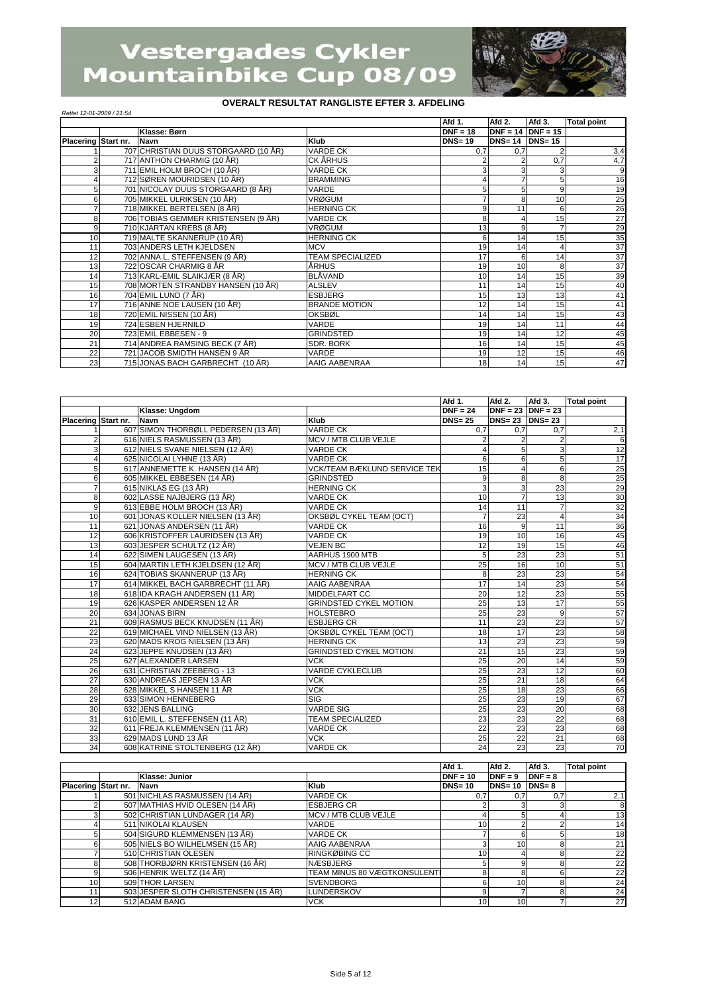

#### *Rettet 12-01-2009 / 21:54*

|                     |                                      |                         | Afd 1.        | Afd 2.                | Afd 3. | <b>Total point</b> |
|---------------------|--------------------------------------|-------------------------|---------------|-----------------------|--------|--------------------|
|                     | Klasse: Børn                         |                         | $DNF = 18$    | $DNF = 14$ $DNF = 15$ |        |                    |
| Placering Start nr. | <b>Navn</b>                          | Klub                    | <b>DNS=19</b> | $DNS = 14$ $DNS = 15$ |        |                    |
|                     | 707 CHRISTIAN DUUS STORGAARD (10 ÅR) | <b>VARDE CK</b>         | 0.7           | 0,7                   |        | 3,4                |
|                     | 717 ANTHON CHARMIG (10 ÅR)           | CK ÅRHUS                |               |                       | 0,7    | 4,7                |
| 3                   | 711 EMIL HOLM BROCH (10 ÅR)          | <b>VARDE CK</b>         |               |                       | 3      | 9                  |
|                     | 712 SØREN MOURIDSEN (10 ÅR)          | <b>BRAMMING</b>         |               |                       | 5      | 16                 |
| 5                   | 701 NICOLAY DUUS STORGAARD (8 ÅR)    | VARDE                   |               |                       | 9      | 19                 |
| 6                   | 705 MIKKEL ULRIKSEN (10 ÅR)          | <b>VRØGUM</b>           |               | ጸ                     | 10     | 25                 |
|                     | 718 MIKKEL BERTELSEN (8 ÅR)          | <b>HERNING CK</b>       |               | 11                    | 6      | 26                 |
| 8                   | 706 TOBIAS GEMMER KRISTENSEN (9 ÅR)  | <b>VARDE CK</b>         |               |                       | 15     | 27                 |
| 9                   | 710 KJARTAN KREBS (8 ÅR)             | <b>VRØGUM</b>           | 13            | 9                     | 7      | 29                 |
| 10                  | 719 MALTE SKANNERUP (10 ÅR)          | <b>HERNING CK</b>       |               | 14                    | 15     | 35                 |
| 11                  | 703 ANDERS LETH KJELDSEN             | <b>MCV</b>              | 19            | 14                    | 4      | $\overline{37}$    |
| 12                  | 702 ANNA L. STEFFENSEN (9 ÅR)        | <b>TEAM SPECIALIZED</b> | 17            | 6                     | 14     | 37                 |
| 13                  | 722 OSCAR CHARMIG 8 ÅR               | ÅRHUS                   | 19            | 10                    | 8      | 37                 |
| 14                  | 713 KARL-EMIL SLAIKJÆR (8 ÅR)        | <b>BLÄVAND</b>          | 10            | 14                    | 15     | 39                 |
| 15                  | 708 MORTEN STRANDBY HANSEN (10 ÅR)   | <b>ALSLEV</b>           | 11            | 14                    | 15     | 40                 |
| 16                  | 704 EMIL LUND (7 ÅR)                 | <b>ESBJERG</b>          | 15            | 13                    | 13     | 41                 |
| 17                  | 716 ANNE NOE LAUSEN (10 ÅR)          | <b>BRANDE MOTION</b>    | 12            | 14                    | 15     | 41                 |
| 18                  | 720 EMIL NISSEN (10 ÅR)              | <b>OKSBØL</b>           | 14            | 14                    | 15     | 43                 |
| 19                  | 724 ESBEN HJERNILD                   | VARDE                   | 19            | 14                    | 11     | 44                 |
| 20                  | 723 EMIL EBBESEN - 9                 | <b>GRINDSTED</b>        | 19            | 14                    | 12     | 45                 |
| 21                  | 714 ANDREA RAMSING BECK (7 ÅR)       | SDR. BORK               | 16            | 14                    | 15     | 45                 |
| 22                  | 721 JACOB SMIDTH HANSEN 9 ÅR         | VARDE                   | 19            | 12                    | 15     | 46                 |
| 23                  | 715 JONAS BACH GARBRECHT (10 ÅR)     | AAIG AABENRAA           | 18            | 14                    | 15     | 47                 |

|                     |                                     |                               | Afd 1.         | Afd 2.                | Afd 3.          | <b>Total point</b>                            |
|---------------------|-------------------------------------|-------------------------------|----------------|-----------------------|-----------------|-----------------------------------------------|
|                     | Klasse: Ungdom                      |                               | $DNF = 24$     | $DNF = 23$ $DNF = 23$ |                 |                                               |
| Placering Start nr. | Navn                                | Klub                          | $DNS = 25$     | $DNS = 23$ $DNS = 23$ |                 |                                               |
|                     | 607 SIMON THORBØLL PEDERSEN (13 ÅR) | <b>VARDE CK</b>               | 0,7            | 0,7                   | 0,7             | 2,1                                           |
| $\overline{2}$      | 616 NIELS RASMUSSEN (13 ÅR)         | MCV / MTB CLUB VEJLE          |                | $\overline{2}$        | $\overline{2}$  | $\overline{6}$                                |
| 3                   | 612 NIELS SVANE NIELSEN (12 ÅR)     | <b>VARDE CK</b>               |                | 5                     | 3               | 12                                            |
| 4                   | 625 NICOLAI LYHNE (13 ÅR)           | <b>VARDE CK</b>               | 6              | 6                     | 5               | 17                                            |
| 5                   | 617 ANNEMETTE K. HANSEN (14 ÅR)     | VCK/TEAM BÆKLUND SERVICE TEK  | 15             | $\overline{4}$        | 6               | 25                                            |
| 6                   | 605 MIKKEL EBBESEN (14 ÅR)          | <b>GRINDSTED</b>              | 9              | 8                     | 8               | $\frac{25}{29}$                               |
| $\overline{7}$      | 615 NIKLAS EG (13 ÅR)               | <b>HERNING CK</b>             | 3              | 3                     | 23              |                                               |
| 8                   | 602 LASSE NAJBJERG (13 ÅR)          | <b>VARDE CK</b>               | 10             | $\overline{7}$        | 13              |                                               |
| $\overline{9}$      | 613 EBBE HOLM BROCH (13 ÅR)         | <b>VARDE CK</b>               | 14             | 11                    | $\overline{7}$  | $\begin{array}{r} 30 \\ 32 \\ 34 \end{array}$ |
| 10                  | 601 JONAS KOLLER NIELSEN (13 ÅR)    | OKSBØL CYKEL TEAM (OCT)       | $\overline{7}$ | 23                    | 4               |                                               |
| 11                  | 621 JONAS ANDERSEN (11 ÅR)          | <b>VARDE CK</b>               | 16             | 9                     | 11              | $\frac{36}{45}$                               |
| 12                  | 606 KRISTOFFER LAURIDSEN (13 ÅR)    | <b>VARDE CK</b>               | 19             | 10                    | 16              |                                               |
| 13                  | 603 JESPER SCHULTZ (12 ÅR)          | <b>VEJEN BC</b>               | 12             | 19                    | 15              | 46                                            |
| 14                  | 622 SIMEN LAUGESEN (13 ÅR)          | AARHUS 1900 MTB               | 5              | 23                    | 23              | 51                                            |
| 15                  | 604 MARTIN LETH KJELDSEN (12 ÅR)    | MCV / MTB CLUB VEJLE          | 25             | 16                    | 10              | 51                                            |
| 16                  | 624 TOBIAS SKANNERUP (13 ÅR)        | <b>HERNING CK</b>             | 8              | 23                    | 23              | 54                                            |
| 17                  | 614 MIKKEL BACH GARBRECHT (11 ÅR)   | AAIG AABENRAA                 | 17             | 14                    | 23              | 54                                            |
| 18                  | 618 IDA KRAGH ANDERSEN (11 ÅR)      | <b>MIDDELFART CC</b>          | 20             | 12                    | 23              | 55                                            |
| 19                  | 626 KASPER ANDERSEN 12 ÅR           | <b>GRINDSTED CYKEL MOTION</b> | 25             | 13                    | 17              |                                               |
| 20                  | 634 JONAS BIRN                      | <b>HOLSTEBRO</b>              | 25             | 23                    | 9               | $\frac{55}{57}$                               |
| 21                  | 609 RASMUS BECK KNUDSEN (11 ÅR)     | <b>ESBJERG CR</b>             | 11             | 23                    | 23              | 57                                            |
| $\overline{22}$     | 619 MICHAEL VIND NIELSEN (13 ÅR)    | OKSBØL CYKEL TEAM (OCT)       | 18             | 17                    | 23              | 58                                            |
| 23                  | 620 MADS KROG NIELSEN (13 ÅR)       | <b>HERNING CK</b>             | 13             | 23                    | 23              | 59                                            |
| 24                  | 623 JEPPE KNUDSEN (13 ÅR)           | <b>GRINDSTED CYKEL MOTION</b> | 21             | 15                    | 23              | 59                                            |
| 25                  | 627 ALEXANDER LARSEN                | <b>VCK</b>                    | 25             | 20                    | 14              | 59                                            |
| 26                  | 631 CHRISTIAN ZEEBERG - 13          | <b>VARDE CYKLECLUB</b>        | 25             | 23                    | $\overline{12}$ | 60                                            |
| $\overline{27}$     | 630 ANDREAS JEPSEN 13 ÅR            | <b>VCK</b>                    | 25             | 21                    | $\overline{18}$ | 64                                            |
| 28                  | 628 MIKKEL S HANSEN 11 ÅR           | <b>VCK</b>                    | 25             | 18                    | 23              | 66                                            |
| 29                  | 633 SIMON HENNEBERG                 | <b>SIG</b>                    | 25             | 23                    | 19              | 67                                            |
| 30                  | 632 JENS BALLING                    | <b>VARDE SIG</b>              | 25             | 23                    | 20              | 68                                            |
| 31                  | 610 EMIL L. STEFFENSEN (11 ÅR)      | <b>TEAM SPECIALIZED</b>       | 23             | 23                    | $\overline{22}$ | 68                                            |
| 32                  | 611 FREJA KLEMMENSEN (11 ÅR)        | VARDE CK                      | 22             | 23                    | 23              | 68                                            |
| 33                  | 629 MADS LUND 13 ÅR                 | <b>VCK</b>                    | 25             | 22                    | 21              | 68                                            |
| 34                  | 608 KATRINE STOLTENBERG (12 ÅR)     | <b>VARDE CK</b>               | 24             | 23                    | 23              | 70                                            |

|                     |                                      |                              | Afd 1.          | Afd 2.     | Afd 3.    | <b>Total point</b> |
|---------------------|--------------------------------------|------------------------------|-----------------|------------|-----------|--------------------|
|                     | Klasse: Junior                       |                              | $DNF = 10$      | $DNF = 9$  | $DNF = 8$ |                    |
| Placering Start nr. | <b>Navn</b>                          | Klub                         | $DNS = 10$      | $DNS = 10$ | $DNS = 8$ |                    |
|                     | 501 NICHLAS RASMUSSEN (14 ÅR)        | <b>VARDE CK</b>              | 0.7             | 0.7        | 0,7       | 2,1                |
|                     | 507 MATHIAS HVID OLESEN (14 ÅR)      | <b>ESBJERG CR</b>            |                 |            | 3         | 8                  |
| 3                   | 502 CHRISTIAN LUNDAGER (14 ÅR)       | MCV / MTB CLUB VEJLE         |                 |            |           | 13 <sub>l</sub>    |
|                     | 511 NIKOLAI KLAUSEN                  | VARDE                        | 10              |            |           | 14                 |
| 5                   | 504 SIGURD KLEMMENSEN (13 ÅR)        | <b>VARDE CK</b>              |                 |            |           | 18 <sup>1</sup>    |
|                     | 505 NIELS BO WILHELMSEN (15 ÅR)      | AAIG AABENRAA                |                 |            | 8         | 211                |
|                     | 510 CHRISTIAN OLESEN                 | <b>RINGKØBING CC</b>         | 10              |            | 8         | 22                 |
| 8                   | 508 THORBJØRN KRISTENSEN (16 ÅR)     | <b>NÆSBJERG</b>              |                 |            | 8         | 22                 |
| 9                   | 506 HENRIK WELTZ (14 ÅR)             | TEAM MINUS 80 VÆGTKONSULENTI |                 |            |           | 22                 |
| 10                  | 509 THOR LARSEN                      | <b>SVENDBORG</b>             |                 | 10         | 8         | 24                 |
| 11                  | 503 JESPER SLOTH CHRISTENSEN (15 ÅR) | <b>LUNDERSKOV</b>            |                 |            | 8         | 24                 |
| 12                  | 512 ADAM BANG                        | <b>VCK</b>                   | 10 <sup>1</sup> | 10         |           | 27                 |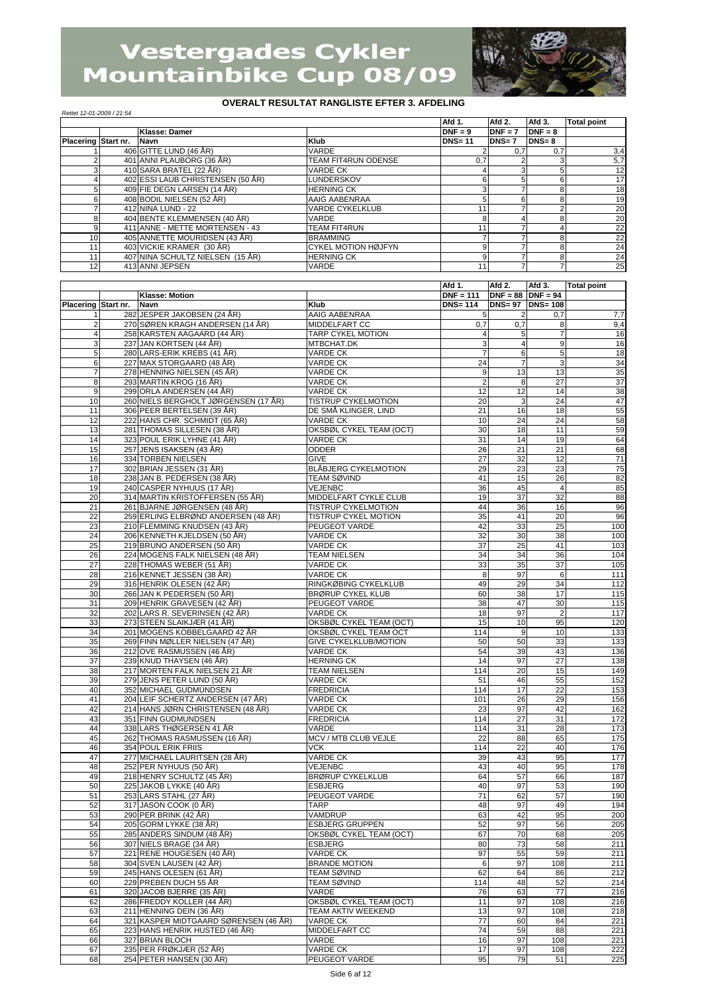

| Rettet 12-01-2009 / 21:54 |  |                                   |                            |               |           |           |                    |  |
|---------------------------|--|-----------------------------------|----------------------------|---------------|-----------|-----------|--------------------|--|
|                           |  |                                   |                            | Afd 1.        | Afd 2.    | Afd 3.    | <b>Total point</b> |  |
|                           |  | Klasse: Damer                     |                            | $DNF = 9$     | $DNF = 7$ | $DNF = 8$ |                    |  |
| Placering Start nr.       |  | <b>Navn</b>                       | Klub                       | <b>DNS=11</b> | DNS=7     | $DNS = 8$ |                    |  |
|                           |  | 406 GITTE LUND (46 ÅR)            | <b>VARDE</b>               |               | 0.7       | 0.7       | 3,4                |  |
|                           |  | 401 ANNI PLAUBORG (36 ÅR)         | TEAM FIT4RUN ODENSE        | 0,7           |           |           | 5,7                |  |
|                           |  | 410 SARA BRATEL (22 ÅR)           | <b>VARDE CK</b>            |               |           | 5         | 12                 |  |
|                           |  | 402 ESSI LAUB CHRISTENSEN (50 ÅR) | LUNDERSKOV                 |               |           | 6         | 17                 |  |
|                           |  | 409 FIE DEGN LARSEN (14 ÅR)       | <b>HERNING CK</b>          |               |           | 8         | 18                 |  |
| 6                         |  | 408 BODIL NIELSEN (52 ÅR)         | AAIG AABENRAA              |               |           | 8         | 19                 |  |
|                           |  | 412 NINA LUND - 22                | <b>VARDE CYKELKLUB</b>     |               |           | $\Omega$  | 20                 |  |
| 8                         |  | 404 BENTE KLEMMENSEN (40 ÅR)      | VARDE                      |               |           | 8         | 20                 |  |
| 9                         |  | 411 ANNE - METTE MORTENSEN - 43   | <b>TEAM FIT4RUN</b>        |               |           |           | 22                 |  |
| 10                        |  | 405 ANNETTE MOURIDSEN (43 ÅR)     | <b>BRAMMING</b>            |               |           | 8         | 22                 |  |
| 11                        |  | 403 VICKIE KRAMER (30 ÅR)         | <b>CYKEL MOTION HØJFYN</b> |               |           | 8         | 24                 |  |
| 11                        |  | 407 NINA SCHULTZ NIELSEN (15 ÅR)  | <b>HERNING CK</b>          |               |           | 8         | 24                 |  |
| 12                        |  | 413 ANNI JEPSEN                   | <b>VARDE</b>               |               |           |           | 25                 |  |

|                 |           |                                       |                              | Afd 1.         | Afd 2.                | Afd 3.           | <b>Total point</b> |
|-----------------|-----------|---------------------------------------|------------------------------|----------------|-----------------------|------------------|--------------------|
|                 |           | Klasse: Motion                        |                              | $DNF = 111$    | $DNF = 88   DNF = 94$ |                  |                    |
| Placering       | Start nr. | <b>Navn</b>                           | Klub                         | <b>DNS=114</b> |                       | DNS= 97 DNS= 108 |                    |
| -1              |           | 282 JESPER JAKOBSEN (24 ÅR)           | AAIG AABENRAA                | 5              | 2                     | 0,7              | 7,7                |
| $\overline{c}$  |           | 270 SØREN KRAGH ANDERSEN (14 ÅR)      | <b>MIDDELFART CC</b>         | 0,7            | 0,7                   | 8                | 9,4                |
| 4               |           | 258 KARSTEN AAGAARD (44 ÅR)           | <b>TARP CYKEL MOTION</b>     | 4              | 5                     | $\overline{7}$   | 16                 |
| 3               |           | 237 JAN KORTSEN (44 ÅR)               | MTBCHAT.DK                   | 3              | 4                     | $\boldsymbol{9}$ | 16                 |
| 5               |           | 280 LARS-ERIK KREBS (41 ÅR)           | VARDE CK                     | 7              | 6                     | 5                | 18                 |
| 6               |           | 227 MAX STORGAARD (48 ÅR)             | <b>VARDE CK</b>              | 24             | $\overline{7}$        | 3                | 34                 |
| $\overline{7}$  |           | 278 HENNING NIELSEN (45 ÅR)           | <b>VARDE CK</b>              | 9              | 13                    | 13               | 35                 |
| 8               |           | 293 MARTIN KROG (16 ÅR)               | <b>VARDE CK</b>              | 2              | 8                     | 27               | $\overline{37}$    |
| 9               |           | 299 ORLA ANDERSEN (44 ÅR)             | <b>VARDE CK</b>              | 12             | 12                    | 14               | 38                 |
| 10              |           | 260 NIELS BERGHOLT JØRGENSEN (17 ÅR)  | <b>TISTRUP CYKELMOTION</b>   | 20             | 3                     | 24               | 47                 |
| 11              |           | 306 PEER BERTELSEN (39 ÅR)            | DE SMÅ KLINGER. LIND         | 21             | 16                    | 18               | 55                 |
| 12              |           | 222 HANS CHR. SCHMIDT (65 ÅR)         | <b>VARDE CK</b>              | 10             | 24                    | 24               | 58                 |
| 13              |           | 281 THOMAS SILLESEN (38 ÅR)           | OKSBØL CYKEL TEAM (OCT)      | 30             | 18                    | 11               | 59                 |
| 14              |           | 323 POUL ERIK LYHNE (41 ÅR)           | <b>VARDE CK</b>              | 31             | 14                    | 19               | 64                 |
| 15              |           | 257 JENS ISAKSEN (43 ÅR)              | <b>ODDER</b>                 | 26             | 21                    | 21               | 68                 |
| 16              |           | 334 TORBEN NIELSEN                    | <b>GIVE</b>                  | 27             | 32                    | 12               | 71                 |
| 17              |           | 302 BRIAN JESSEN (31 ÅR)              | <b>BLÅBJERG CYKELMOTION</b>  | 29             | 23                    | 23               | 75                 |
| 18              |           | 238 JAN B. PEDERSEN (38 ÅR)           | <b>TEAM SØVIND</b>           | 41             | 15                    | 26               | 82                 |
| 19              |           | 240 CASPER NYHUUS (17 ÅR)             | VEJENBC                      | 36             | 45                    | $\overline{4}$   | 85                 |
| 20              |           | 314 MARTIN KRISTOFFERSEN (55 ÅR)      | MIDDELFART CYKLE CLUB        | 19             | 37                    | 32               | 88                 |
| 21              |           | 261 BJARNE JØRGENSEN (48 ÅR)          | TISTRUP CYKELMOTION          | 44             | 36                    | 16               | 96                 |
| 22              |           | 259 ERLING ELBRØND ANDERSEN (48 ÅR)   | <b>TISTRUP CYKEL MOTION</b>  | 35             | 41                    | 20               | 96                 |
| 23              |           | 210 FLEMMING KNUDSEN (43 ÅR)          | PEUGEOT VARDE                | 42             | 33                    | 25               | 100                |
| 24              |           | 206 KENNETH KJELDSEN (50 ÅR)          | <b>VARDE CK</b>              | 32             | 30                    | 38               | 100                |
| 25              |           | 219 BRUNO ANDERSEN (50 ÅR)            | <b>VARDE CK</b>              | 37             | 25                    | 41               | 103                |
| 26              |           | 224 MOGENS FALK NIELSEN (48 ÅR)       | <b>TEAM NIELSEN</b>          | 34             | 34                    | 36               | 104                |
| 27              |           | 228 THOMAS WEBER (51 ÅR)              | <b>VARDE CK</b>              | 33             | 35                    | 37               | 105                |
| 28              |           | 216 KENNET JESSEN (38 ÅR)             | <b>VARDE CK</b>              | $\bf 8$        | 97                    | 6                | 111                |
| 29              |           | 316 HENRIK OLESEN (42 ÅR)             | RINGKØBING CYKELKLUB         | 49             | 29                    | 34               | 112                |
| 30              |           | 266 JAN K PEDERSEN (50 ÅR)            | BRØRUP CYKEL KLUB            | 60             | 38                    | 17               | 115                |
| 31              |           | 209 HENRIK GRAVESEN (42 ÅR)           | PEUGEOT VARDE                | 38             | 47                    | 30               | 115                |
| 32              |           | 202 LARS R. SEVERINSEN (42 ÅR)        | <b>VARDE CK</b>              | 18             | 97                    | $\overline{2}$   | 117                |
| 33              |           | 273 STEEN SLAIKJÆR (41 ÅR)            | OKSBØL CYKEL TEAM (OCT)      | 15             | 10                    | 95               | 120                |
| 34              |           | 201 MOGENS KOBBELGAARD 42 ÅR          | OKSBØL CYKEL TEAM OCT        | 114            | 9                     | 10               | 133                |
| 35              |           | 269 FINN MØLLER NIELSEN (47 ÅR)       | <b>GIVE CYKELKLUB/MOTION</b> | 50             | 50                    | 33               | 133                |
| 36              |           | 212 OVE RASMUSSEN (46 ÅR)             | <b>VARDE CK</b>              | 54             | 39                    | 43               | 136                |
| $\overline{37}$ |           | 239 KNUD THAYSEN (46 ÅR)              | <b>HERNING CK</b>            | 14             | 97                    | 27               | 138                |
| 38              |           | 217 MORTEN FALK NIELSEN 21 ÅR         | <b>TEAM NIELSEN</b>          | 114            | 20                    | 15               | 149                |
| 39              |           | 279 JENS PETER LUND (50 ÅR)           | <b>VARDE CK</b>              | 51             | 46                    | 55               | 152                |
| 40              |           | 352 MICHAEL GUDMUNDSEN                | <b>FREDRICIA</b>             | 114            | 17                    | 22               | 153                |
| 41              |           | 204 LEIF SCHERTZ ANDERSEN (47 ÅR)     | VARDE CK                     | 101            | 26                    | 29               | 156                |
| 42              |           | 214 HANS JØRN CHRISTENSEN (48 ÅR)     | <b>VARDE CK</b>              | 23             | 97                    | 42               | 162                |
| 43              |           | 351 FINN GUDMUNDSEN                   | <b>FREDRICIA</b>             | 114            | 27                    | 31               | 172                |
| 44              |           | 338 LARS THØGERSEN 41 ÅR              | VARDE                        | 114            | 31                    | 28               | 173                |
| 45              |           | 262 THOMAS RASMUSSEN (16 ÅR)          | MCV / MTB CLUB VEJLE         | 22             | 88                    | 65               | 175                |
| 46              |           | 354 POUL ERIK FRIIS                   | VCK                          | 114            | 22                    | 40               | 176                |
| 47              |           | 277 MICHAEL LAURITSEN (28 ÅR)         | <b>VARDE CK</b>              | 39             | 43                    | 95               | 177                |
| 48              |           | 252 PER NYHUUS (50 ÅR)                | <b>VEJENBC</b>               | 43             | 40                    | 95               | 178                |
| 49              |           | 218 HENRY SCHULTZ (45 ÅR)             | <b>BRØRUP CYKELKLUB</b>      | 64             | 57                    | 66               | 187                |
| 50              |           | 225 JAKOB LYKKE (40 ÅR)               | <b>ESBJERG</b>               | 40             | 97                    | 53               | 190                |
| 51              |           | 253 LARS STAHL (27 ÅR)                | PEUGEOT VARDE                | 71             | 62                    | 57               | 190                |
| 52              |           | 317 JASON COOK (0 ÅR)                 | <b>TARP</b>                  | 48             | 97                    | 49               | 194                |
| 53              |           | 290 PER BRINK (42 AR)                 | VAMDRUP                      | 63             | 42                    | 95               | 200                |
| 54              |           | 205 GORM LYKKE (38 ÅR)                | <b>ESBJERG GRUPPEN</b>       | 52             | 97                    | 56               | 205                |
| 55              |           | 285 ANDERS SINDUM (48 AR)             | OKSBØL CYKEL TEAM (OCT)      | 67             | 70                    | 68               | 205                |
| 56              |           | 307 NIELS BRAGE (34 ÅR)               | <b>ESBJERG</b>               | 80             | 73                    | 58               | 211                |
| 57              |           | 221 RENE HOUGESEN (40 ÅR)             | VARDE CK                     | 97             | 55                    | 59               | 211                |
| 58              |           | 304 SVEN LAUSEN (42 ÅR)               | <b>BRANDE MOTION</b>         | 6              | 97                    | 108              | 211                |
| 59              |           | 245 HANS OLESEN (61 ÅR)               | TEAM SØVIND                  | 62             | 64                    | 86               | 212                |
| 60              |           | 229 PREBEN DUCH 55 ÅR                 | <b>TEAM SØVIND</b>           | 114            | 48                    | 52               | 214                |
| 61              |           | 320 JACOB BJERRE (35 ÅR)              | VARDE                        | 76             | 63                    | 77               | 216                |
| 62              |           | 286 FREDDY KOLLER (44 ÅR)             | OKSBØL CYKEL TEAM (OCT)      | 11             | 97                    | 108              | 216                |
| 63              |           | 211 HENNING DEIN (36 ÅR)              | TEAM AKTIV WEEKEND           | 13             | 97                    | 108              | 218                |
| 64              |           | 321 KASPER MIDTGAARD SØRENSEN (46 ÅR) | VARDE CK                     | 77             | 60                    | 84               | 221                |
| 65              |           | 223 HANS HENRIK HUSTED (46 ÅR)        | MIDDELFART CC                | 74             | 59                    | 88               | 221                |
| 66              |           | 327 BRIAN BLOCH                       | VARDE                        | 16             | 97                    | 108              | 221                |
| 67              |           | 235 PER FRØKJÆR (52 ÅR)               | <b>VARDE CK</b>              | 17             | 97                    | 108              | 222                |
| 68              |           | 254 PETER HANSEN (30 ÅR)              | <b>PEUGEOT VARDE</b>         | 95             | 79                    | 51               | 225                |
|                 |           |                                       |                              |                |                       |                  |                    |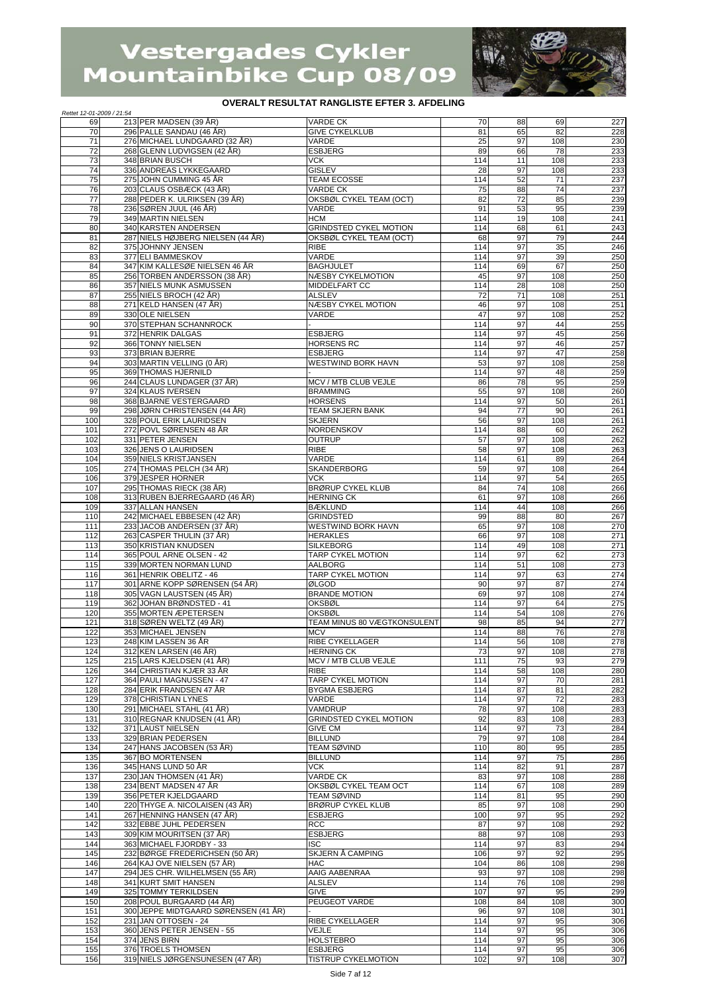

| Rettet 12-01-2009 / 21:54 |                                                                   |                                                 |            |          |            |            |
|---------------------------|-------------------------------------------------------------------|-------------------------------------------------|------------|----------|------------|------------|
| 69                        | 213 PER MADSEN (39 ÅR)                                            | <b>VARDE CK</b>                                 | 70         | 88       | 69<br>82   | 227        |
| 70<br>71                  | 296 PALLE SANDAU (46 ÅR)<br>276 MICHAEL LUNDGAARD (32 ÅR)         | <b>GIVE CYKELKLUB</b><br>VARDE                  | 81<br>25   | 65<br>97 | 108        | 228<br>230 |
| 72                        | 268 GLENN LUDVIGSEN (42 ÅR)                                       | <b>ESBJERG</b>                                  | 89         | 66       | 78         | 233        |
| 73                        | 348 BRIAN BUSCH                                                   | <b>VCK</b>                                      | 114        | 11       | 108        | 233        |
| 74<br>75                  | 336 ANDREAS LYKKEGAARD<br>275 JOHN CUMMING 45 ÅR                  | <b>GISLEV</b>                                   | 28<br>114  | 97<br>52 | 108<br>71  | 233<br>237 |
| 76                        | 203 CLAUS OSBÆCK (43 ÅR)                                          | TEAM ECOSSE<br><b>VARDE CK</b>                  | 75         | 88       | 74         | 237        |
| 77                        | 288 PEDER K. ULRIKSEN (39 ÅR)                                     | OKSBØL CYKEL TEAM (OCT)                         | 82         | 72       | 85         | 239        |
| 78                        | 236 SØREN JUUL (46 ÅR)                                            | VARDE                                           | 91         | 53       | 95         | 239        |
| 79<br>80                  | 349 MARTIN NIELSEN<br>340 KARSTEN ANDERSEN                        | <b>HCM</b><br><b>GRINDSTED CYKEL MOTION</b>     | 114<br>114 | 19<br>68 | 108<br>61  | 241<br>243 |
| 81                        | 287 NIELS HØJBERG NIELSEN (44 ÅR)                                 | OKSBØL CYKEL TEAM (OCT)                         | 68         | 97       | 79         | 244        |
| 82                        | 375 JOHNNY JENSEN                                                 | <b>RIBE</b>                                     | 114        | 97       | 35         | 246        |
| 83                        | 377 ELI BAMMESKOV                                                 | VARDE                                           | 114        | 97       | 39         | 250        |
| 84<br>85                  | 347 KIM KALLESØE NIELSEN 46 ÅR<br>256 TORBEN ANDERSSON (38 ÅR)    | <b>BAGHJULET</b><br>NÆSBY CYKELMOTION           | 114<br>45  | 69<br>97 | 67<br>108  | 250<br>250 |
| 86                        | 357 NIELS MUNK ASMUSSEN                                           | <b>MIDDELFART CC</b>                            | 114        | 28       | 108        | 250        |
| 87                        | 255 NIELS BROCH (42 ÅR)                                           | <b>ALSLEV</b>                                   | 72         | 71       | 108        | 251        |
| 88<br>89                  | 271 KELD HANSEN (47 ÅR)                                           | NÆSBY CYKEL MOTION                              | 46<br>47   | 97<br>97 | 108        | 251        |
| 90                        | 330 OLE NIELSEN<br>370 STEPHAN SCHANNROCK                         | VARDE                                           | 114        | 97       | 108<br>44  | 252<br>255 |
| 91                        | 372 HENRIK DALGAS                                                 | <b>ESBJERG</b>                                  | 114        | 97       | 45         | 256        |
| 92                        | 366 TONNY NIELSEN                                                 | <b>HORSENS RC</b>                               | 114        | 97       | 46         | 257        |
| 93<br>94                  | 373 BRIAN BJERRE<br>303 MARTIN VELLING (0 ÅR)                     | <b>ESBJERG</b><br><b>WESTWIND BORK HAVN</b>     | 114<br>53  | 97<br>97 | 47<br>108  | 258<br>258 |
| 95                        | 369 THOMAS HJERNILD                                               |                                                 | 114        | 97       | 48         | 259        |
| 96                        | 244 CLAUS LUNDAGER (37 ÅR)                                        | MCV / MTB CLUB VEJLE                            | 86         | 78       | 95         | 259        |
| 97                        | 324 KLAUS IVERSEN                                                 | <b>BRAMMING</b>                                 | 55         | 97       | 108        | 260        |
| 98<br>99                  | 368 BJARNE VESTERGAARD<br>298 JØRN CHRISTENSEN (44 ÅR)            | <b>HORSENS</b><br><b>TEAM SKJERN BANK</b>       | 114<br>94  | 97<br>77 | 50<br>90   | 261<br>261 |
| 100                       | 328 POUL ERIK LAURIDSEN                                           | <b>SKJERN</b>                                   | 56         | 97       | 108        | 261        |
| 101                       | 272 POVL SØRENSEN 48 ÅR                                           | NORDENSKOV                                      | 114        | 88       | 60         | 262        |
| 102                       | 331 PETER JENSEN                                                  | <b>OUTRUP</b>                                   | 57         | 97       | 108        | 262        |
| 103<br>104                | 326 JENS O LAURIDSEN<br>359 NIELS KRISTJANSEN                     | <b>RIBE</b><br>VARDE                            | 58<br>114  | 97<br>61 | 108<br>89  | 263<br>264 |
| 105                       | 274 THOMAS PELCH (34 ÅR)                                          | SKANDERBORG                                     | 59         | 97       | 108        | 264        |
| 106                       | 379 JESPER HORNER                                                 | <b>VCK</b>                                      | 114        | 97       | 54         | 265        |
| 107<br>108                | 295 THOMAS RIECK (38 ÅR)                                          | <b>BRØRUP CYKEL KLUB</b><br><b>HERNING CK</b>   | 84<br>61   | 74       | 108<br>108 | 266        |
| 109                       | 313 RUBEN BJERREGAARD (46 ÅR)<br>337 ALLAN HANSEN                 | <b>BÆKLUND</b>                                  | 114        | 97<br>44 | 108        | 266<br>266 |
| 110                       | 242 MICHAEL EBBESEN (42 ÅR)                                       | <b>GRINDSTED</b>                                | 99         | 88       | 80         | 267        |
| 111                       | 233 JACOB ANDERSEN (37 ÅR)                                        | WESTWIND BORK HAVN                              | 65         | 97       | 108        | 270        |
| 112<br>113                | 263 CASPER THULIN (37 ÅR)<br>350 KRISTIAN KNUDSEN                 | <b>HERAKLES</b><br><b>SILKEBORG</b>             | 66<br>114  | 97<br>49 | 108<br>108 | 271<br>271 |
| 114                       | 365 POUL ARNE OLSEN - 42                                          | TARP CYKEL MOTION                               | 114        | 97       | 62         | 273        |
| 115                       | 339 MORTEN NORMAN LUND                                            | AALBORG                                         | 114        | 51       | 108        | 273        |
| 116                       | 361 HENRIK OBELITZ - 46                                           | TARP CYKEL MOTION                               | 114        | 97       | 63         | 274        |
| 117<br>118                | 301 ARNE KOPP SØRENSEN (54 ÅR)<br>305 VAGN LAUSTSEN (45 ÅR)       | ØLGOD<br><b>BRANDE MOTION</b>                   | 90<br>69   | 97<br>97 | 87<br>108  | 274<br>274 |
| 119                       | 362 JOHAN BRØNDSTED - 41                                          | <b>OKSBØL</b>                                   | 114        | 97       | 64         | 275        |
| 120                       | 355 MORTEN ÆPETERSEN                                              | <b>OKSBØL</b>                                   | 114        | 54       | 108        | 276        |
| 121<br>122                | 318 SØREN WELTZ (49 ÅR)                                           | <b>TEAM MINUS 80 VÆGTKONSULENT</b>              | 98<br>114  | 85<br>88 | 94<br>76   | 277        |
| 123                       | 353 MICHAEL JENSEN<br>248 KIM LASSEN 36 ÅR                        | <b>MCV</b><br><b>RIBE CYKELLAGER</b>            | 114        | 56       | 108        | 278<br>278 |
| 124                       | 312 KEN LARSEN (46 ÅR)                                            | <b>HERNING CK</b>                               | 73         | 97       | 108        | 278        |
| 125                       | 215 LARS KJELDSEN (41 ÅR)                                         | MCV / MTB CLUB VEJLE                            | 111        | 75       | 93         | 279        |
| 126<br>127                | 344 CHRISTIAN KJÆR 33 ÅR<br>364 PAULI MAGNUSSEN - 47              | <b>RIBE</b><br>TARP CYKEL MOTION                | 114<br>114 | 58<br>97 | 108<br>70  | 280<br>281 |
| 128                       | 284 ERIK FRANDSEN 47 ÅR                                           | <b>BYGMA ESBJERG</b>                            | 114        | 87       | 81         | 282        |
| 129                       | 378 CHRISTIAN LYNES                                               | VARDE                                           | 114        | 97       | 72         | 283        |
| 130                       | 291 MICHAEL STAHL (41 ÅR)                                         | VAMDRUP                                         | 78         | 97       | 108        | 283        |
| 131<br>132                | 310 REGNAR KNUDSEN (41 ÅR)<br>371 LAUST NIELSEN                   | <b>GRINDSTED CYKEL MOTION</b><br><b>GIVE CM</b> | 92<br>114  | 83<br>97 | 108<br>73  | 283<br>284 |
| 133                       | 329 BRIAN PEDERSEN                                                | <b>BILLUND</b>                                  | 79         | 97       | 108        | 284        |
| 134                       | 247 HANS JACOBSEN (53 ÅR)                                         | <b>TEAM SØVIND</b>                              | 110        | 80       | 95         | 285        |
| 135                       | 367 BO MORTENSEN                                                  | <b>BILLUND</b>                                  | 114        | 97       | 75         | 286        |
| 136<br>137                | 345 HANS LUND 50 ÅR<br>230 JAN THOMSEN (41 ÅR)                    | <b>VCK</b><br>VARDE CK                          | 114<br>83  | 82<br>97 | 91<br>108  | 287<br>288 |
| 138                       | 234 BENT MADSEN 47 ÅR                                             | OKSBØL CYKEL TEAM OCT                           | 114        | 67       | 108        | 289        |
| 139                       | 356 PETER KJELDGAARD                                              | TEAM SØVIND                                     | 114        | 81       | 95         | 290        |
| 140<br>141                | 220 THYGE A. NICOLAISEN (43 ÅR)<br>267 HENNING HANSEN (47 ÅR)     | <b>BRØRUP CYKEL KLUB</b><br><b>ESBJERG</b>      | 85<br>100  | 97<br>97 | 108<br>95  | 290<br>292 |
| 142                       | 332 EBBE JUHL PEDERSEN                                            | <b>RCC</b>                                      | 87         | 97       | 108        | 292        |
| 143                       | 309 KIM MOURITSEN (37 ÅR)                                         | <b>ESBJERG</b>                                  | 88         | 97       | 108        | 293        |
| 144                       | 363 MICHAEL FJORDBY - 33                                          | <b>ISC</b>                                      | 114        | 97       | 83         | 294        |
| 145<br>146                | 232 BØRGE FREDERICHSEN (50 ÅR)<br>264 KAJ OVE NIELSEN (57 ÅR)     | SKJERN Å CAMPING<br><b>HAC</b>                  | 106<br>104 | 97<br>86 | 92<br>108  | 295<br>298 |
| 147                       | 294 JES CHR. WILHELMSEN (55 ÅR)                                   | AAIG AABENRAA                                   | 93         | 97       | 108        | 298        |
| 148                       | 341 KURT SMIT HANSEN                                              | <b>ALSLEV</b>                                   | 114        | 76       | 108        | 298        |
| 149                       | 325 TOMMY TERKILDSEN                                              | <b>GIVE</b>                                     | 107        | 97       | 95         | 299        |
| 150<br>151                | 208 POUL BURGAARD (44 ÅR)<br>300 JEPPE MIDTGAARD SØRENSEN (41 ÅR) | PEUGEOT VARDE                                   | 108<br>96  | 84<br>97 | 108<br>108 | 300<br>301 |
| 152                       | 231 JAN OTTOSEN - 24                                              | RIBE CYKELLAGER                                 | 114        | 97       | 95         | 306        |
| 153                       | 360 JENS PETER JENSEN - 55                                        | VEJLE                                           | 114        | 97       | 95         | 306        |
| 154<br>155                | 374 JENS BIRN<br>376 TROELS THOMSEN                               | <b>HOLSTEBRO</b><br><b>ESBJERG</b>              | 114<br>114 | 97<br>97 | 95<br>95   | 306<br>306 |
| 156                       | 319 NIELS JØRGENSUNESEN (47 ÅR)                                   | TISTRUP CYKELMOTION                             | 102        | 97       | 108        | 307        |